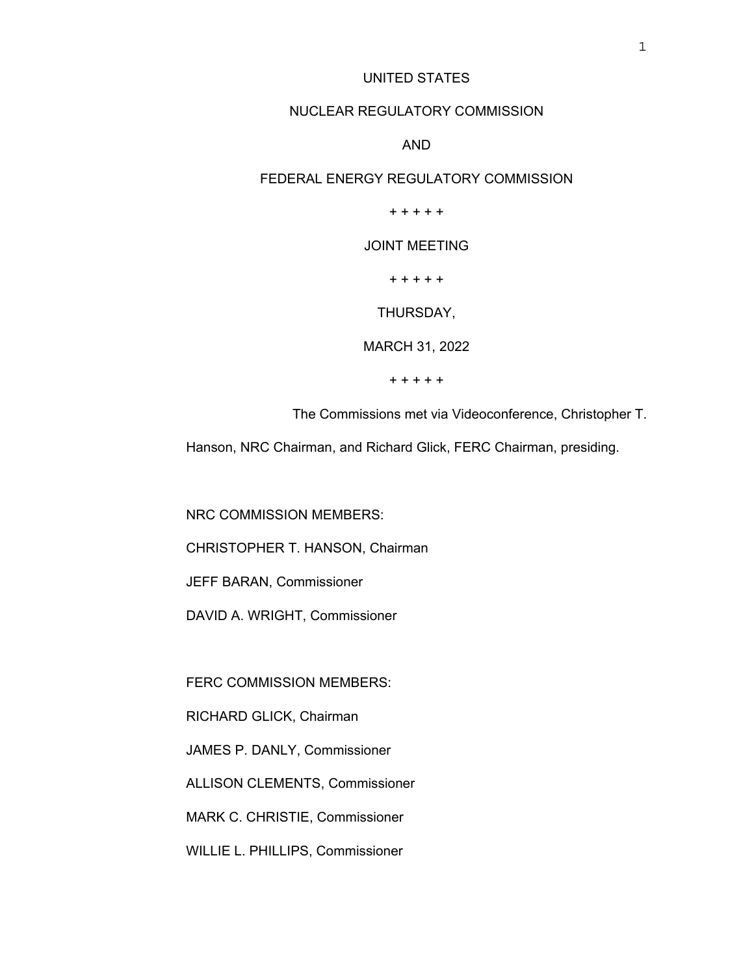# UNITED STATES

### NUCLEAR REGULATORY COMMISSION

# AND

# FEDERAL ENERGY REGULATORY COMMISSION

### + + + + +

# JOINT MEETING

+ + + + +

#### THURSDAY,

MARCH 31, 2022

+ + + + +

The Commissions met via Videoconference, Christopher T.

Hanson, NRC Chairman, and Richard Glick, FERC Chairman, presiding.

NRC COMMISSION MEMBERS:

CHRISTOPHER T. HANSON, Chairman

JEFF BARAN, Commissioner

DAVID A. WRIGHT, Commissioner

FERC COMMISSION MEMBERS:

RICHARD GLICK, Chairman

JAMES P. DANLY, Commissioner

ALLISON CLEMENTS, Commissioner

MARK C. CHRISTIE, Commissioner

WILLIE L. PHILLIPS, Commissioner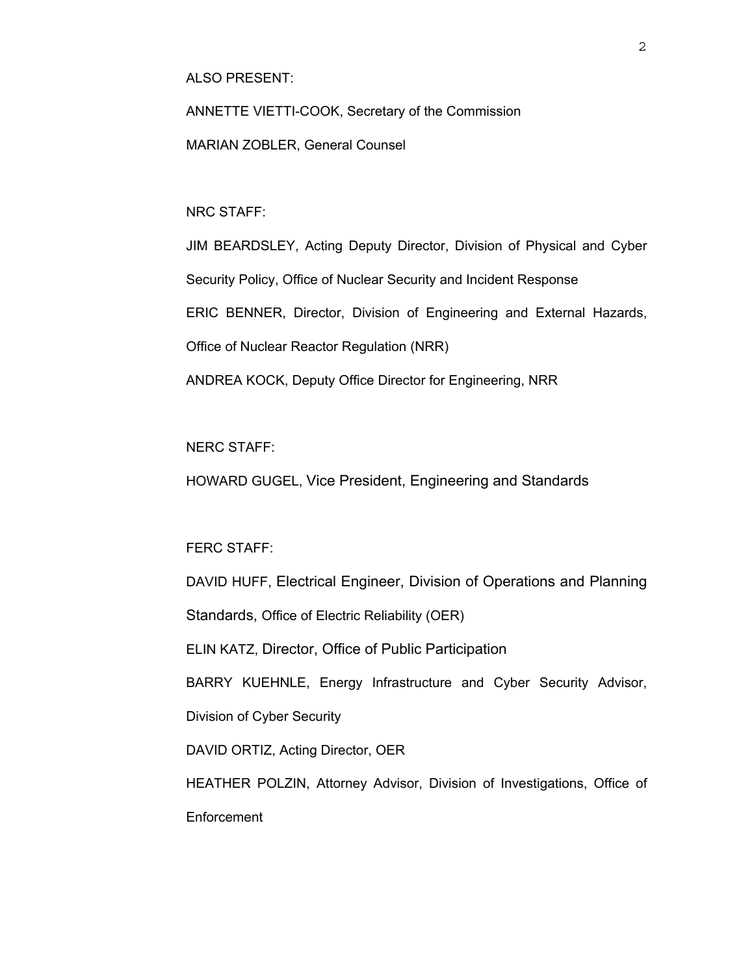ALSO PRESENT:

ANNETTE VIETTI-COOK, Secretary of the Commission

MARIAN ZOBLER, General Counsel

NRC STAFF:

JIM BEARDSLEY, Acting Deputy Director, Division of Physical and Cyber Security Policy, Office of Nuclear Security and Incident Response ERIC BENNER, Director, Division of Engineering and External Hazards, Office of Nuclear Reactor Regulation (NRR) ANDREA KOCK, Deputy Office Director for Engineering, NRR

NERC STAFF:

HOWARD GUGEL, Vice President, Engineering and Standards

FERC STAFF:

DAVID HUFF, Electrical Engineer, Division of Operations and Planning

Standards, Office of Electric Reliability (OER)

ELIN KATZ, Director, Office of Public Participation

BARRY KUEHNLE, Energy Infrastructure and Cyber Security Advisor,

Division of Cyber Security

DAVID ORTIZ, Acting Director, OER

HEATHER POLZIN, Attorney Advisor, Division of Investigations, Office of **Enforcement**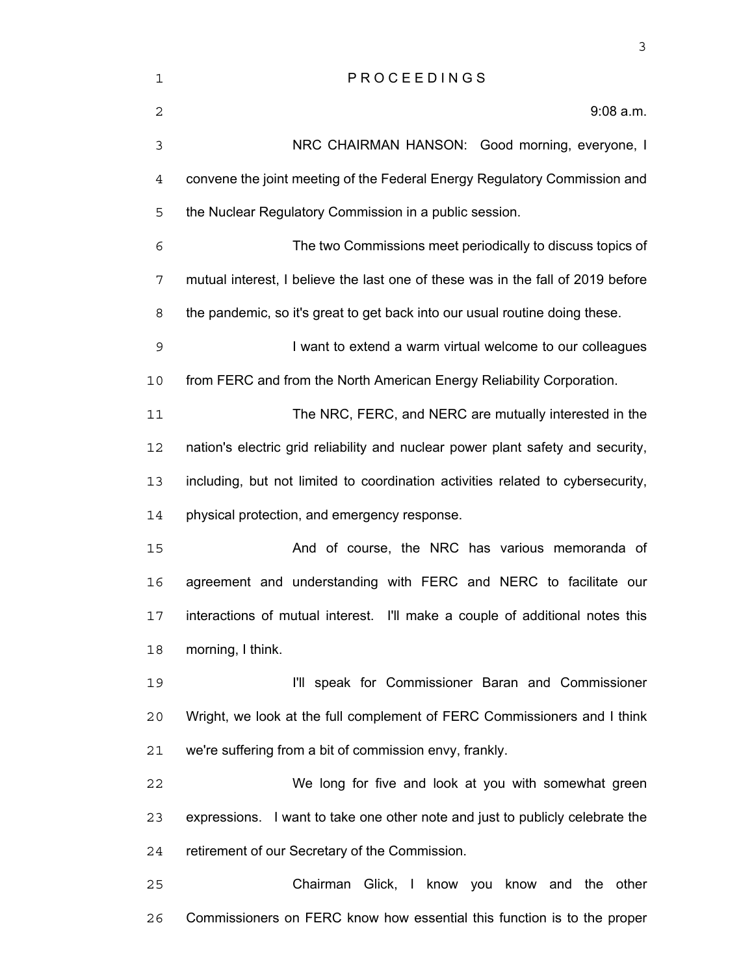| 1              | PROCEEDINGS                                                                     |
|----------------|---------------------------------------------------------------------------------|
| 2              | $9:08$ a.m.                                                                     |
| 3              | NRC CHAIRMAN HANSON: Good morning, everyone, I                                  |
| $\overline{4}$ | convene the joint meeting of the Federal Energy Regulatory Commission and       |
| 5              | the Nuclear Regulatory Commission in a public session.                          |
| 6              | The two Commissions meet periodically to discuss topics of                      |
| 7              | mutual interest, I believe the last one of these was in the fall of 2019 before |
| 8              | the pandemic, so it's great to get back into our usual routine doing these.     |
| 9              | I want to extend a warm virtual welcome to our colleagues                       |
| 10             | from FERC and from the North American Energy Reliability Corporation.           |
| 11             | The NRC, FERC, and NERC are mutually interested in the                          |
| 12             | nation's electric grid reliability and nuclear power plant safety and security, |
| 13             | including, but not limited to coordination activities related to cybersecurity, |
| 14             | physical protection, and emergency response.                                    |
| 15             | And of course, the NRC has various memoranda of                                 |
| 16             | agreement and understanding with FERC and NERC to facilitate our                |
| 17             | interactions of mutual interest. I'll make a couple of additional notes this    |
| 18             | morning, I think.                                                               |
| 19             | I'll speak for Commissioner Baran and Commissioner                              |
| 20             | Wright, we look at the full complement of FERC Commissioners and I think        |
| 21             | we're suffering from a bit of commission envy, frankly.                         |
| 22             | We long for five and look at you with somewhat green                            |
| 23             | expressions. I want to take one other note and just to publicly celebrate the   |
| 24             | retirement of our Secretary of the Commission.                                  |
| 25             | Chairman Glick, I know you know and the other                                   |
| 26             | Commissioners on FERC know how essential this function is to the proper         |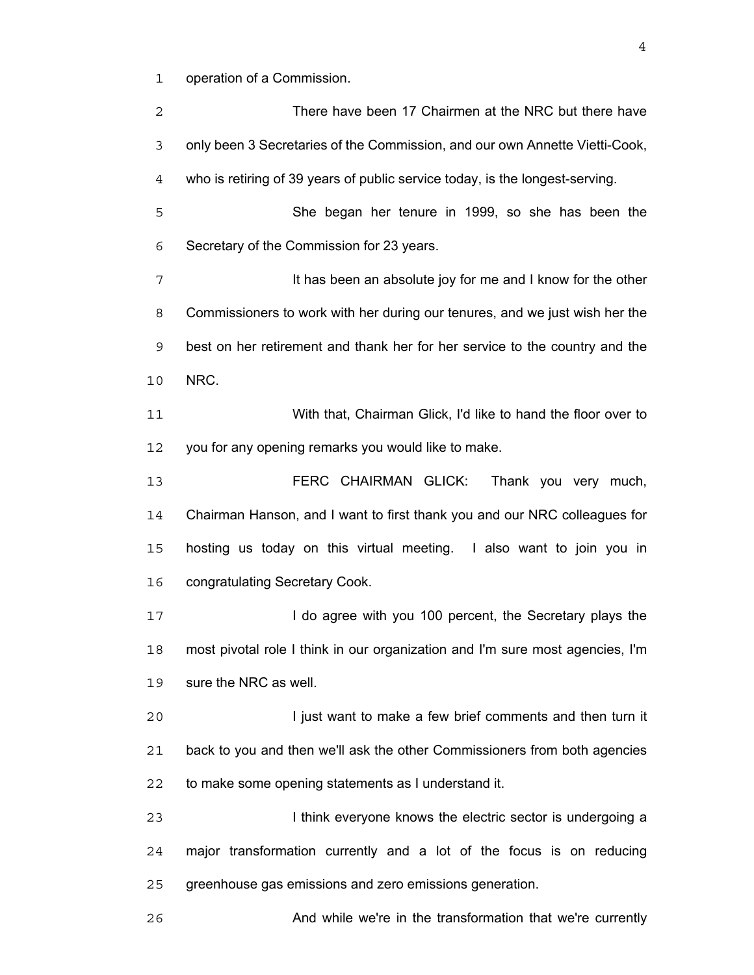operation of a Commission.

| 2  | There have been 17 Chairmen at the NRC but there have                         |
|----|-------------------------------------------------------------------------------|
| 3  | only been 3 Secretaries of the Commission, and our own Annette Vietti-Cook,   |
| 4  | who is retiring of 39 years of public service today, is the longest-serving.  |
| 5  | She began her tenure in 1999, so she has been the                             |
| 6  | Secretary of the Commission for 23 years.                                     |
| 7  | It has been an absolute joy for me and I know for the other                   |
| 8  | Commissioners to work with her during our tenures, and we just wish her the   |
| 9  | best on her retirement and thank her for her service to the country and the   |
| 10 | NRC.                                                                          |
| 11 | With that, Chairman Glick, I'd like to hand the floor over to                 |
| 12 | you for any opening remarks you would like to make.                           |
| 13 | FERC CHAIRMAN GLICK:<br>Thank you very much,                                  |
| 14 | Chairman Hanson, and I want to first thank you and our NRC colleagues for     |
| 15 | hosting us today on this virtual meeting. I also want to join you in          |
| 16 | congratulating Secretary Cook.                                                |
| 17 | I do agree with you 100 percent, the Secretary plays the                      |
| 18 | most pivotal role I think in our organization and I'm sure most agencies, I'm |
| 19 | sure the NRC as well.                                                         |
| 20 | I just want to make a few brief comments and then turn it                     |
| 21 | back to you and then we'll ask the other Commissioners from both agencies     |
| 22 | to make some opening statements as I understand it.                           |
| 23 | I think everyone knows the electric sector is undergoing a                    |
| 24 | major transformation currently and a lot of the focus is on reducing          |
| 25 | greenhouse gas emissions and zero emissions generation.                       |
| 26 | And while we're in the transformation that we're currently                    |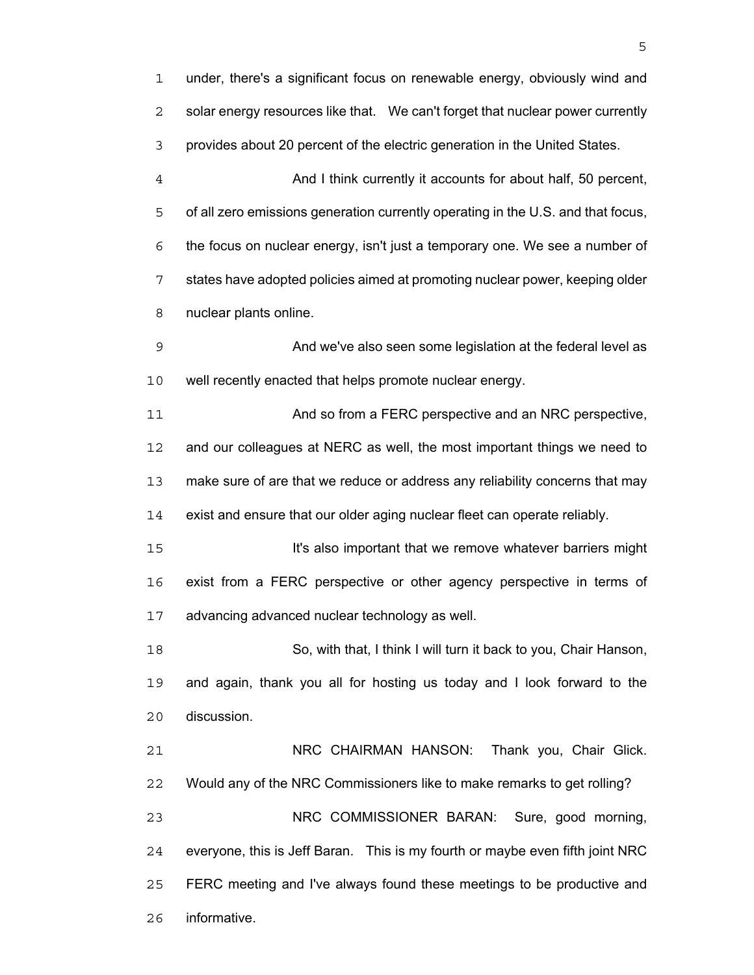under, there's a significant focus on renewable energy, obviously wind and solar energy resources like that. We can't forget that nuclear power currently provides about 20 percent of the electric generation in the United States. And I think currently it accounts for about half, 50 percent, of all zero emissions generation currently operating in the U.S. and that focus, the focus on nuclear energy, isn't just a temporary one. We see a number of states have adopted policies aimed at promoting nuclear power, keeping older nuclear plants online. And we've also seen some legislation at the federal level as well recently enacted that helps promote nuclear energy. 11 And so from a FERC perspective and an NRC perspective, and our colleagues at NERC as well, the most important things we need to make sure of are that we reduce or address any reliability concerns that may exist and ensure that our older aging nuclear fleet can operate reliably. It's also important that we remove whatever barriers might exist from a FERC perspective or other agency perspective in terms of advancing advanced nuclear technology as well. So, with that, I think I will turn it back to you, Chair Hanson, and again, thank you all for hosting us today and I look forward to the discussion. NRC CHAIRMAN HANSON: Thank you, Chair Glick. Would any of the NRC Commissioners like to make remarks to get rolling? NRC COMMISSIONER BARAN: Sure, good morning, everyone, this is Jeff Baran. This is my fourth or maybe even fifth joint NRC FERC meeting and I've always found these meetings to be productive and informative.

 $\sim$  5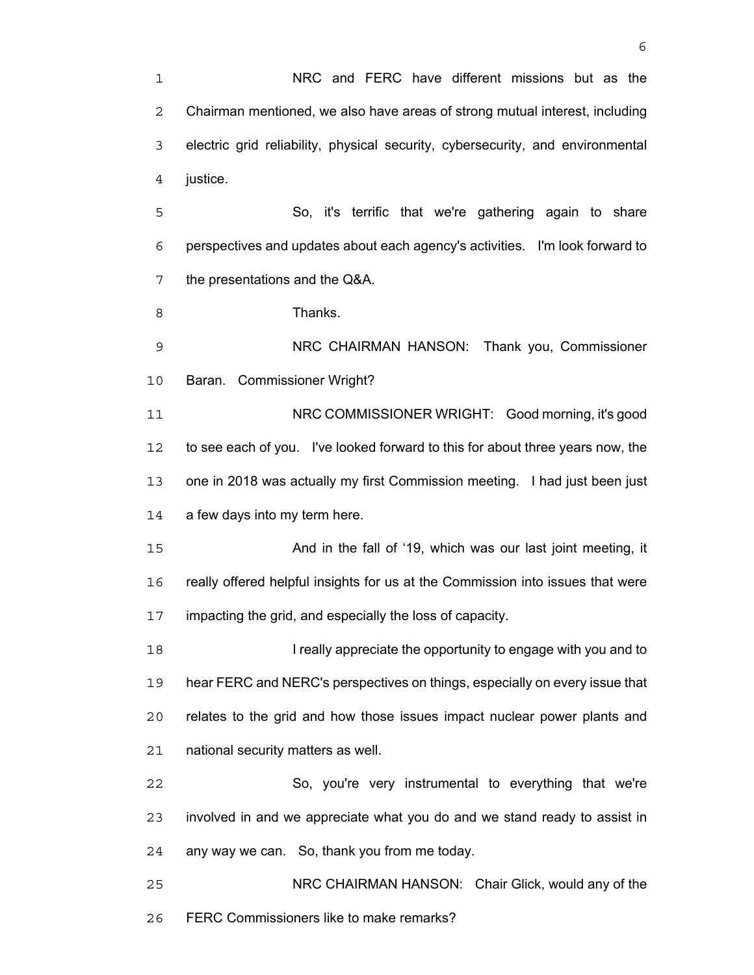NRC and FERC have different missions but as the Chairman mentioned, we also have areas of strong mutual interest, including electric grid reliability, physical security, cybersecurity, and environmental justice.

So, it's terrific that we're gathering again to share perspectives and updates about each agency's activities. I'm look forward to the presentations and the Q&A.

8 Thanks.

NRC CHAIRMAN HANSON: Thank you, Commissioner Baran. Commissioner Wright?

NRC COMMISSIONER WRIGHT: Good morning, it's good to see each of you. I've looked forward to this for about three years now, the one in 2018 was actually my first Commission meeting. I had just been just 14 a few days into my term here.

15 And in the fall of '19, which was our last joint meeting, it really offered helpful insights for us at the Commission into issues that were impacting the grid, and especially the loss of capacity.

I really appreciate the opportunity to engage with you and to hear FERC and NERC's perspectives on things, especially on every issue that relates to the grid and how those issues impact nuclear power plants and national security matters as well.

So, you're very instrumental to everything that we're involved in and we appreciate what you do and we stand ready to assist in any way we can. So, thank you from me today.

NRC CHAIRMAN HANSON: Chair Glick, would any of the FERC Commissioners like to make remarks?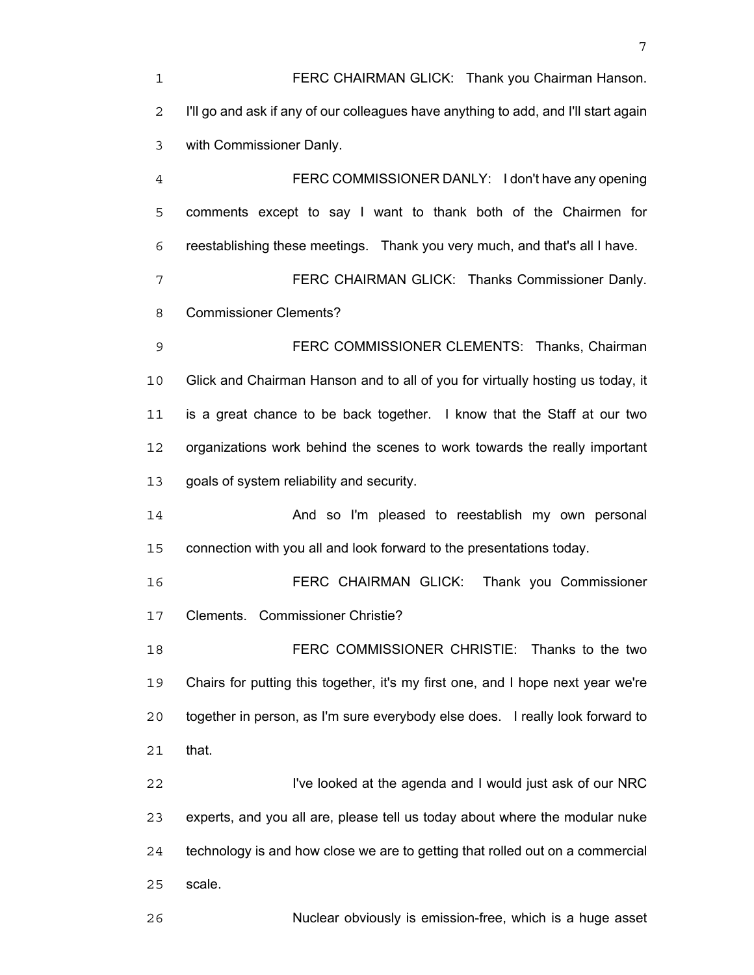FERC CHAIRMAN GLICK: Thank you Chairman Hanson. I'll go and ask if any of our colleagues have anything to add, and I'll start again with Commissioner Danly. FERC COMMISSIONER DANLY: I don't have any opening comments except to say I want to thank both of the Chairmen for reestablishing these meetings. Thank you very much, and that's all I have. FERC CHAIRMAN GLICK: Thanks Commissioner Danly. Commissioner Clements? FERC COMMISSIONER CLEMENTS: Thanks, Chairman Glick and Chairman Hanson and to all of you for virtually hosting us today, it is a great chance to be back together. I know that the Staff at our two organizations work behind the scenes to work towards the really important goals of system reliability and security. And so I'm pleased to reestablish my own personal connection with you all and look forward to the presentations today.

FERC CHAIRMAN GLICK: Thank you Commissioner Clements. Commissioner Christie?

FERC COMMISSIONER CHRISTIE: Thanks to the two Chairs for putting this together, it's my first one, and I hope next year we're together in person, as I'm sure everybody else does. I really look forward to that.

I've looked at the agenda and I would just ask of our NRC experts, and you all are, please tell us today about where the modular nuke technology is and how close we are to getting that rolled out on a commercial scale.

Nuclear obviously is emission-free, which is a huge asset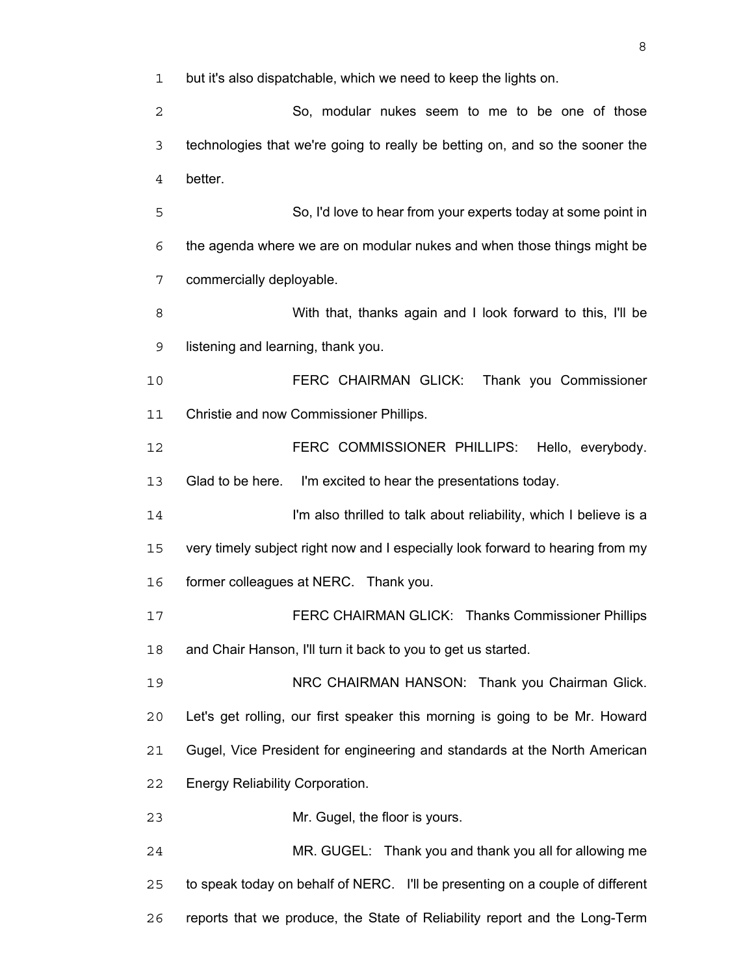but it's also dispatchable, which we need to keep the lights on.

So, modular nukes seem to me to be one of those technologies that we're going to really be betting on, and so the sooner the better.

So, I'd love to hear from your experts today at some point in the agenda where we are on modular nukes and when those things might be commercially deployable.

With that, thanks again and I look forward to this, I'll be listening and learning, thank you.

FERC CHAIRMAN GLICK: Thank you Commissioner Christie and now Commissioner Phillips.

FERC COMMISSIONER PHILLIPS: Hello, everybody. Glad to be here. I'm excited to hear the presentations today.

I'm also thrilled to talk about reliability, which I believe is a very timely subject right now and I especially look forward to hearing from my former colleagues at NERC. Thank you.

FERC CHAIRMAN GLICK: Thanks Commissioner Phillips and Chair Hanson, I'll turn it back to you to get us started.

19 NRC CHAIRMAN HANSON: Thank you Chairman Glick. Let's get rolling, our first speaker this morning is going to be Mr. Howard Gugel, Vice President for engineering and standards at the North American Energy Reliability Corporation.

Mr. Gugel, the floor is yours.

MR. GUGEL: Thank you and thank you all for allowing me to speak today on behalf of NERC. I'll be presenting on a couple of different reports that we produce, the State of Reliability report and the Long-Term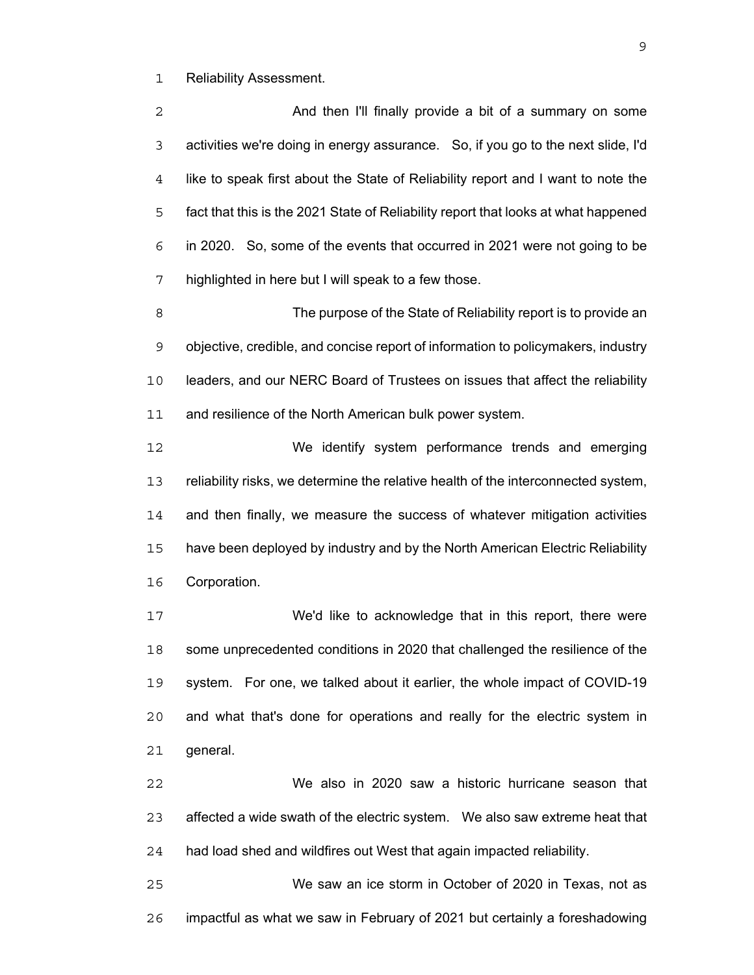Reliability Assessment.

And then I'll finally provide a bit of a summary on some activities we're doing in energy assurance. So, if you go to the next slide, I'd like to speak first about the State of Reliability report and I want to note the fact that this is the 2021 State of Reliability report that looks at what happened in 2020. So, some of the events that occurred in 2021 were not going to be highlighted in here but I will speak to a few those.

The purpose of the State of Reliability report is to provide an objective, credible, and concise report of information to policymakers, industry leaders, and our NERC Board of Trustees on issues that affect the reliability and resilience of the North American bulk power system.

We identify system performance trends and emerging reliability risks, we determine the relative health of the interconnected system, and then finally, we measure the success of whatever mitigation activities have been deployed by industry and by the North American Electric Reliability Corporation.

We'd like to acknowledge that in this report, there were some unprecedented conditions in 2020 that challenged the resilience of the system. For one, we talked about it earlier, the whole impact of COVID-19 and what that's done for operations and really for the electric system in general.

We also in 2020 saw a historic hurricane season that affected a wide swath of the electric system. We also saw extreme heat that had load shed and wildfires out West that again impacted reliability.

We saw an ice storm in October of 2020 in Texas, not as impactful as what we saw in February of 2021 but certainly a foreshadowing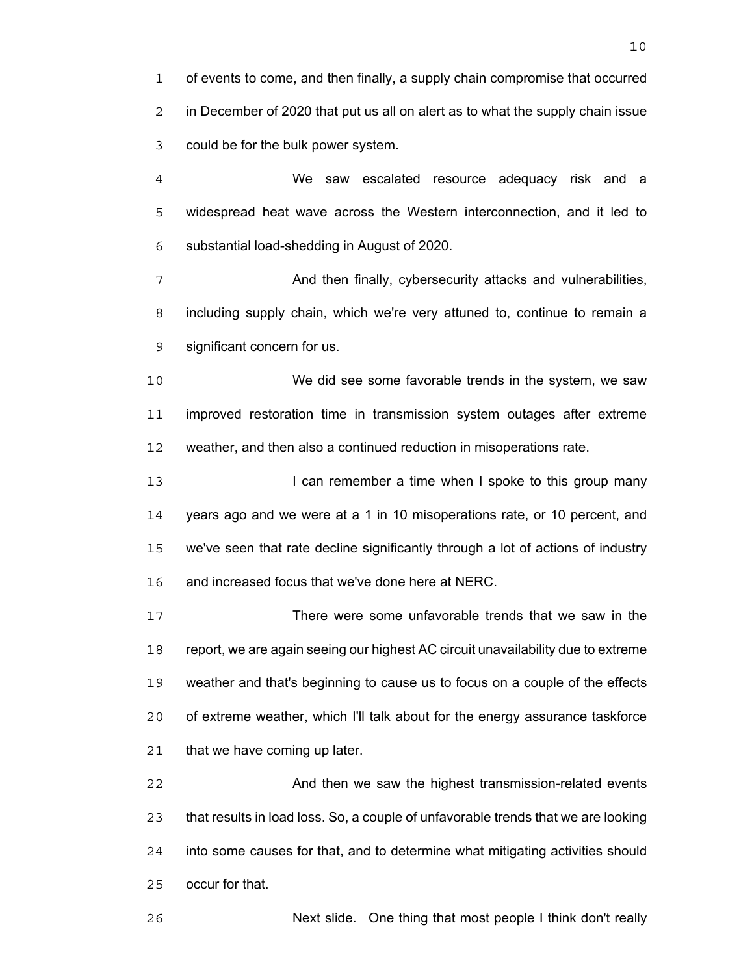of events to come, and then finally, a supply chain compromise that occurred in December of 2020 that put us all on alert as to what the supply chain issue could be for the bulk power system.

We saw escalated resource adequacy risk and a widespread heat wave across the Western interconnection, and it led to substantial load-shedding in August of 2020.

7 And then finally, cybersecurity attacks and vulnerabilities, including supply chain, which we're very attuned to, continue to remain a significant concern for us.

We did see some favorable trends in the system, we saw improved restoration time in transmission system outages after extreme weather, and then also a continued reduction in misoperations rate.

13 I can remember a time when I spoke to this group many years ago and we were at a 1 in 10 misoperations rate, or 10 percent, and we've seen that rate decline significantly through a lot of actions of industry and increased focus that we've done here at NERC.

There were some unfavorable trends that we saw in the report, we are again seeing our highest AC circuit unavailability due to extreme weather and that's beginning to cause us to focus on a couple of the effects of extreme weather, which I'll talk about for the energy assurance taskforce that we have coming up later.

And then we saw the highest transmission-related events that results in load loss. So, a couple of unfavorable trends that we are looking into some causes for that, and to determine what mitigating activities should occur for that.

Next slide. One thing that most people I think don't really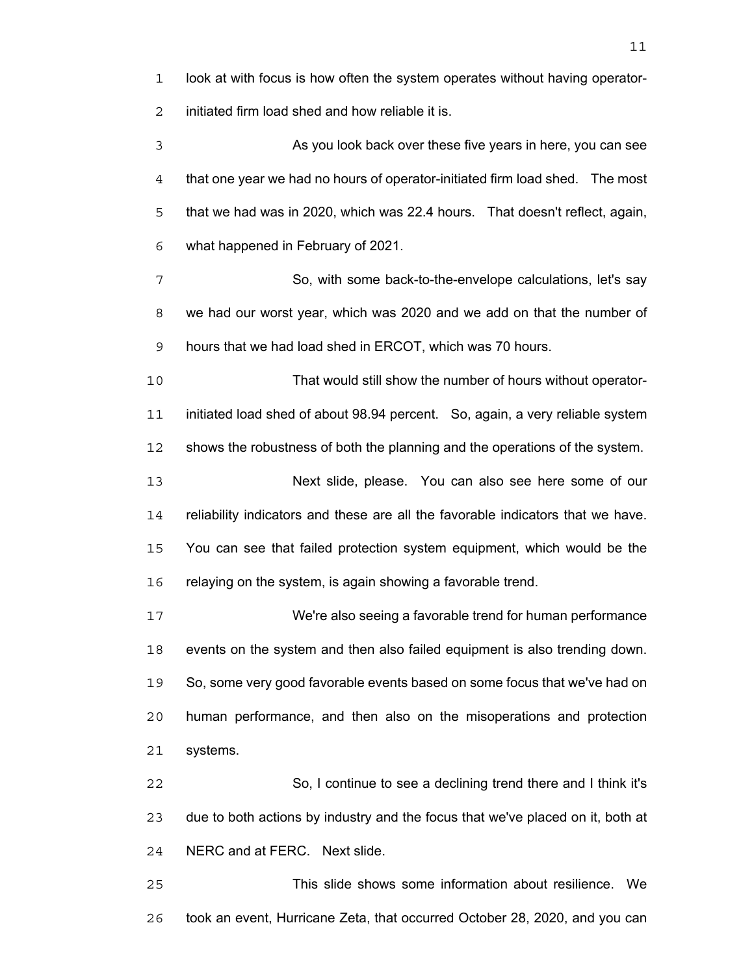look at with focus is how often the system operates without having operator-initiated firm load shed and how reliable it is. As you look back over these five years in here, you can see

that one year we had no hours of operator-initiated firm load shed. The most that we had was in 2020, which was 22.4 hours. That doesn't reflect, again, what happened in February of 2021.

So, with some back-to-the-envelope calculations, let's say we had our worst year, which was 2020 and we add on that the number of hours that we had load shed in ERCOT, which was 70 hours.

That would still show the number of hours without operator-initiated load shed of about 98.94 percent. So, again, a very reliable system shows the robustness of both the planning and the operations of the system.

Next slide, please. You can also see here some of our reliability indicators and these are all the favorable indicators that we have. You can see that failed protection system equipment, which would be the 16 relaying on the system, is again showing a favorable trend.

We're also seeing a favorable trend for human performance events on the system and then also failed equipment is also trending down. So, some very good favorable events based on some focus that we've had on human performance, and then also on the misoperations and protection systems.

So, I continue to see a declining trend there and I think it's due to both actions by industry and the focus that we've placed on it, both at NERC and at FERC. Next slide.

This slide shows some information about resilience. We took an event, Hurricane Zeta, that occurred October 28, 2020, and you can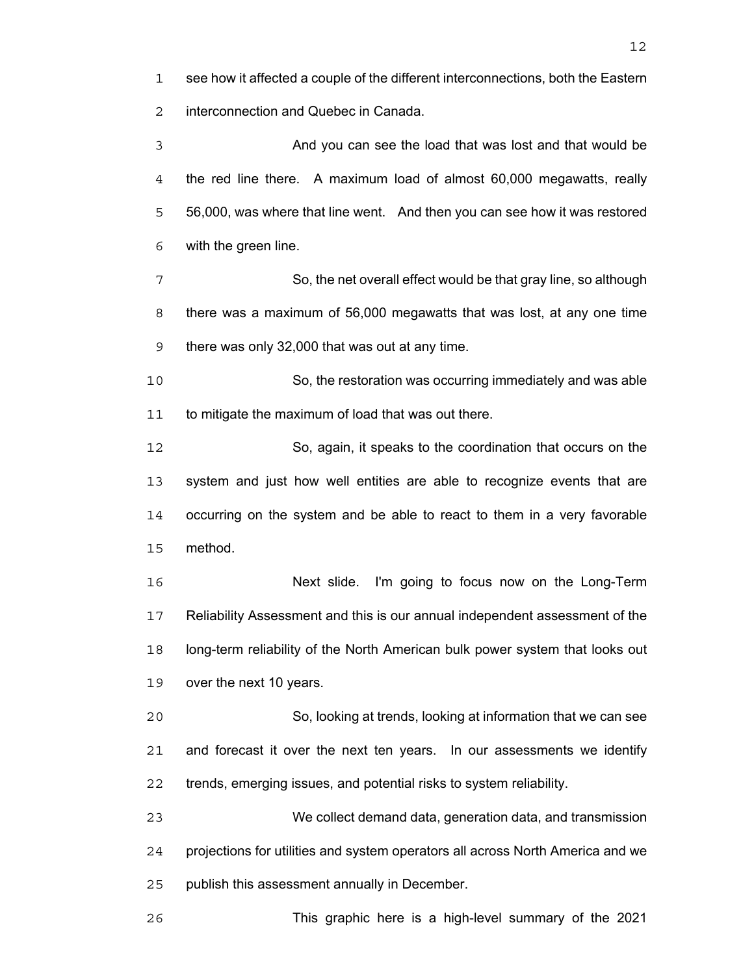see how it affected a couple of the different interconnections, both the Eastern interconnection and Quebec in Canada.

And you can see the load that was lost and that would be the red line there. A maximum load of almost 60,000 megawatts, really 56,000, was where that line went. And then you can see how it was restored with the green line.

So, the net overall effect would be that gray line, so although there was a maximum of 56,000 megawatts that was lost, at any one time there was only 32,000 that was out at any time.

So, the restoration was occurring immediately and was able to mitigate the maximum of load that was out there.

So, again, it speaks to the coordination that occurs on the system and just how well entities are able to recognize events that are occurring on the system and be able to react to them in a very favorable method.

Next slide. I'm going to focus now on the Long-Term Reliability Assessment and this is our annual independent assessment of the long-term reliability of the North American bulk power system that looks out over the next 10 years.

So, looking at trends, looking at information that we can see and forecast it over the next ten years. In our assessments we identify trends, emerging issues, and potential risks to system reliability.

We collect demand data, generation data, and transmission projections for utilities and system operators all across North America and we publish this assessment annually in December.

This graphic here is a high-level summary of the 2021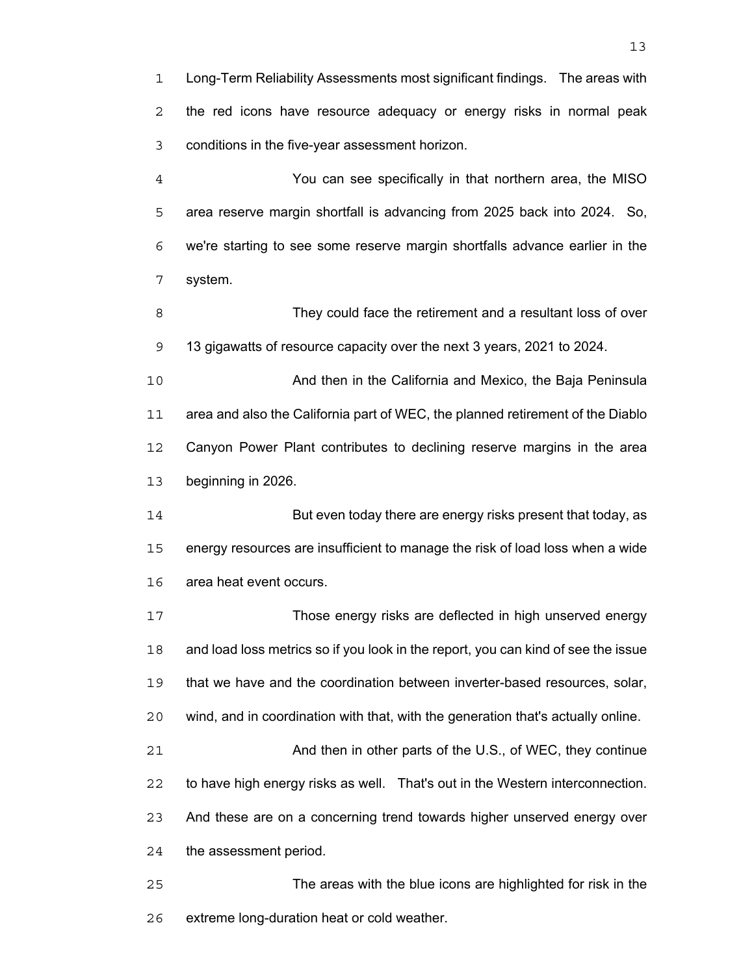Long-Term Reliability Assessments most significant findings. The areas with the red icons have resource adequacy or energy risks in normal peak conditions in the five-year assessment horizon.

You can see specifically in that northern area, the MISO area reserve margin shortfall is advancing from 2025 back into 2024. So, we're starting to see some reserve margin shortfalls advance earlier in the system.

They could face the retirement and a resultant loss of over 13 gigawatts of resource capacity over the next 3 years, 2021 to 2024.

And then in the California and Mexico, the Baja Peninsula area and also the California part of WEC, the planned retirement of the Diablo Canyon Power Plant contributes to declining reserve margins in the area beginning in 2026.

But even today there are energy risks present that today, as energy resources are insufficient to manage the risk of load loss when a wide area heat event occurs.

Those energy risks are deflected in high unserved energy and load loss metrics so if you look in the report, you can kind of see the issue that we have and the coordination between inverter-based resources, solar, wind, and in coordination with that, with the generation that's actually online. And then in other parts of the U.S., of WEC, they continue to have high energy risks as well. That's out in the Western interconnection. And these are on a concerning trend towards higher unserved energy over the assessment period.

The areas with the blue icons are highlighted for risk in the extreme long-duration heat or cold weather.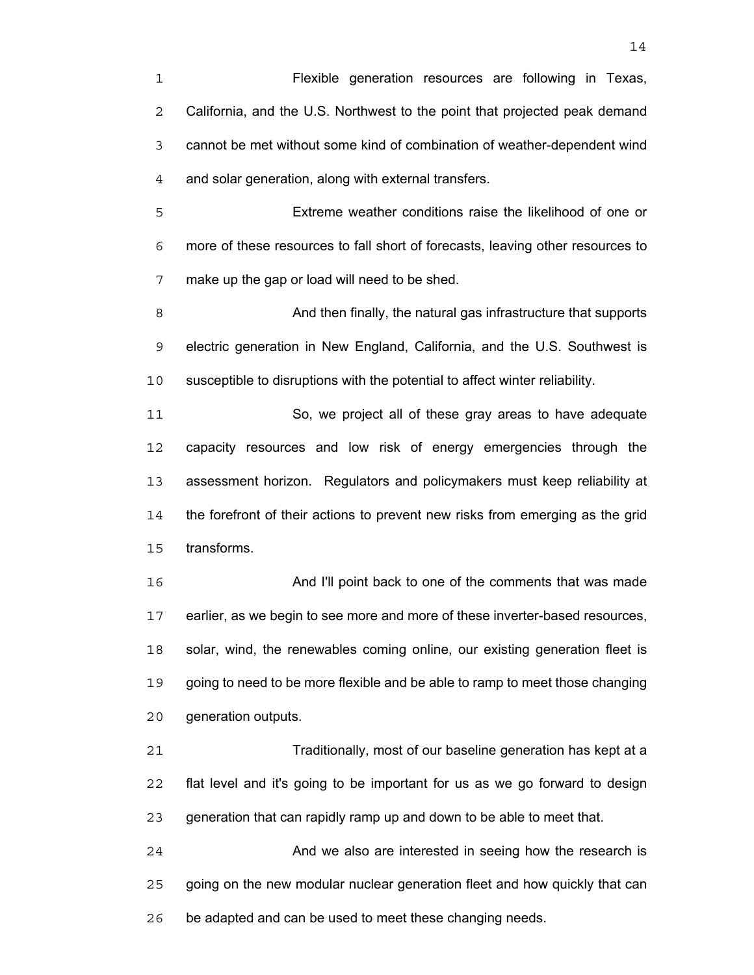Flexible generation resources are following in Texas, California, and the U.S. Northwest to the point that projected peak demand cannot be met without some kind of combination of weather-dependent wind and solar generation, along with external transfers.

Extreme weather conditions raise the likelihood of one or more of these resources to fall short of forecasts, leaving other resources to make up the gap or load will need to be shed.

And then finally, the natural gas infrastructure that supports electric generation in New England, California, and the U.S. Southwest is susceptible to disruptions with the potential to affect winter reliability.

So, we project all of these gray areas to have adequate capacity resources and low risk of energy emergencies through the assessment horizon. Regulators and policymakers must keep reliability at the forefront of their actions to prevent new risks from emerging as the grid transforms.

And I'll point back to one of the comments that was made earlier, as we begin to see more and more of these inverter-based resources, solar, wind, the renewables coming online, our existing generation fleet is going to need to be more flexible and be able to ramp to meet those changing generation outputs.

Traditionally, most of our baseline generation has kept at a flat level and it's going to be important for us as we go forward to design generation that can rapidly ramp up and down to be able to meet that.

And we also are interested in seeing how the research is going on the new modular nuclear generation fleet and how quickly that can be adapted and can be used to meet these changing needs.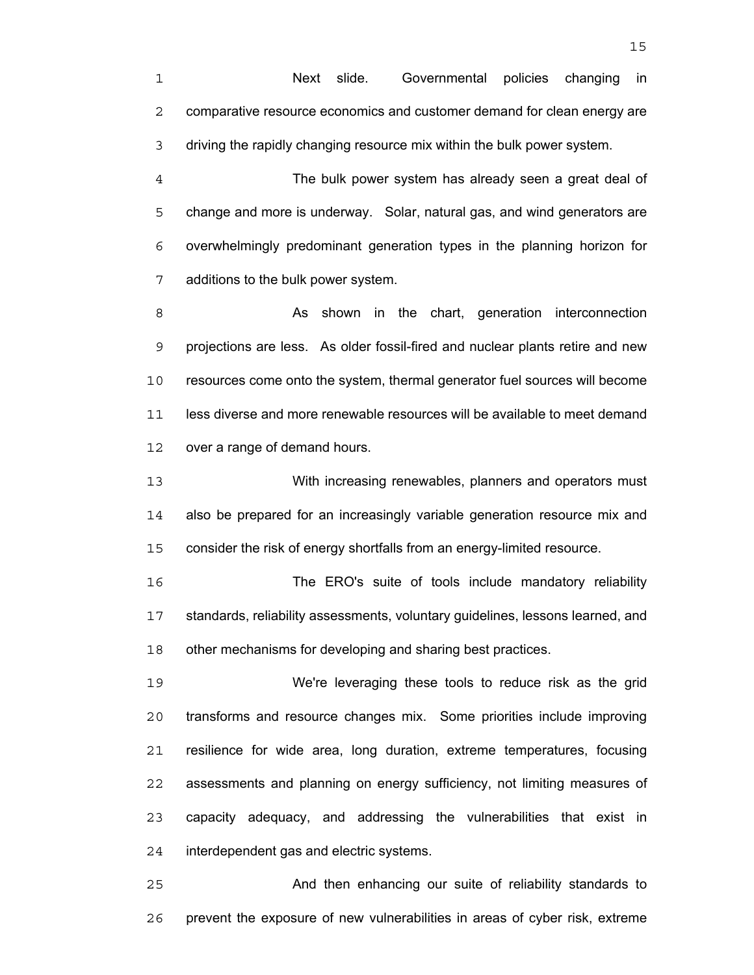Next slide. Governmental policies changing in comparative resource economics and customer demand for clean energy are driving the rapidly changing resource mix within the bulk power system.

The bulk power system has already seen a great deal of change and more is underway. Solar, natural gas, and wind generators are overwhelmingly predominant generation types in the planning horizon for additions to the bulk power system.

8 As shown in the chart, generation interconnection projections are less. As older fossil-fired and nuclear plants retire and new resources come onto the system, thermal generator fuel sources will become less diverse and more renewable resources will be available to meet demand over a range of demand hours.

With increasing renewables, planners and operators must also be prepared for an increasingly variable generation resource mix and consider the risk of energy shortfalls from an energy-limited resource.

The ERO's suite of tools include mandatory reliability standards, reliability assessments, voluntary guidelines, lessons learned, and 18 other mechanisms for developing and sharing best practices.

We're leveraging these tools to reduce risk as the grid transforms and resource changes mix. Some priorities include improving resilience for wide area, long duration, extreme temperatures, focusing assessments and planning on energy sufficiency, not limiting measures of capacity adequacy, and addressing the vulnerabilities that exist in interdependent gas and electric systems.

And then enhancing our suite of reliability standards to prevent the exposure of new vulnerabilities in areas of cyber risk, extreme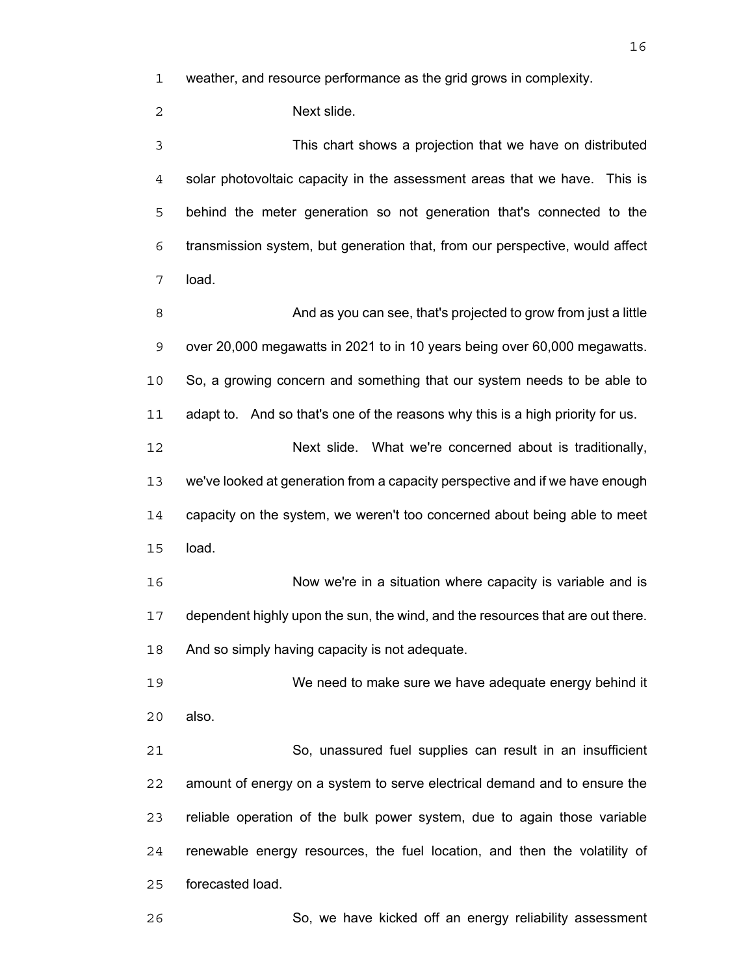weather, and resource performance as the grid grows in complexity.

Next slide.

This chart shows a projection that we have on distributed solar photovoltaic capacity in the assessment areas that we have. This is behind the meter generation so not generation that's connected to the transmission system, but generation that, from our perspective, would affect load.

And as you can see, that's projected to grow from just a little over 20,000 megawatts in 2021 to in 10 years being over 60,000 megawatts. So, a growing concern and something that our system needs to be able to 11 adapt to. And so that's one of the reasons why this is a high priority for us. Next slide. What we're concerned about is traditionally, we've looked at generation from a capacity perspective and if we have enough

capacity on the system, we weren't too concerned about being able to meet load.

Now we're in a situation where capacity is variable and is dependent highly upon the sun, the wind, and the resources that are out there. And so simply having capacity is not adequate.

We need to make sure we have adequate energy behind it also.

So, unassured fuel supplies can result in an insufficient amount of energy on a system to serve electrical demand and to ensure the reliable operation of the bulk power system, due to again those variable renewable energy resources, the fuel location, and then the volatility of forecasted load.

So, we have kicked off an energy reliability assessment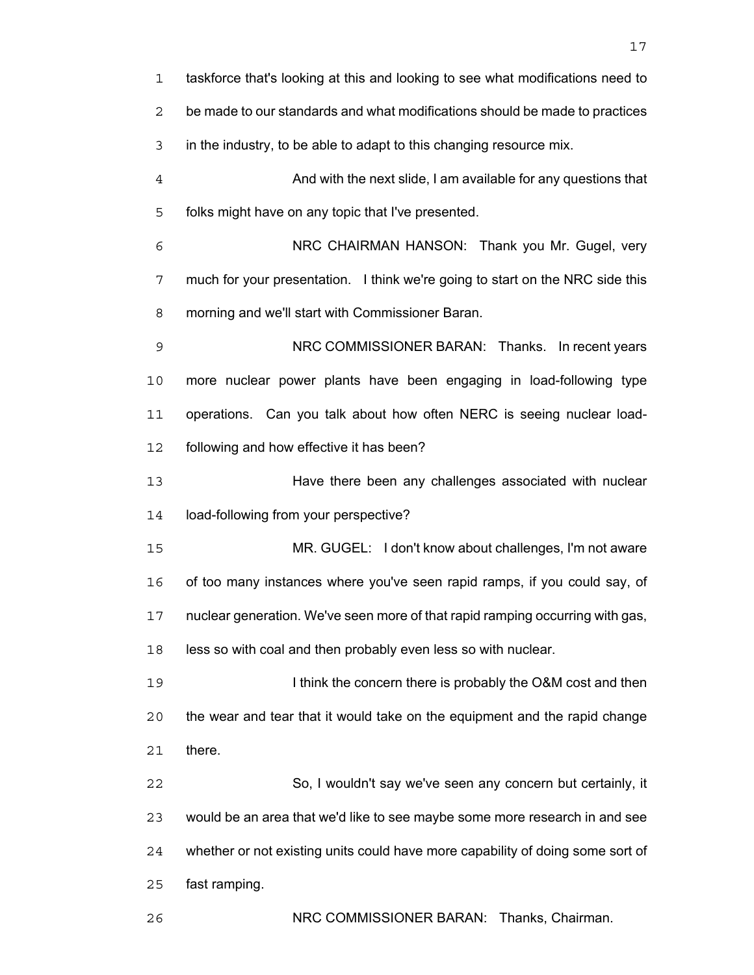| $\mathbf{1}$   | taskforce that's looking at this and looking to see what modifications need to |
|----------------|--------------------------------------------------------------------------------|
| $\overline{2}$ | be made to our standards and what modifications should be made to practices    |
| 3              | in the industry, to be able to adapt to this changing resource mix.            |
| $\overline{4}$ | And with the next slide, I am available for any questions that                 |
| 5              | folks might have on any topic that I've presented.                             |
| 6              | NRC CHAIRMAN HANSON: Thank you Mr. Gugel, very                                 |
| 7              | much for your presentation. I think we're going to start on the NRC side this  |
| 8              | morning and we'll start with Commissioner Baran.                               |
| $\mathsf 9$    | NRC COMMISSIONER BARAN: Thanks. In recent years                                |
| 10             | more nuclear power plants have been engaging in load-following type            |
| 11             | operations. Can you talk about how often NERC is seeing nuclear load-          |
| 12             | following and how effective it has been?                                       |
| 13             | Have there been any challenges associated with nuclear                         |
| 14             | load-following from your perspective?                                          |
| 15             | MR. GUGEL: I don't know about challenges, I'm not aware                        |
| 16             | of too many instances where you've seen rapid ramps, if you could say, of      |
| 17             | nuclear generation. We've seen more of that rapid ramping occurring with gas,  |
| 18             | less so with coal and then probably even less so with nuclear.                 |
| 19             | I think the concern there is probably the O&M cost and then                    |
| 20             | the wear and tear that it would take on the equipment and the rapid change     |
| 21             | there.                                                                         |
| 22             | So, I wouldn't say we've seen any concern but certainly, it                    |
| 23             | would be an area that we'd like to see maybe some more research in and see     |
| 24             | whether or not existing units could have more capability of doing some sort of |
| 25             | fast ramping.                                                                  |
| 26             | NRC COMMISSIONER BARAN: Thanks, Chairman.                                      |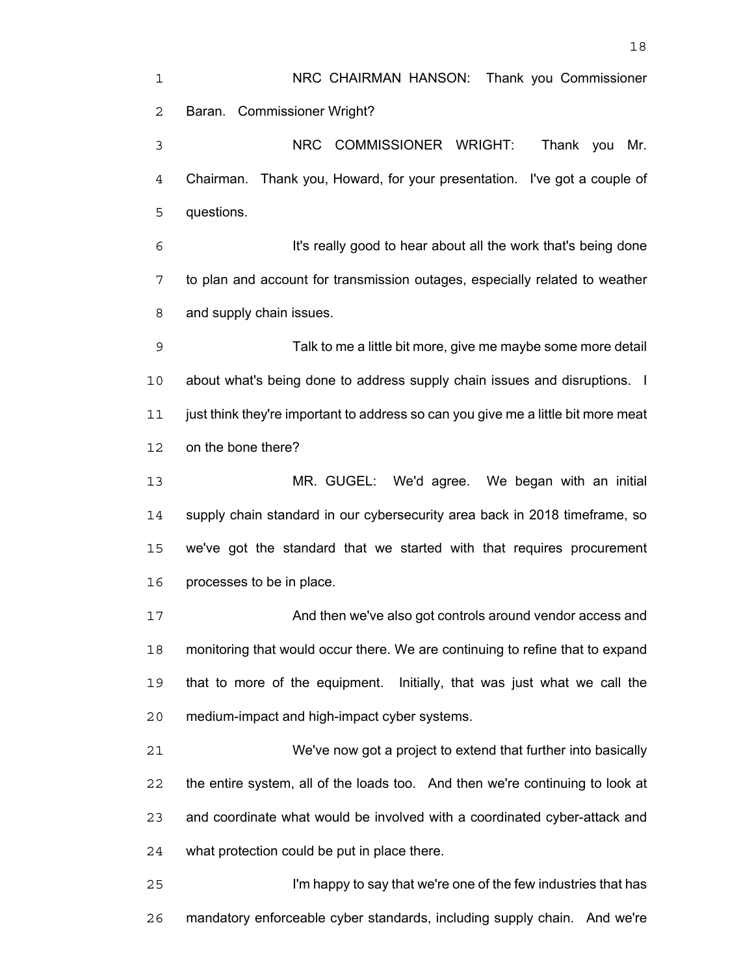NRC CHAIRMAN HANSON: Thank you Commissioner Baran. Commissioner Wright? NRC COMMISSIONER WRIGHT: Thank you Mr. Chairman. Thank you, Howard, for your presentation. I've got a couple of questions. It's really good to hear about all the work that's being done to plan and account for transmission outages, especially related to weather and supply chain issues. Talk to me a little bit more, give me maybe some more detail about what's being done to address supply chain issues and disruptions. I just think they're important to address so can you give me a little bit more meat on the bone there? MR. GUGEL: We'd agree. We began with an initial supply chain standard in our cybersecurity area back in 2018 timeframe, so we've got the standard that we started with that requires procurement processes to be in place. And then we've also got controls around vendor access and monitoring that would occur there. We are continuing to refine that to expand that to more of the equipment. Initially, that was just what we call the medium-impact and high-impact cyber systems. We've now got a project to extend that further into basically the entire system, all of the loads too. And then we're continuing to look at and coordinate what would be involved with a coordinated cyber-attack and what protection could be put in place there. I'm happy to say that we're one of the few industries that has

mandatory enforceable cyber standards, including supply chain. And we're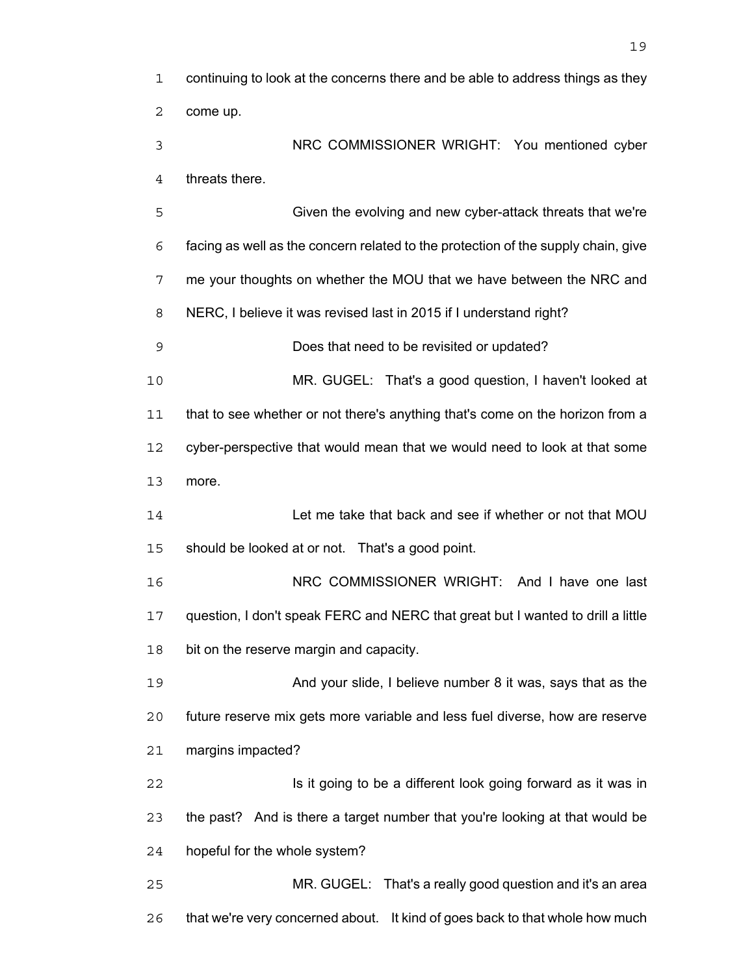| 1              | continuing to look at the concerns there and be able to address things as they    |
|----------------|-----------------------------------------------------------------------------------|
| 2              | come up.                                                                          |
| 3              | NRC COMMISSIONER WRIGHT: You mentioned cyber                                      |
| $\overline{4}$ | threats there.                                                                    |
| 5              | Given the evolving and new cyber-attack threats that we're                        |
| 6              | facing as well as the concern related to the protection of the supply chain, give |
| 7              | me your thoughts on whether the MOU that we have between the NRC and              |
| 8              | NERC, I believe it was revised last in 2015 if I understand right?                |
| 9              | Does that need to be revisited or updated?                                        |
| 10             | MR. GUGEL: That's a good question, I haven't looked at                            |
| 11             | that to see whether or not there's anything that's come on the horizon from a     |
| 12             | cyber-perspective that would mean that we would need to look at that some         |
| 13             | more.                                                                             |
| 14             | Let me take that back and see if whether or not that MOU                          |
| 15             | should be looked at or not. That's a good point.                                  |
| 16             | NRC COMMISSIONER WRIGHT: And I have one last                                      |
| 17             | question, I don't speak FERC and NERC that great but I wanted to drill a little   |
| 18             | bit on the reserve margin and capacity.                                           |
| 19             | And your slide, I believe number 8 it was, says that as the                       |
| 20             | future reserve mix gets more variable and less fuel diverse, how are reserve      |
| 21             | margins impacted?                                                                 |
| 22             | Is it going to be a different look going forward as it was in                     |
| 23             | the past? And is there a target number that you're looking at that would be       |
| 24             | hopeful for the whole system?                                                     |
| 25             | MR. GUGEL: That's a really good question and it's an area                         |
| 26             | that we're very concerned about. It kind of goes back to that whole how much      |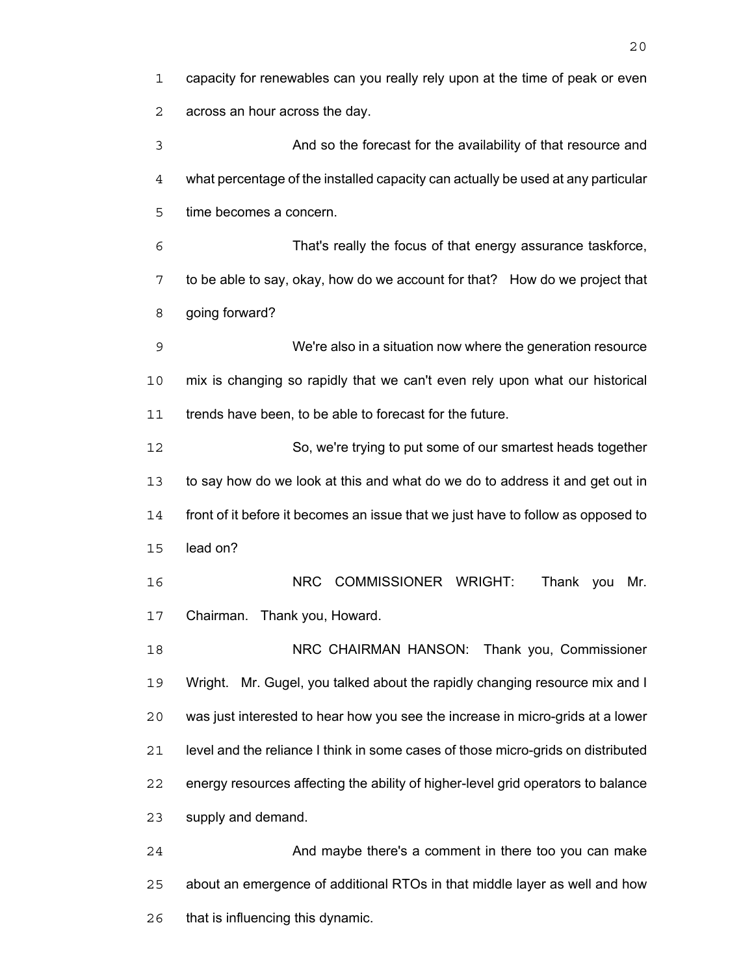capacity for renewables can you really rely upon at the time of peak or even across an hour across the day. And so the forecast for the availability of that resource and what percentage of the installed capacity can actually be used at any particular time becomes a concern. That's really the focus of that energy assurance taskforce, to be able to say, okay, how do we account for that? How do we project that going forward? We're also in a situation now where the generation resource mix is changing so rapidly that we can't even rely upon what our historical 11 trends have been, to be able to forecast for the future. So, we're trying to put some of our smartest heads together to say how do we look at this and what do we do to address it and get out in front of it before it becomes an issue that we just have to follow as opposed to lead on? NRC COMMISSIONER WRIGHT: Thank you Mr. Chairman. Thank you, Howard. NRC CHAIRMAN HANSON: Thank you, Commissioner Wright. Mr. Gugel, you talked about the rapidly changing resource mix and I was just interested to hear how you see the increase in micro-grids at a lower level and the reliance I think in some cases of those micro-grids on distributed energy resources affecting the ability of higher-level grid operators to balance supply and demand. And maybe there's a comment in there too you can make

about an emergence of additional RTOs in that middle layer as well and how

that is influencing this dynamic.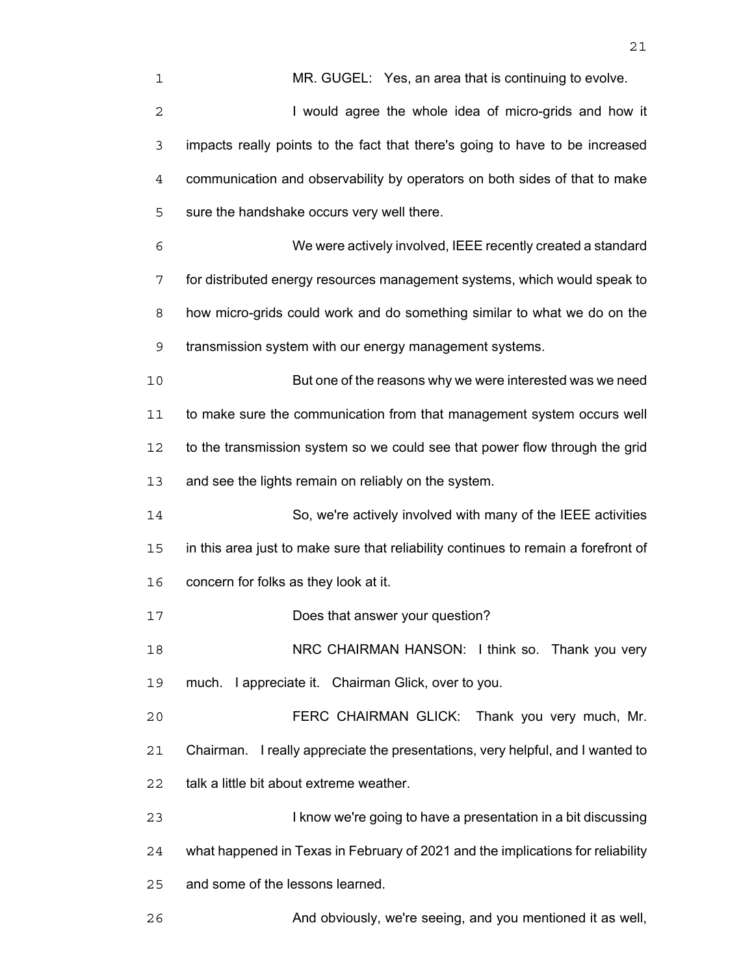| 1           | MR. GUGEL: Yes, an area that is continuing to evolve.                              |
|-------------|------------------------------------------------------------------------------------|
| 2           | I would agree the whole idea of micro-grids and how it                             |
| 3           | impacts really points to the fact that there's going to have to be increased       |
| 4           | communication and observability by operators on both sides of that to make         |
| 5           | sure the handshake occurs very well there.                                         |
| 6           | We were actively involved, IEEE recently created a standard                        |
| 7           | for distributed energy resources management systems, which would speak to          |
| 8           | how micro-grids could work and do something similar to what we do on the           |
| $\mathsf 9$ | transmission system with our energy management systems.                            |
| 10          | But one of the reasons why we were interested was we need                          |
| 11          | to make sure the communication from that management system occurs well             |
| 12          | to the transmission system so we could see that power flow through the grid        |
| 13          | and see the lights remain on reliably on the system.                               |
| 14          | So, we're actively involved with many of the IEEE activities                       |
| 15          | in this area just to make sure that reliability continues to remain a forefront of |
| 16          | concern for folks as they look at it.                                              |
| 17          | Does that answer your question?                                                    |
| 18          | NRC CHAIRMAN HANSON: I think so. Thank you very                                    |
| 19          | much. I appreciate it. Chairman Glick, over to you.                                |
| 20          | FERC CHAIRMAN GLICK: Thank you very much, Mr.                                      |
| 21          | Chairman. I really appreciate the presentations, very helpful, and I wanted to     |
| 22          | talk a little bit about extreme weather.                                           |
| 23          | I know we're going to have a presentation in a bit discussing                      |
| 24          | what happened in Texas in February of 2021 and the implications for reliability    |
| 25          | and some of the lessons learned.                                                   |
| 26          | And obviously, we're seeing, and you mentioned it as well,                         |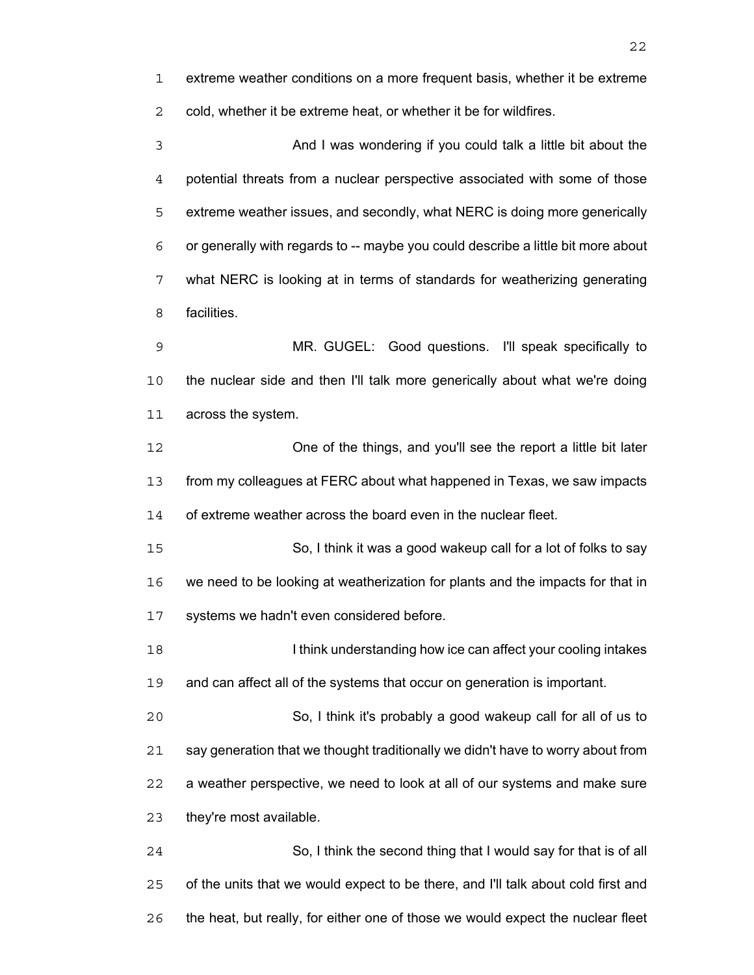extreme weather conditions on a more frequent basis, whether it be extreme cold, whether it be extreme heat, or whether it be for wildfires.

And I was wondering if you could talk a little bit about the potential threats from a nuclear perspective associated with some of those extreme weather issues, and secondly, what NERC is doing more generically or generally with regards to -- maybe you could describe a little bit more about what NERC is looking at in terms of standards for weatherizing generating facilities.

MR. GUGEL: Good questions. I'll speak specifically to the nuclear side and then I'll talk more generically about what we're doing across the system.

One of the things, and you'll see the report a little bit later from my colleagues at FERC about what happened in Texas, we saw impacts of extreme weather across the board even in the nuclear fleet.

So, I think it was a good wakeup call for a lot of folks to say we need to be looking at weatherization for plants and the impacts for that in systems we hadn't even considered before.

**I know is a limid understanding how ice can affect your cooling intakes** and can affect all of the systems that occur on generation is important.

So, I think it's probably a good wakeup call for all of us to say generation that we thought traditionally we didn't have to worry about from a weather perspective, we need to look at all of our systems and make sure they're most available.

So, I think the second thing that I would say for that is of all of the units that we would expect to be there, and I'll talk about cold first and the heat, but really, for either one of those we would expect the nuclear fleet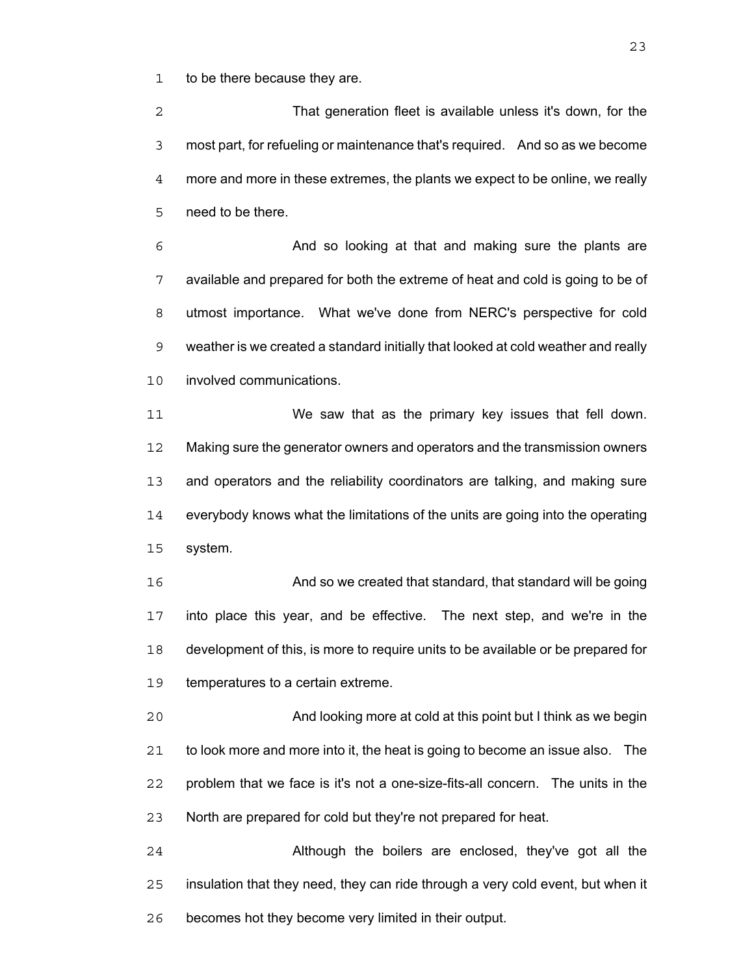to be there because they are.

That generation fleet is available unless it's down, for the most part, for refueling or maintenance that's required. And so as we become more and more in these extremes, the plants we expect to be online, we really need to be there.

And so looking at that and making sure the plants are available and prepared for both the extreme of heat and cold is going to be of utmost importance. What we've done from NERC's perspective for cold weather is we created a standard initially that looked at cold weather and really involved communications.

We saw that as the primary key issues that fell down. Making sure the generator owners and operators and the transmission owners and operators and the reliability coordinators are talking, and making sure everybody knows what the limitations of the units are going into the operating system.

And so we created that standard, that standard will be going into place this year, and be effective. The next step, and we're in the development of this, is more to require units to be available or be prepared for temperatures to a certain extreme.

And looking more at cold at this point but I think as we begin to look more and more into it, the heat is going to become an issue also. The problem that we face is it's not a one-size-fits-all concern. The units in the North are prepared for cold but they're not prepared for heat.

Although the boilers are enclosed, they've got all the insulation that they need, they can ride through a very cold event, but when it becomes hot they become very limited in their output.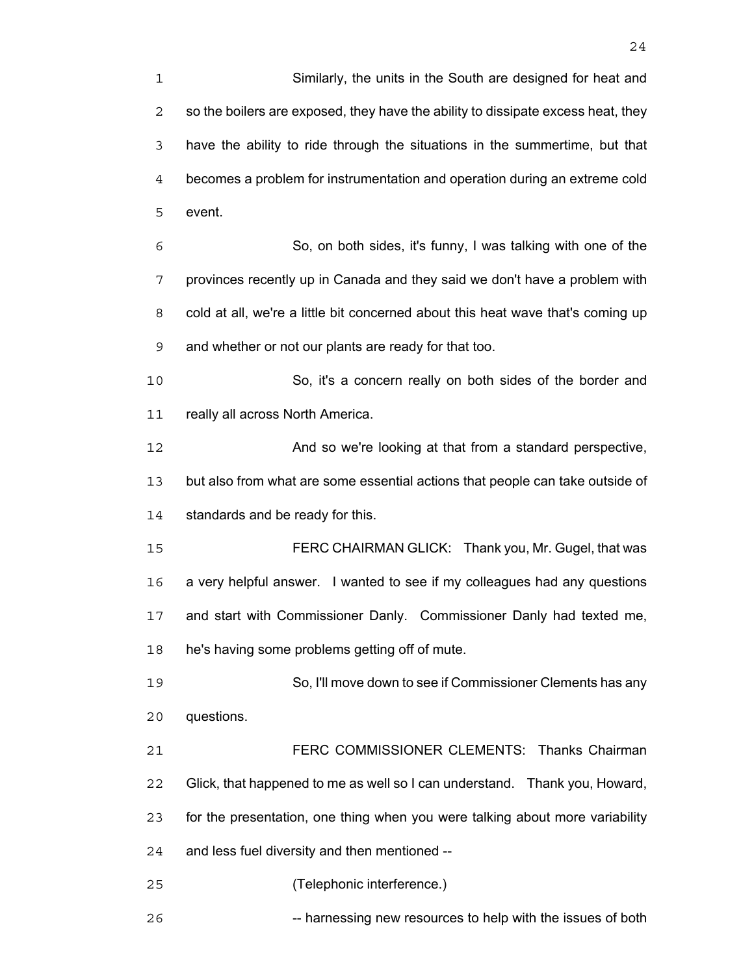have the ability to ride through the situations in the summertime, but that becomes a problem for instrumentation and operation during an extreme cold event.

So, on both sides, it's funny, I was talking with one of the provinces recently up in Canada and they said we don't have a problem with cold at all, we're a little bit concerned about this heat wave that's coming up and whether or not our plants are ready for that too.

So, it's a concern really on both sides of the border and 11 really all across North America.

And so we're looking at that from a standard perspective, but also from what are some essential actions that people can take outside of 14 standards and be ready for this.

FERC CHAIRMAN GLICK: Thank you, Mr. Gugel, that was a very helpful answer. I wanted to see if my colleagues had any questions and start with Commissioner Danly. Commissioner Danly had texted me, he's having some problems getting off of mute.

So, I'll move down to see if Commissioner Clements has any questions.

FERC COMMISSIONER CLEMENTS: Thanks Chairman Glick, that happened to me as well so I can understand. Thank you, Howard, for the presentation, one thing when you were talking about more variability and less fuel diversity and then mentioned --

(Telephonic interference.)

26 -- harnessing new resources to help with the issues of both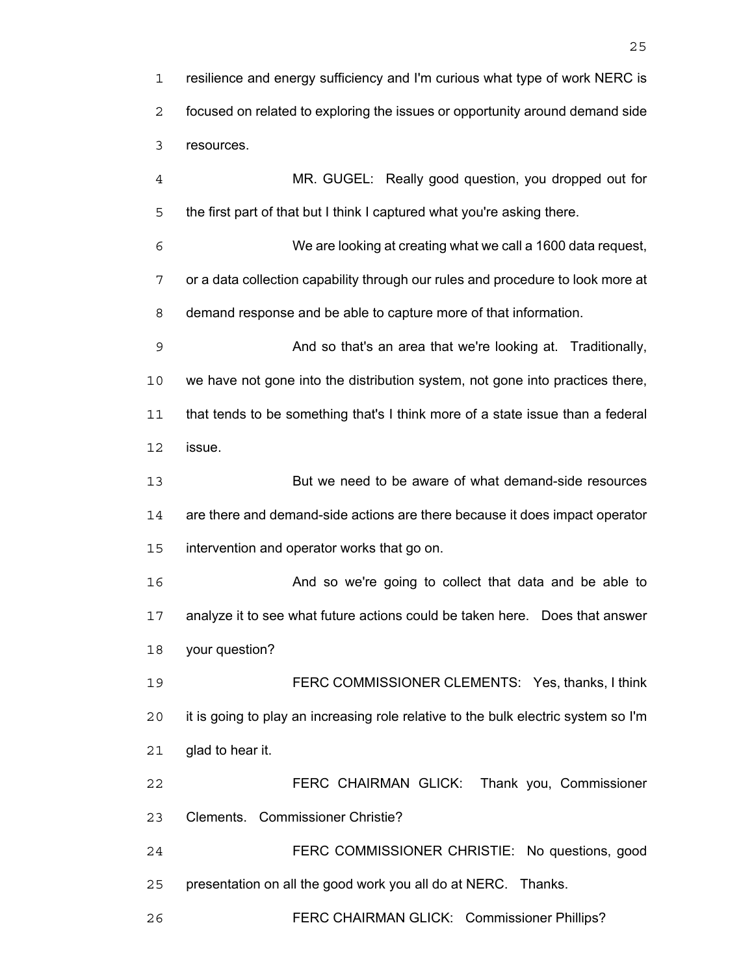resilience and energy sufficiency and I'm curious what type of work NERC is focused on related to exploring the issues or opportunity around demand side resources.

MR. GUGEL: Really good question, you dropped out for the first part of that but I think I captured what you're asking there.

We are looking at creating what we call a 1600 data request, or a data collection capability through our rules and procedure to look more at demand response and be able to capture more of that information.

And so that's an area that we're looking at. Traditionally, we have not gone into the distribution system, not gone into practices there, that tends to be something that's I think more of a state issue than a federal issue.

But we need to be aware of what demand-side resources are there and demand-side actions are there because it does impact operator intervention and operator works that go on.

And so we're going to collect that data and be able to analyze it to see what future actions could be taken here. Does that answer your question?

FERC COMMISSIONER CLEMENTS: Yes, thanks, I think it is going to play an increasing role relative to the bulk electric system so I'm glad to hear it.

FERC CHAIRMAN GLICK: Thank you, Commissioner Clements. Commissioner Christie?

FERC COMMISSIONER CHRISTIE: No questions, good presentation on all the good work you all do at NERC. Thanks.

FERC CHAIRMAN GLICK: Commissioner Phillips?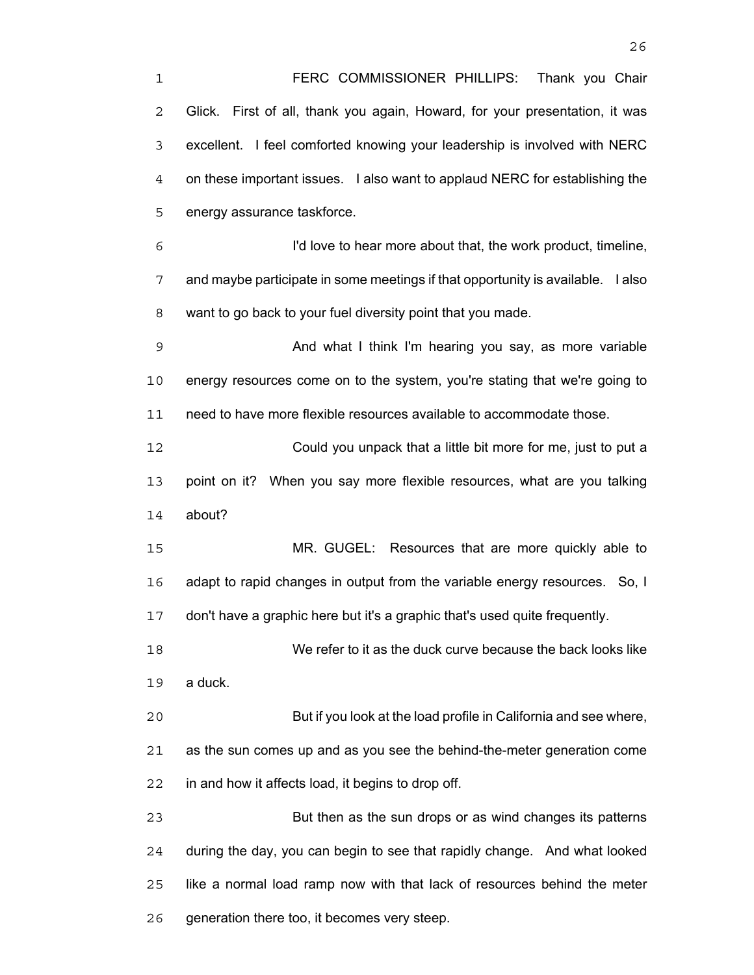FERC COMMISSIONER PHILLIPS: Thank you Chair Glick. First of all, thank you again, Howard, for your presentation, it was excellent. I feel comforted knowing your leadership is involved with NERC on these important issues. I also want to applaud NERC for establishing the energy assurance taskforce. I'd love to hear more about that, the work product, timeline, and maybe participate in some meetings if that opportunity is available. I also want to go back to your fuel diversity point that you made. And what I think I'm hearing you say, as more variable energy resources come on to the system, you're stating that we're going to need to have more flexible resources available to accommodate those. Could you unpack that a little bit more for me, just to put a point on it? When you say more flexible resources, what are you talking about? MR. GUGEL: Resources that are more quickly able to adapt to rapid changes in output from the variable energy resources. So, I don't have a graphic here but it's a graphic that's used quite frequently. We refer to it as the duck curve because the back looks like a duck. But if you look at the load profile in California and see where, as the sun comes up and as you see the behind-the-meter generation come in and how it affects load, it begins to drop off. But then as the sun drops or as wind changes its patterns during the day, you can begin to see that rapidly change. And what looked like a normal load ramp now with that lack of resources behind the meter

generation there too, it becomes very steep.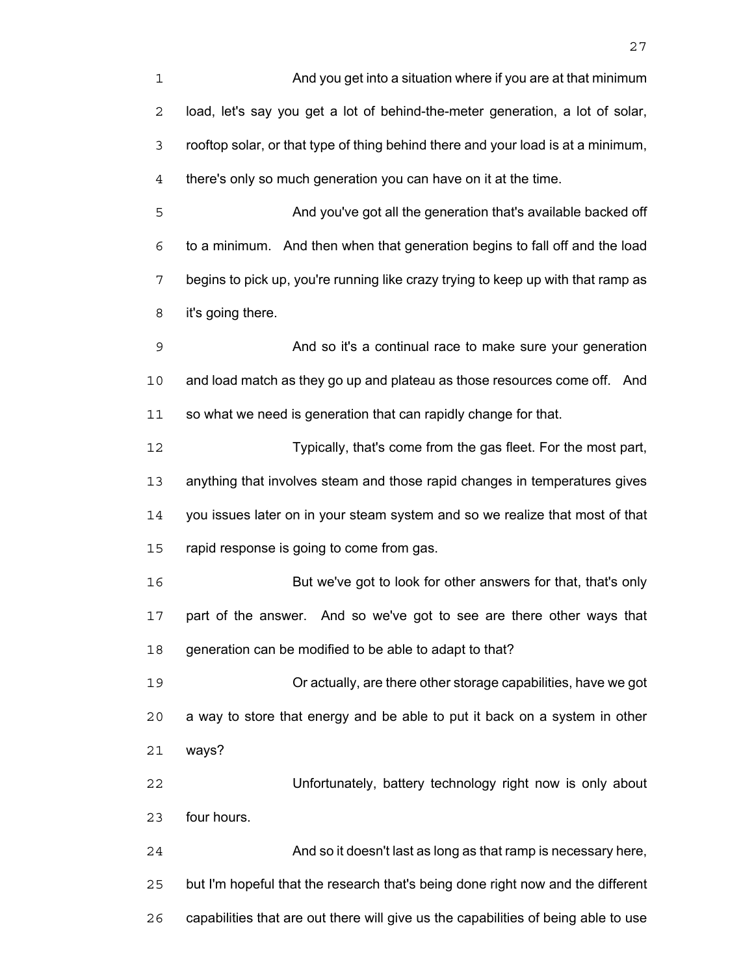And you get into a situation where if you are at that minimum load, let's say you get a lot of behind-the-meter generation, a lot of solar, rooftop solar, or that type of thing behind there and your load is at a minimum, there's only so much generation you can have on it at the time.

And you've got all the generation that's available backed off to a minimum. And then when that generation begins to fall off and the load begins to pick up, you're running like crazy trying to keep up with that ramp as it's going there.

And so it's a continual race to make sure your generation and load match as they go up and plateau as those resources come off. And 11 so what we need is generation that can rapidly change for that.

Typically, that's come from the gas fleet. For the most part, anything that involves steam and those rapid changes in temperatures gives you issues later on in your steam system and so we realize that most of that 15 rapid response is going to come from gas.

But we've got to look for other answers for that, that's only part of the answer. And so we've got to see are there other ways that generation can be modified to be able to adapt to that?

Or actually, are there other storage capabilities, have we got a way to store that energy and be able to put it back on a system in other ways?

Unfortunately, battery technology right now is only about four hours.

And so it doesn't last as long as that ramp is necessary here, but I'm hopeful that the research that's being done right now and the different capabilities that are out there will give us the capabilities of being able to use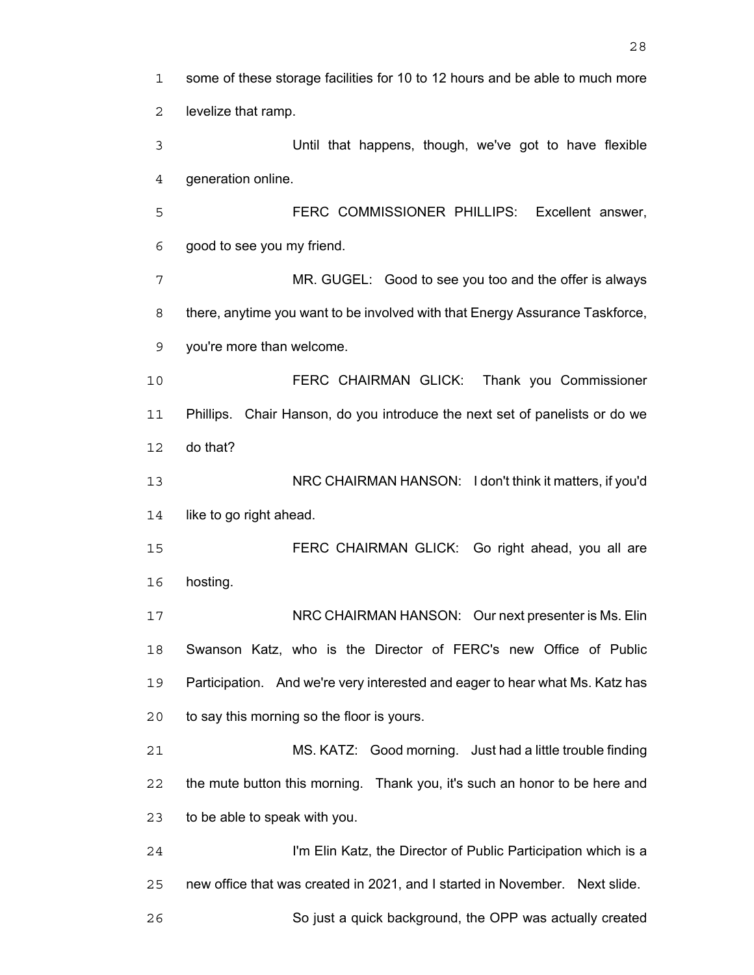| 1              | some of these storage facilities for 10 to 12 hours and be able to much more |
|----------------|------------------------------------------------------------------------------|
| 2              | levelize that ramp.                                                          |
| 3              | Until that happens, though, we've got to have flexible                       |
| $\overline{4}$ | generation online.                                                           |
| 5              | FERC COMMISSIONER PHILLIPS: Excellent answer,                                |
| 6              | good to see you my friend.                                                   |
| 7              | MR. GUGEL: Good to see you too and the offer is always                       |
| 8              | there, anytime you want to be involved with that Energy Assurance Taskforce, |
| 9              | you're more than welcome.                                                    |
| 10             | FERC CHAIRMAN GLICK: Thank you Commissioner                                  |
| 11             | Phillips. Chair Hanson, do you introduce the next set of panelists or do we  |
| 12             | do that?                                                                     |
| 13             | NRC CHAIRMAN HANSON: I don't think it matters, if you'd                      |
| 14             | like to go right ahead.                                                      |
| 15             | FERC CHAIRMAN GLICK: Go right ahead, you all are                             |
| 16             | hosting.                                                                     |
| 17             | NRC CHAIRMAN HANSON: Our next presenter is Ms. Elin                          |
| 18             | Swanson Katz, who is the Director of FERC's new Office of Public             |
| 19             | Participation. And we're very interested and eager to hear what Ms. Katz has |
| 20             | to say this morning so the floor is yours.                                   |
| 21             | MS. KATZ: Good morning. Just had a little trouble finding                    |
| 22             | the mute button this morning. Thank you, it's such an honor to be here and   |
| 23             | to be able to speak with you.                                                |
| 24             | I'm Elin Katz, the Director of Public Participation which is a               |
| 25             | new office that was created in 2021, and I started in November. Next slide.  |
| 26             | So just a quick background, the OPP was actually created                     |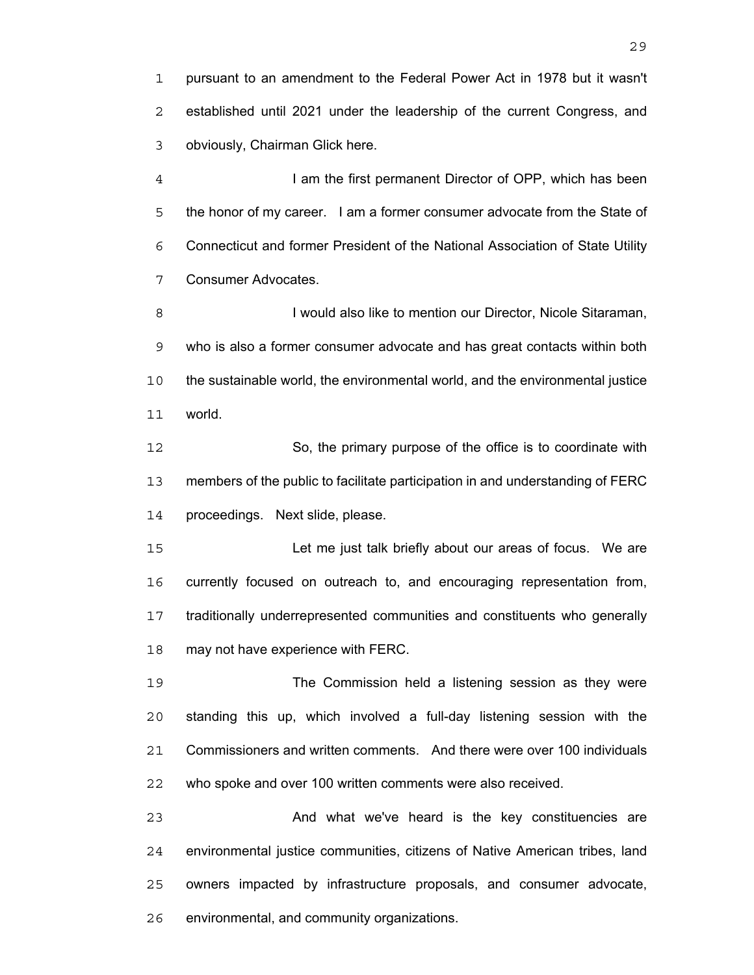pursuant to an amendment to the Federal Power Act in 1978 but it wasn't established until 2021 under the leadership of the current Congress, and obviously, Chairman Glick here.

I am the first permanent Director of OPP, which has been the honor of my career. I am a former consumer advocate from the State of Connecticut and former President of the National Association of State Utility Consumer Advocates.

**I** would also like to mention our Director, Nicole Sitaraman, who is also a former consumer advocate and has great contacts within both the sustainable world, the environmental world, and the environmental justice world.

So, the primary purpose of the office is to coordinate with members of the public to facilitate participation in and understanding of FERC proceedings. Next slide, please.

Let me just talk briefly about our areas of focus. We are currently focused on outreach to, and encouraging representation from, traditionally underrepresented communities and constituents who generally may not have experience with FERC.

The Commission held a listening session as they were standing this up, which involved a full-day listening session with the Commissioners and written comments. And there were over 100 individuals who spoke and over 100 written comments were also received.

And what we've heard is the key constituencies are environmental justice communities, citizens of Native American tribes, land owners impacted by infrastructure proposals, and consumer advocate, environmental, and community organizations.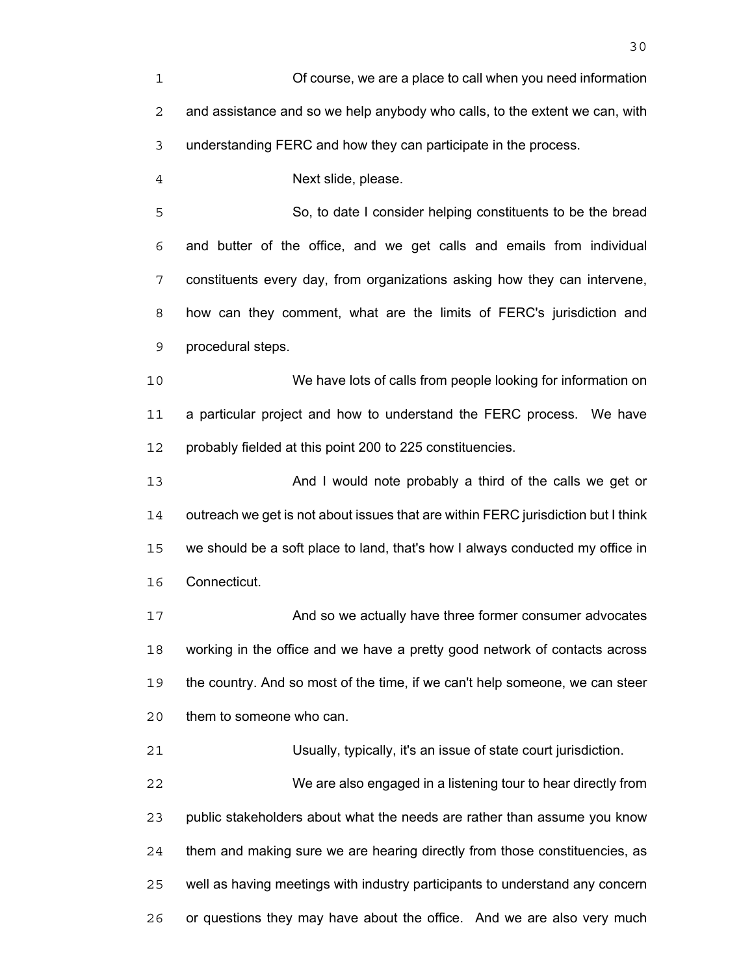| 1  | Of course, we are a place to call when you need information                       |
|----|-----------------------------------------------------------------------------------|
| 2  | and assistance and so we help anybody who calls, to the extent we can, with       |
| 3  | understanding FERC and how they can participate in the process.                   |
| 4  | Next slide, please.                                                               |
| 5  | So, to date I consider helping constituents to be the bread                       |
| 6  | and butter of the office, and we get calls and emails from individual             |
| 7  | constituents every day, from organizations asking how they can intervene,         |
| 8  | how can they comment, what are the limits of FERC's jurisdiction and              |
| 9  | procedural steps.                                                                 |
| 10 | We have lots of calls from people looking for information on                      |
| 11 | a particular project and how to understand the FERC process. We have              |
| 12 | probably fielded at this point 200 to 225 constituencies.                         |
| 13 | And I would note probably a third of the calls we get or                          |
| 14 | outreach we get is not about issues that are within FERC jurisdiction but I think |
| 15 | we should be a soft place to land, that's how I always conducted my office in     |
| 16 | Connecticut.                                                                      |
| 17 | And so we actually have three former consumer advocates                           |
| 18 | working in the office and we have a pretty good network of contacts across        |
| 19 | the country. And so most of the time, if we can't help someone, we can steer      |
| 20 | them to someone who can.                                                          |
| 21 | Usually, typically, it's an issue of state court jurisdiction.                    |
| 22 | We are also engaged in a listening tour to hear directly from                     |
| 23 | public stakeholders about what the needs are rather than assume you know          |
| 24 | them and making sure we are hearing directly from those constituencies, as        |
| 25 | well as having meetings with industry participants to understand any concern      |

or questions they may have about the office. And we are also very much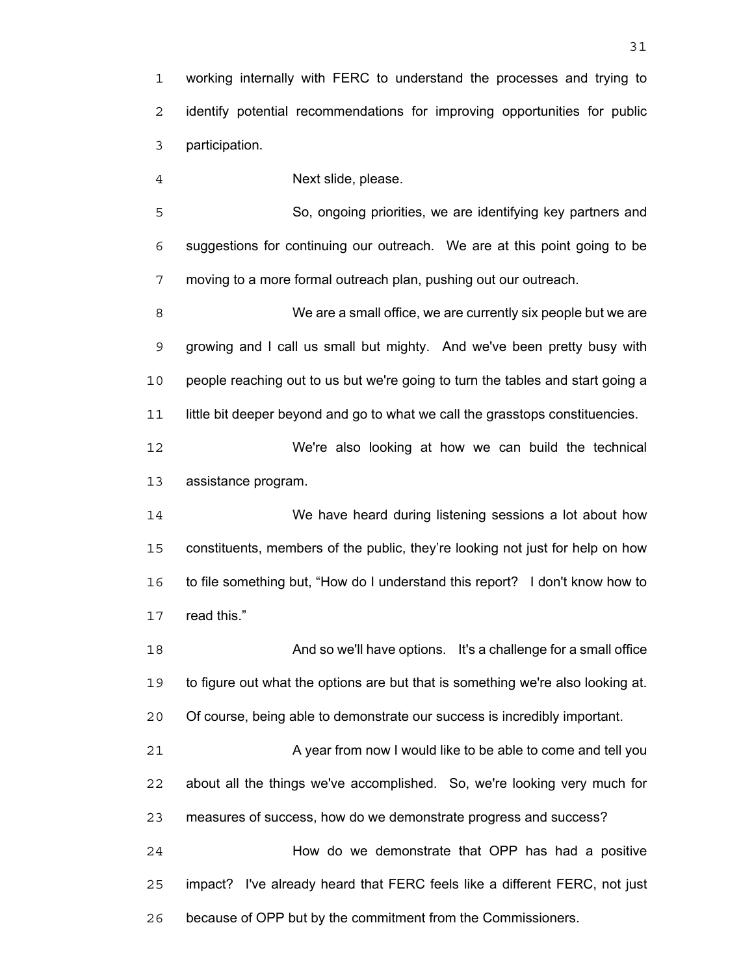working internally with FERC to understand the processes and trying to identify potential recommendations for improving opportunities for public participation.

Next slide, please.

So, ongoing priorities, we are identifying key partners and suggestions for continuing our outreach. We are at this point going to be moving to a more formal outreach plan, pushing out our outreach.

We are a small office, we are currently six people but we are growing and I call us small but mighty. And we've been pretty busy with people reaching out to us but we're going to turn the tables and start going a little bit deeper beyond and go to what we call the grasstops constituencies.

We're also looking at how we can build the technical assistance program.

We have heard during listening sessions a lot about how constituents, members of the public, they're looking not just for help on how to file something but, "How do I understand this report? I don't know how to read this."

And so we'll have options. It's a challenge for a small office to figure out what the options are but that is something we're also looking at. Of course, being able to demonstrate our success is incredibly important. 21 A year from now I would like to be able to come and tell you about all the things we've accomplished. So, we're looking very much for measures of success, how do we demonstrate progress and success? How do we demonstrate that OPP has had a positive

impact? I've already heard that FERC feels like a different FERC, not just because of OPP but by the commitment from the Commissioners.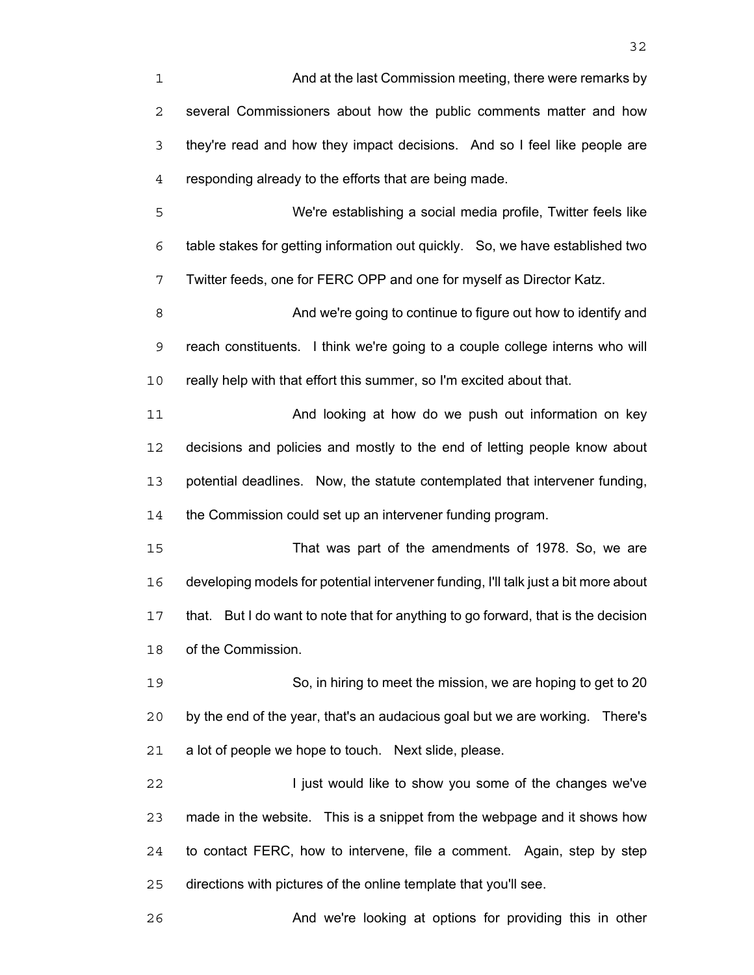And at the last Commission meeting, there were remarks by several Commissioners about how the public comments matter and how they're read and how they impact decisions. And so I feel like people are responding already to the efforts that are being made.

We're establishing a social media profile, Twitter feels like table stakes for getting information out quickly. So, we have established two Twitter feeds, one for FERC OPP and one for myself as Director Katz.

And we're going to continue to figure out how to identify and reach constituents. I think we're going to a couple college interns who will really help with that effort this summer, so I'm excited about that.

**And looking at how do we push out information on key** decisions and policies and mostly to the end of letting people know about potential deadlines. Now, the statute contemplated that intervener funding, 14 the Commission could set up an intervener funding program.

That was part of the amendments of 1978. So, we are developing models for potential intervener funding, I'll talk just a bit more about that. But I do want to note that for anything to go forward, that is the decision of the Commission.

So, in hiring to meet the mission, we are hoping to get to 20 by the end of the year, that's an audacious goal but we are working. There's a lot of people we hope to touch. Next slide, please.

**I** just would like to show you some of the changes we've made in the website. This is a snippet from the webpage and it shows how to contact FERC, how to intervene, file a comment. Again, step by step directions with pictures of the online template that you'll see.

And we're looking at options for providing this in other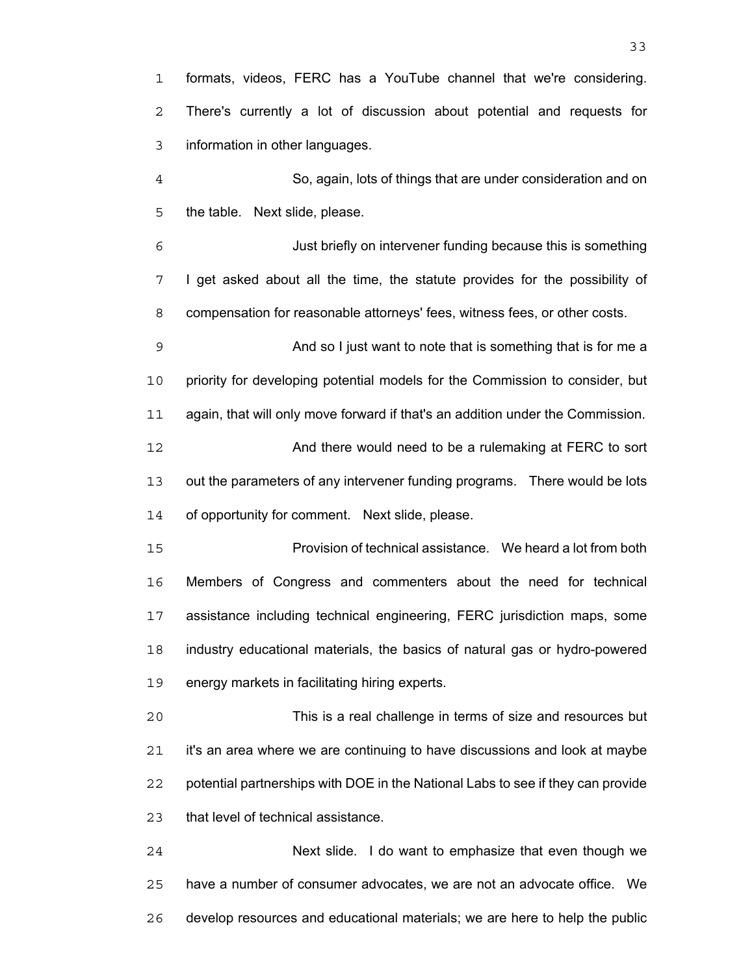formats, videos, FERC has a YouTube channel that we're considering. There's currently a lot of discussion about potential and requests for information in other languages.

So, again, lots of things that are under consideration and on the table. Next slide, please.

Just briefly on intervener funding because this is something I get asked about all the time, the statute provides for the possibility of compensation for reasonable attorneys' fees, witness fees, or other costs.

And so I just want to note that is something that is for me a priority for developing potential models for the Commission to consider, but again, that will only move forward if that's an addition under the Commission. And there would need to be a rulemaking at FERC to sort out the parameters of any intervener funding programs. There would be lots of opportunity for comment. Next slide, please.

Provision of technical assistance. We heard a lot from both Members of Congress and commenters about the need for technical assistance including technical engineering, FERC jurisdiction maps, some industry educational materials, the basics of natural gas or hydro-powered energy markets in facilitating hiring experts.

This is a real challenge in terms of size and resources but it's an area where we are continuing to have discussions and look at maybe potential partnerships with DOE in the National Labs to see if they can provide that level of technical assistance.

Next slide. I do want to emphasize that even though we have a number of consumer advocates, we are not an advocate office. We develop resources and educational materials; we are here to help the public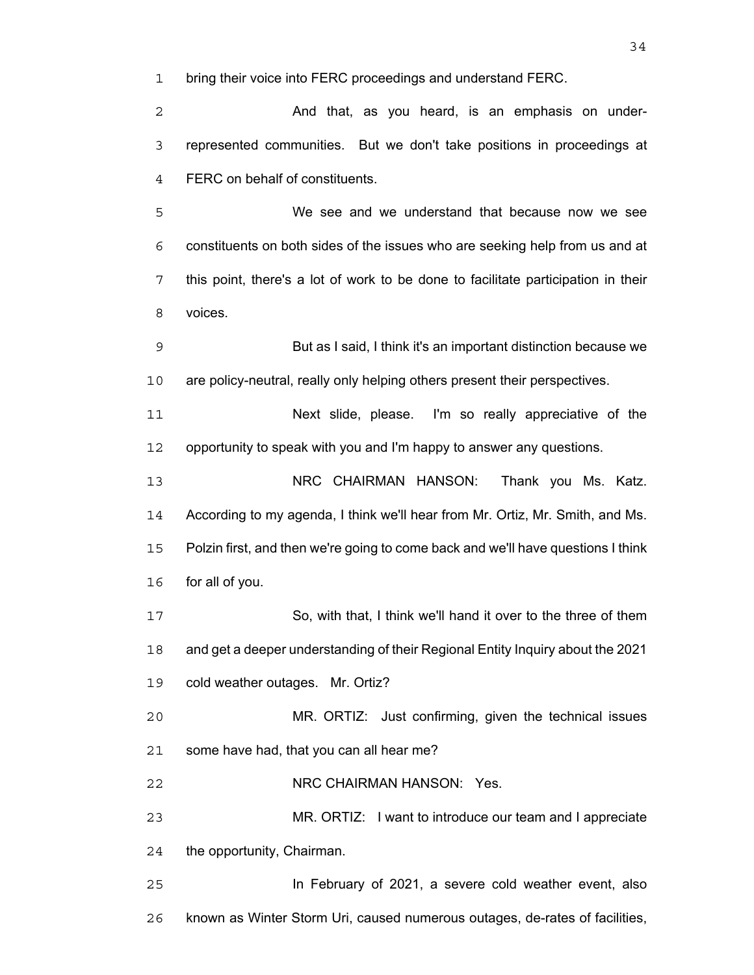bring their voice into FERC proceedings and understand FERC.

And that, as you heard, is an emphasis on under-represented communities. But we don't take positions in proceedings at FERC on behalf of constituents.

We see and we understand that because now we see constituents on both sides of the issues who are seeking help from us and at this point, there's a lot of work to be done to facilitate participation in their voices.

But as I said, I think it's an important distinction because we are policy-neutral, really only helping others present their perspectives.

Next slide, please. I'm so really appreciative of the opportunity to speak with you and I'm happy to answer any questions.

NRC CHAIRMAN HANSON: Thank you Ms. Katz. According to my agenda, I think we'll hear from Mr. Ortiz, Mr. Smith, and Ms. Polzin first, and then we're going to come back and we'll have questions I think for all of you.

So, with that, I think we'll hand it over to the three of them and get a deeper understanding of their Regional Entity Inquiry about the 2021 cold weather outages. Mr. Ortiz?

MR. ORTIZ: Just confirming, given the technical issues some have had, that you can all hear me?

NRC CHAIRMAN HANSON: Yes.

MR. ORTIZ: I want to introduce our team and I appreciate the opportunity, Chairman.

In February of 2021, a severe cold weather event, also known as Winter Storm Uri, caused numerous outages, de-rates of facilities,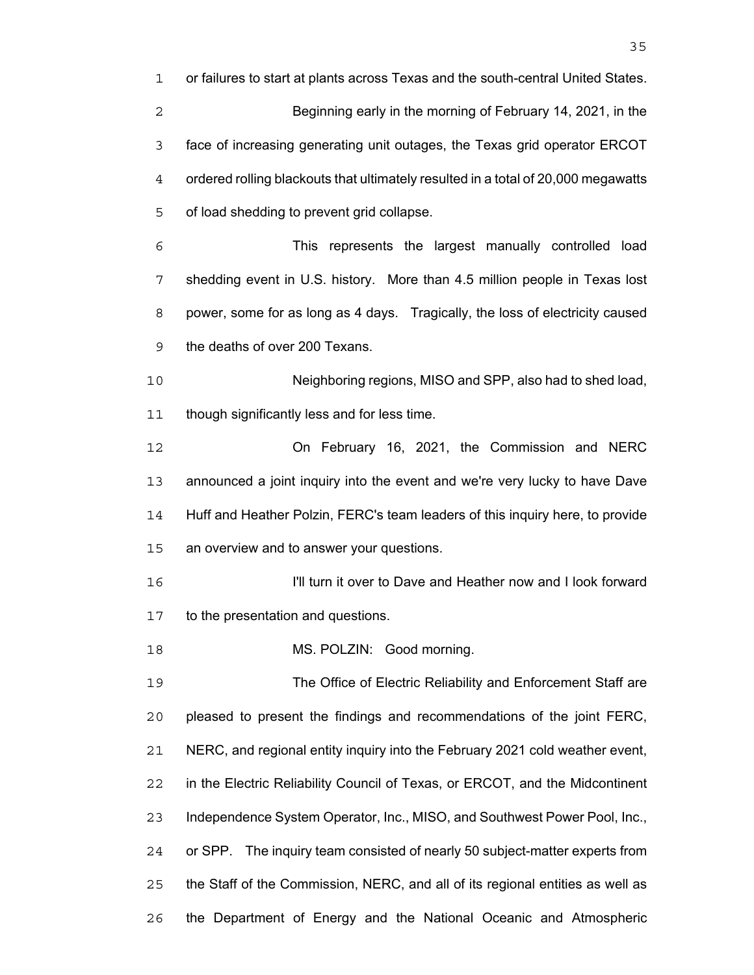| 1              | or failures to start at plants across Texas and the south-central United States.  |
|----------------|-----------------------------------------------------------------------------------|
| $\overline{c}$ | Beginning early in the morning of February 14, 2021, in the                       |
| 3              | face of increasing generating unit outages, the Texas grid operator ERCOT         |
| 4              | ordered rolling blackouts that ultimately resulted in a total of 20,000 megawatts |
| 5              | of load shedding to prevent grid collapse.                                        |
| 6              | This represents the largest manually controlled load                              |
| 7              | shedding event in U.S. history. More than 4.5 million people in Texas lost        |
| 8              | power, some for as long as 4 days. Tragically, the loss of electricity caused     |
| 9              | the deaths of over 200 Texans.                                                    |
| 10             | Neighboring regions, MISO and SPP, also had to shed load,                         |
| 11             | though significantly less and for less time.                                      |
| 12             | On February 16, 2021, the Commission and NERC                                     |
| 13             | announced a joint inquiry into the event and we're very lucky to have Dave        |
| 14             | Huff and Heather Polzin, FERC's team leaders of this inquiry here, to provide     |
| 15             | an overview and to answer your questions.                                         |
| 16             | I'll turn it over to Dave and Heather now and I look forward                      |
| 17             | to the presentation and questions.                                                |
| 18             | MS. POLZIN: Good morning.                                                         |
| 19             | The Office of Electric Reliability and Enforcement Staff are                      |
| 20             | pleased to present the findings and recommendations of the joint FERC,            |
| 21             | NERC, and regional entity inquiry into the February 2021 cold weather event,      |
| 22             | in the Electric Reliability Council of Texas, or ERCOT, and the Midcontinent      |
| 23             | Independence System Operator, Inc., MISO, and Southwest Power Pool, Inc.,         |
| 24             | or SPP. The inquiry team consisted of nearly 50 subject-matter experts from       |
| 25             | the Staff of the Commission, NERC, and all of its regional entities as well as    |
| 26             | the Department of Energy and the National Oceanic and Atmospheric                 |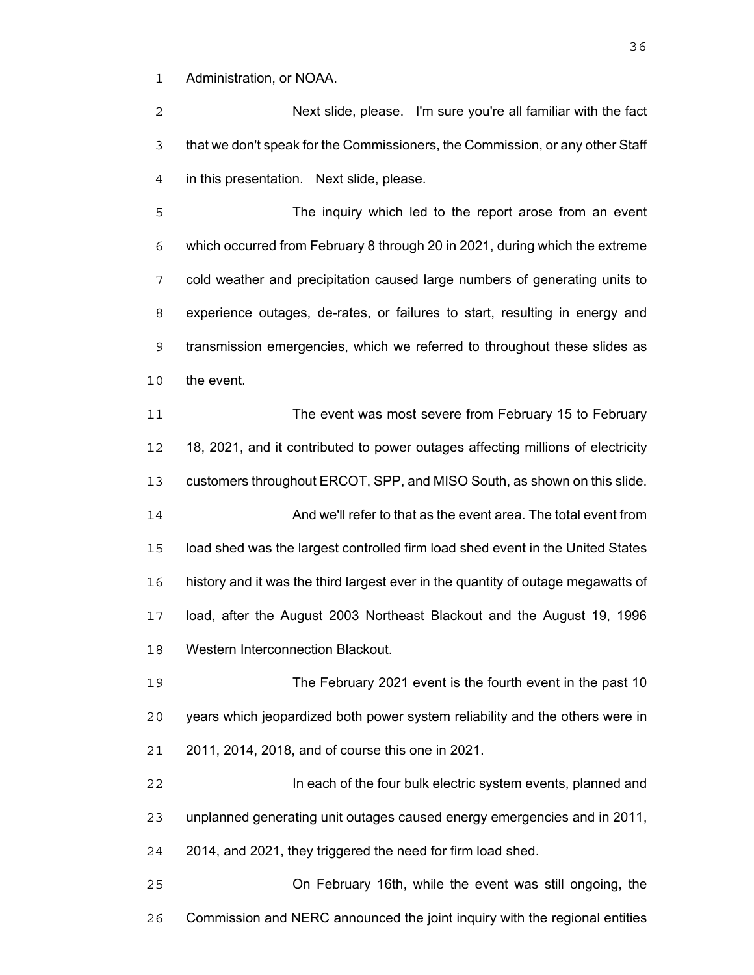Administration, or NOAA.

Next slide, please. I'm sure you're all familiar with the fact that we don't speak for the Commissioners, the Commission, or any other Staff in this presentation. Next slide, please.

The inquiry which led to the report arose from an event which occurred from February 8 through 20 in 2021, during which the extreme cold weather and precipitation caused large numbers of generating units to experience outages, de-rates, or failures to start, resulting in energy and transmission emergencies, which we referred to throughout these slides as the event.

The event was most severe from February 15 to February 18, 2021, and it contributed to power outages affecting millions of electricity customers throughout ERCOT, SPP, and MISO South, as shown on this slide. And we'll refer to that as the event area. The total event from load shed was the largest controlled firm load shed event in the United States history and it was the third largest ever in the quantity of outage megawatts of load, after the August 2003 Northeast Blackout and the August 19, 1996 Western Interconnection Blackout.

The February 2021 event is the fourth event in the past 10 years which jeopardized both power system reliability and the others were in 2011, 2014, 2018, and of course this one in 2021.

In each of the four bulk electric system events, planned and unplanned generating unit outages caused energy emergencies and in 2011, 2014, and 2021, they triggered the need for firm load shed.

On February 16th, while the event was still ongoing, the Commission and NERC announced the joint inquiry with the regional entities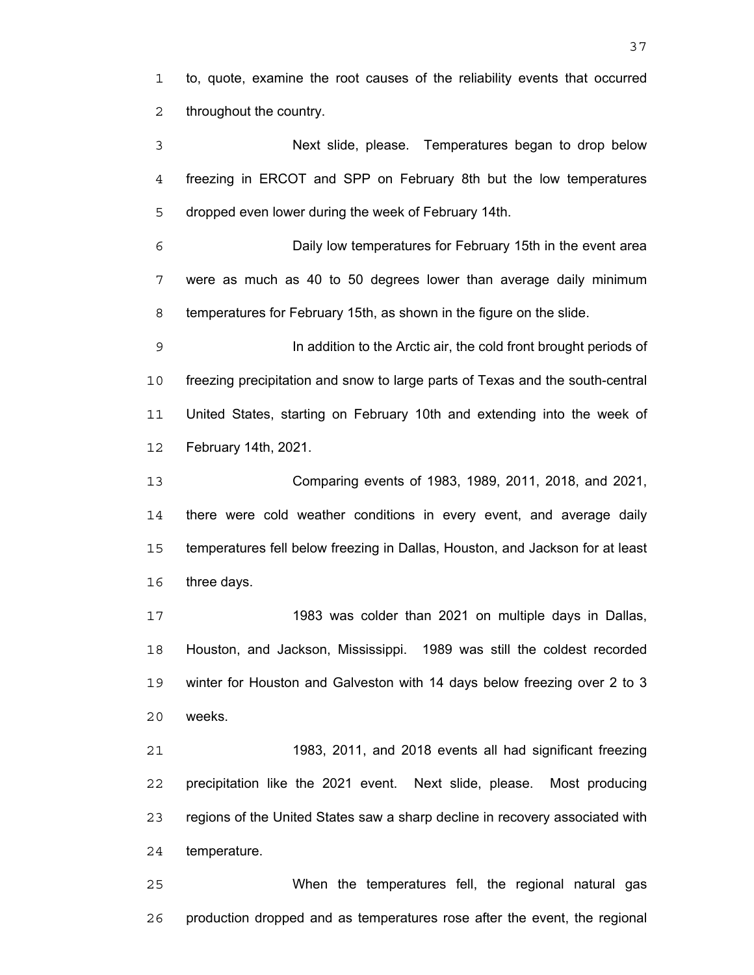to, quote, examine the root causes of the reliability events that occurred throughout the country.

Next slide, please. Temperatures began to drop below freezing in ERCOT and SPP on February 8th but the low temperatures dropped even lower during the week of February 14th.

Daily low temperatures for February 15th in the event area were as much as 40 to 50 degrees lower than average daily minimum temperatures for February 15th, as shown in the figure on the slide.

In addition to the Arctic air, the cold front brought periods of freezing precipitation and snow to large parts of Texas and the south-central United States, starting on February 10th and extending into the week of February 14th, 2021.

Comparing events of 1983, 1989, 2011, 2018, and 2021, there were cold weather conditions in every event, and average daily temperatures fell below freezing in Dallas, Houston, and Jackson for at least three days.

1983 was colder than 2021 on multiple days in Dallas, Houston, and Jackson, Mississippi. 1989 was still the coldest recorded winter for Houston and Galveston with 14 days below freezing over 2 to 3 weeks.

1983, 2011, and 2018 events all had significant freezing precipitation like the 2021 event. Next slide, please. Most producing regions of the United States saw a sharp decline in recovery associated with temperature.

When the temperatures fell, the regional natural gas production dropped and as temperatures rose after the event, the regional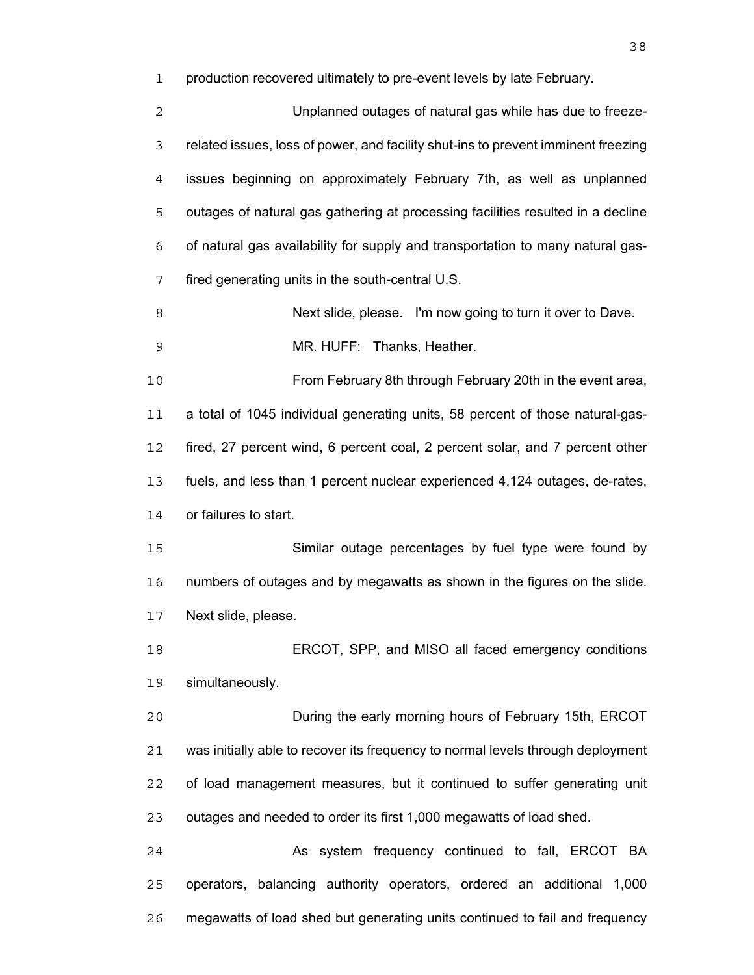production recovered ultimately to pre-event levels by late February.

Unplanned outages of natural gas while has due to freeze-related issues, loss of power, and facility shut-ins to prevent imminent freezing issues beginning on approximately February 7th, as well as unplanned outages of natural gas gathering at processing facilities resulted in a decline of natural gas availability for supply and transportation to many natural gas-fired generating units in the south-central U.S.

Next slide, please. I'm now going to turn it over to Dave.

MR. HUFF: Thanks, Heather.

From February 8th through February 20th in the event area, a total of 1045 individual generating units, 58 percent of those natural-gas-fired, 27 percent wind, 6 percent coal, 2 percent solar, and 7 percent other fuels, and less than 1 percent nuclear experienced 4,124 outages, de-rates, or failures to start.

Similar outage percentages by fuel type were found by numbers of outages and by megawatts as shown in the figures on the slide. Next slide, please.

ERCOT, SPP, and MISO all faced emergency conditions simultaneously.

During the early morning hours of February 15th, ERCOT was initially able to recover its frequency to normal levels through deployment of load management measures, but it continued to suffer generating unit outages and needed to order its first 1,000 megawatts of load shed.

24 As system frequency continued to fall, ERCOT BA operators, balancing authority operators, ordered an additional 1,000 megawatts of load shed but generating units continued to fail and frequency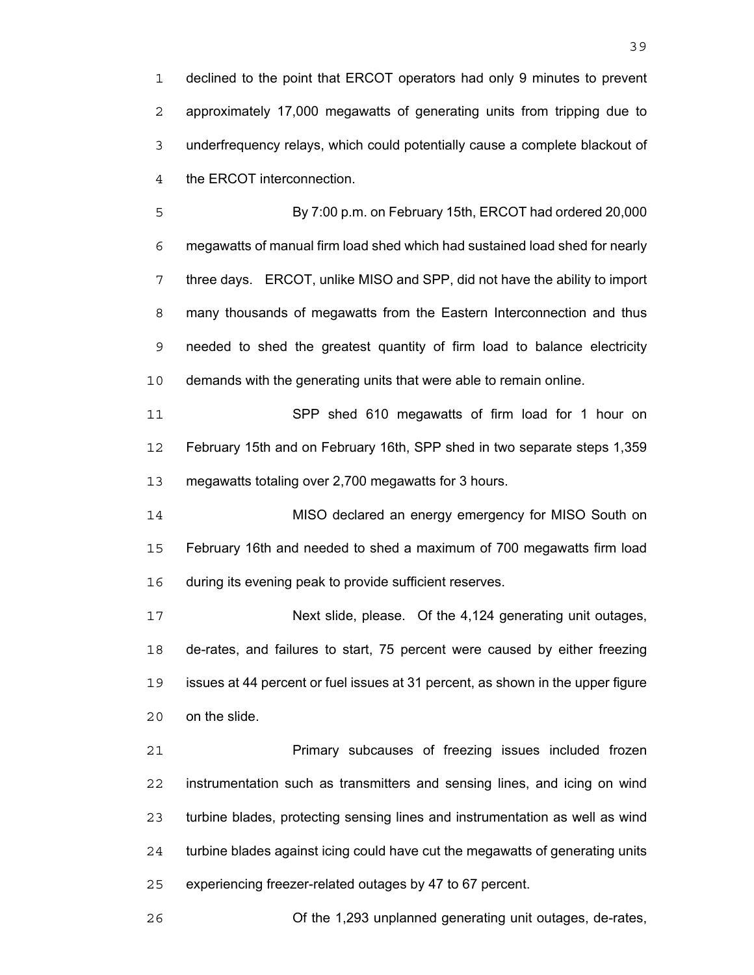declined to the point that ERCOT operators had only 9 minutes to prevent approximately 17,000 megawatts of generating units from tripping due to underfrequency relays, which could potentially cause a complete blackout of the ERCOT interconnection.

By 7:00 p.m. on February 15th, ERCOT had ordered 20,000 megawatts of manual firm load shed which had sustained load shed for nearly three days. ERCOT, unlike MISO and SPP, did not have the ability to import many thousands of megawatts from the Eastern Interconnection and thus needed to shed the greatest quantity of firm load to balance electricity demands with the generating units that were able to remain online.

SPP shed 610 megawatts of firm load for 1 hour on February 15th and on February 16th, SPP shed in two separate steps 1,359 megawatts totaling over 2,700 megawatts for 3 hours.

MISO declared an energy emergency for MISO South on February 16th and needed to shed a maximum of 700 megawatts firm load during its evening peak to provide sufficient reserves.

Next slide, please. Of the 4,124 generating unit outages, de-rates, and failures to start, 75 percent were caused by either freezing issues at 44 percent or fuel issues at 31 percent, as shown in the upper figure on the slide.

Primary subcauses of freezing issues included frozen instrumentation such as transmitters and sensing lines, and icing on wind turbine blades, protecting sensing lines and instrumentation as well as wind turbine blades against icing could have cut the megawatts of generating units experiencing freezer-related outages by 47 to 67 percent.

Of the 1,293 unplanned generating unit outages, de-rates,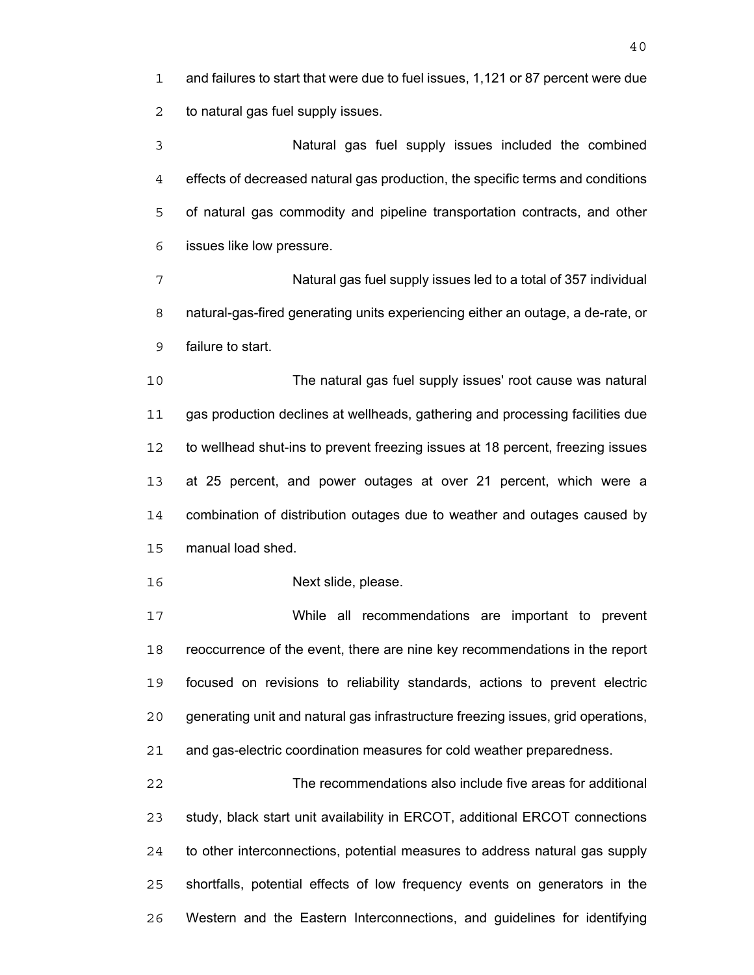and failures to start that were due to fuel issues, 1,121 or 87 percent were due to natural gas fuel supply issues.

Natural gas fuel supply issues included the combined effects of decreased natural gas production, the specific terms and conditions of natural gas commodity and pipeline transportation contracts, and other issues like low pressure.

Natural gas fuel supply issues led to a total of 357 individual natural-gas-fired generating units experiencing either an outage, a de-rate, or failure to start.

The natural gas fuel supply issues' root cause was natural gas production declines at wellheads, gathering and processing facilities due to wellhead shut-ins to prevent freezing issues at 18 percent, freezing issues at 25 percent, and power outages at over 21 percent, which were a combination of distribution outages due to weather and outages caused by manual load shed.

Next slide, please.

While all recommendations are important to prevent reoccurrence of the event, there are nine key recommendations in the report focused on revisions to reliability standards, actions to prevent electric generating unit and natural gas infrastructure freezing issues, grid operations, and gas-electric coordination measures for cold weather preparedness.

The recommendations also include five areas for additional study, black start unit availability in ERCOT, additional ERCOT connections to other interconnections, potential measures to address natural gas supply shortfalls, potential effects of low frequency events on generators in the Western and the Eastern Interconnections, and guidelines for identifying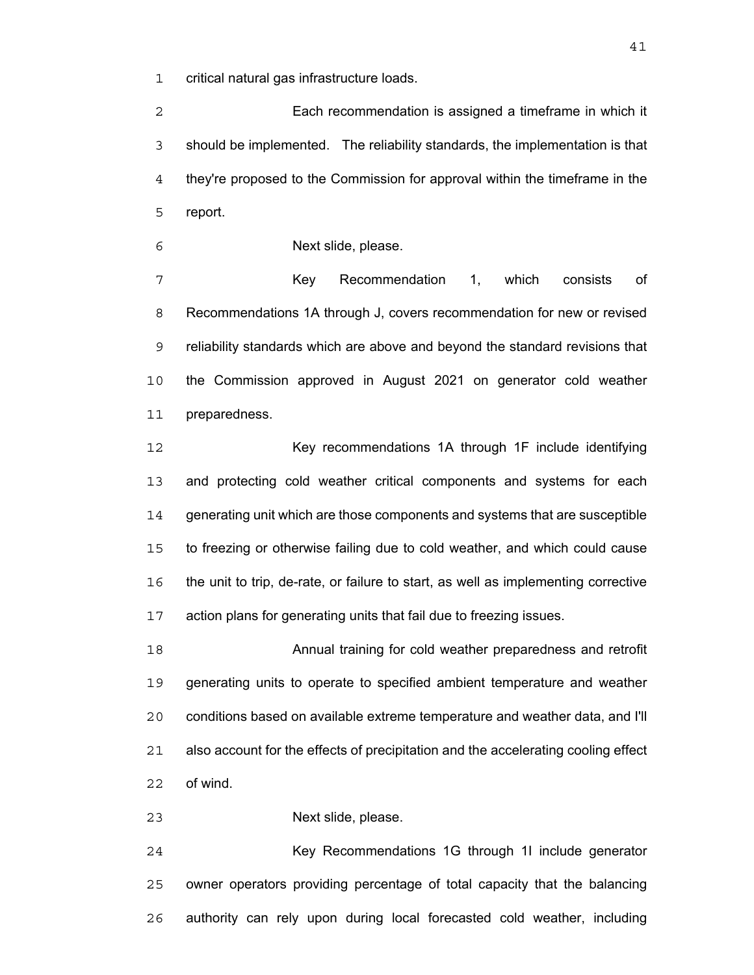critical natural gas infrastructure loads.

Each recommendation is assigned a timeframe in which it should be implemented. The reliability standards, the implementation is that they're proposed to the Commission for approval within the timeframe in the report.

Next slide, please.

Key Recommendation 1, which consists of Recommendations 1A through J, covers recommendation for new or revised reliability standards which are above and beyond the standard revisions that the Commission approved in August 2021 on generator cold weather preparedness.

12 Key recommendations 1A through 1F include identifying and protecting cold weather critical components and systems for each generating unit which are those components and systems that are susceptible to freezing or otherwise failing due to cold weather, and which could cause the unit to trip, de-rate, or failure to start, as well as implementing corrective action plans for generating units that fail due to freezing issues.

Annual training for cold weather preparedness and retrofit generating units to operate to specified ambient temperature and weather conditions based on available extreme temperature and weather data, and I'll also account for the effects of precipitation and the accelerating cooling effect of wind.

Next slide, please.

24 Key Recommendations 1G through 11 include generator owner operators providing percentage of total capacity that the balancing authority can rely upon during local forecasted cold weather, including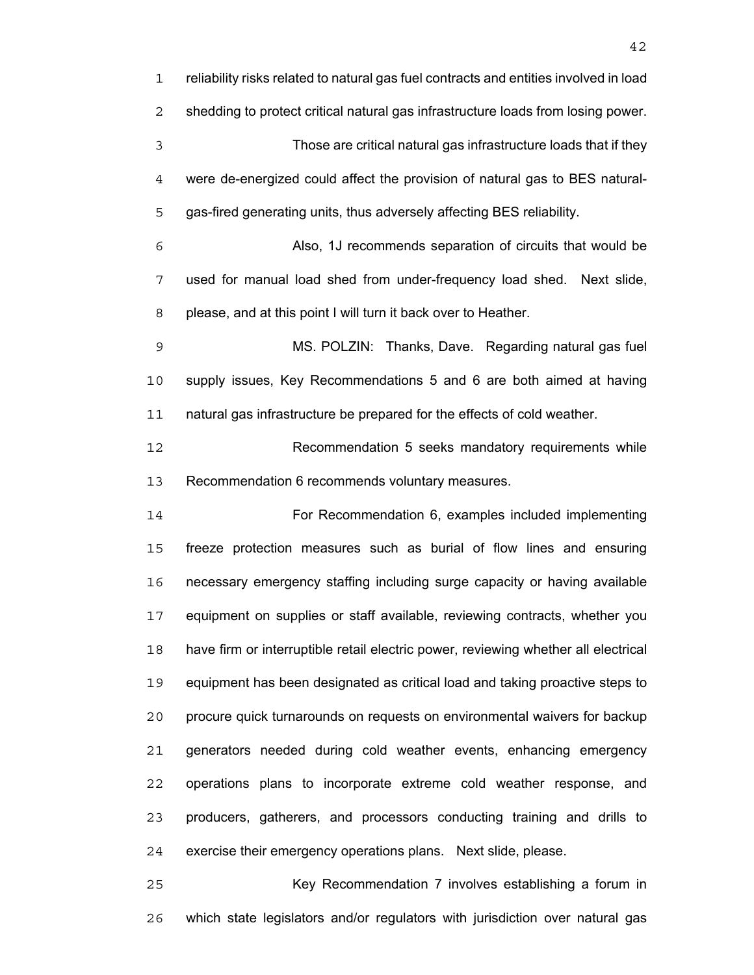reliability risks related to natural gas fuel contracts and entities involved in load shedding to protect critical natural gas infrastructure loads from losing power. Those are critical natural gas infrastructure loads that if they were de-energized could affect the provision of natural gas to BES natural-gas-fired generating units, thus adversely affecting BES reliability. Also, 1J recommends separation of circuits that would be used for manual load shed from under-frequency load shed. Next slide, please, and at this point I will turn it back over to Heather. MS. POLZIN: Thanks, Dave. Regarding natural gas fuel supply issues, Key Recommendations 5 and 6 are both aimed at having natural gas infrastructure be prepared for the effects of cold weather. Recommendation 5 seeks mandatory requirements while Recommendation 6 recommends voluntary measures. For Recommendation 6, examples included implementing freeze protection measures such as burial of flow lines and ensuring necessary emergency staffing including surge capacity or having available equipment on supplies or staff available, reviewing contracts, whether you have firm or interruptible retail electric power, reviewing whether all electrical equipment has been designated as critical load and taking proactive steps to procure quick turnarounds on requests on environmental waivers for backup generators needed during cold weather events, enhancing emergency operations plans to incorporate extreme cold weather response, and producers, gatherers, and processors conducting training and drills to exercise their emergency operations plans. Next slide, please.

Key Recommendation 7 involves establishing a forum in which state legislators and/or regulators with jurisdiction over natural gas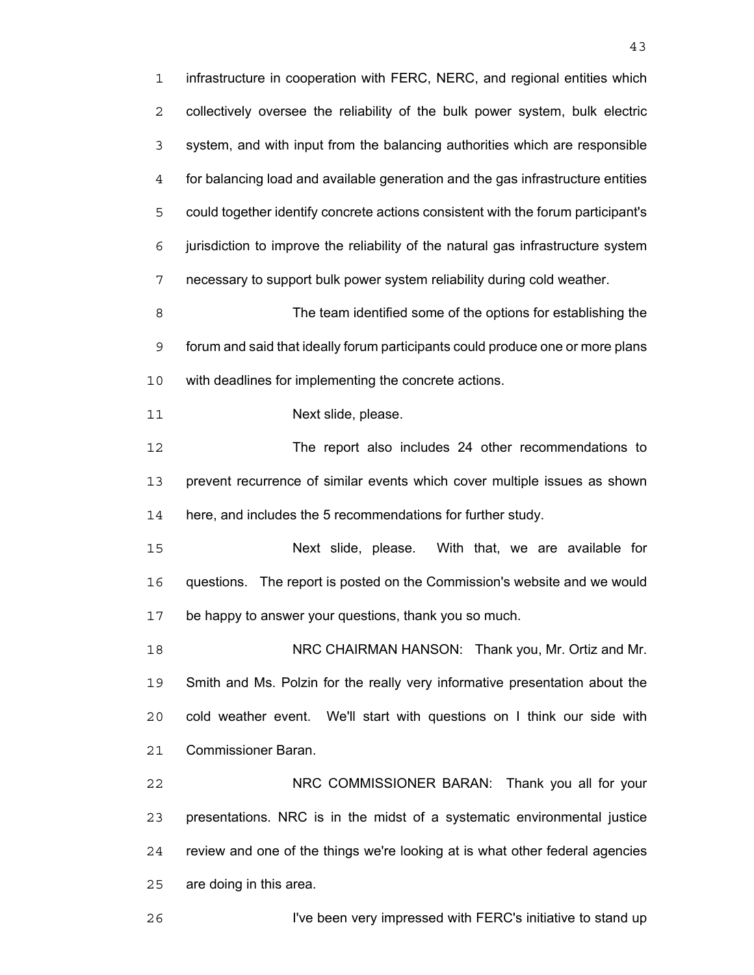infrastructure in cooperation with FERC, NERC, and regional entities which collectively oversee the reliability of the bulk power system, bulk electric system, and with input from the balancing authorities which are responsible for balancing load and available generation and the gas infrastructure entities could together identify concrete actions consistent with the forum participant's jurisdiction to improve the reliability of the natural gas infrastructure system necessary to support bulk power system reliability during cold weather. The team identified some of the options for establishing the forum and said that ideally forum participants could produce one or more plans with deadlines for implementing the concrete actions. 11 Next slide, please. The report also includes 24 other recommendations to prevent recurrence of similar events which cover multiple issues as shown here, and includes the 5 recommendations for further study. Next slide, please. With that, we are available for questions. The report is posted on the Commission's website and we would be happy to answer your questions, thank you so much. NRC CHAIRMAN HANSON: Thank you, Mr. Ortiz and Mr. Smith and Ms. Polzin for the really very informative presentation about the cold weather event. We'll start with questions on I think our side with Commissioner Baran. NRC COMMISSIONER BARAN: Thank you all for your presentations. NRC is in the midst of a systematic environmental justice review and one of the things we're looking at is what other federal agencies are doing in this area.

I've been very impressed with FERC's initiative to stand up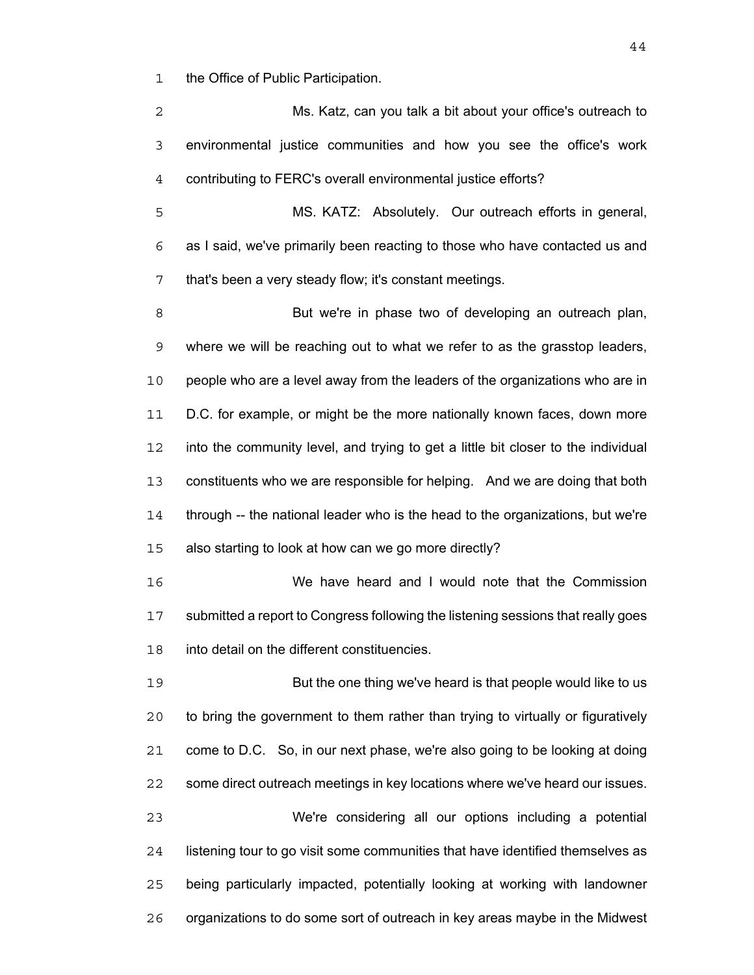the Office of Public Participation.

Ms. Katz, can you talk a bit about your office's outreach to environmental justice communities and how you see the office's work contributing to FERC's overall environmental justice efforts?

MS. KATZ: Absolutely. Our outreach efforts in general, as I said, we've primarily been reacting to those who have contacted us and that's been a very steady flow; it's constant meetings.

But we're in phase two of developing an outreach plan, where we will be reaching out to what we refer to as the grasstop leaders, people who are a level away from the leaders of the organizations who are in D.C. for example, or might be the more nationally known faces, down more into the community level, and trying to get a little bit closer to the individual constituents who we are responsible for helping. And we are doing that both through -- the national leader who is the head to the organizations, but we're also starting to look at how can we go more directly?

We have heard and I would note that the Commission submitted a report to Congress following the listening sessions that really goes into detail on the different constituencies.

But the one thing we've heard is that people would like to us to bring the government to them rather than trying to virtually or figuratively come to D.C. So, in our next phase, we're also going to be looking at doing some direct outreach meetings in key locations where we've heard our issues. We're considering all our options including a potential listening tour to go visit some communities that have identified themselves as being particularly impacted, potentially looking at working with landowner organizations to do some sort of outreach in key areas maybe in the Midwest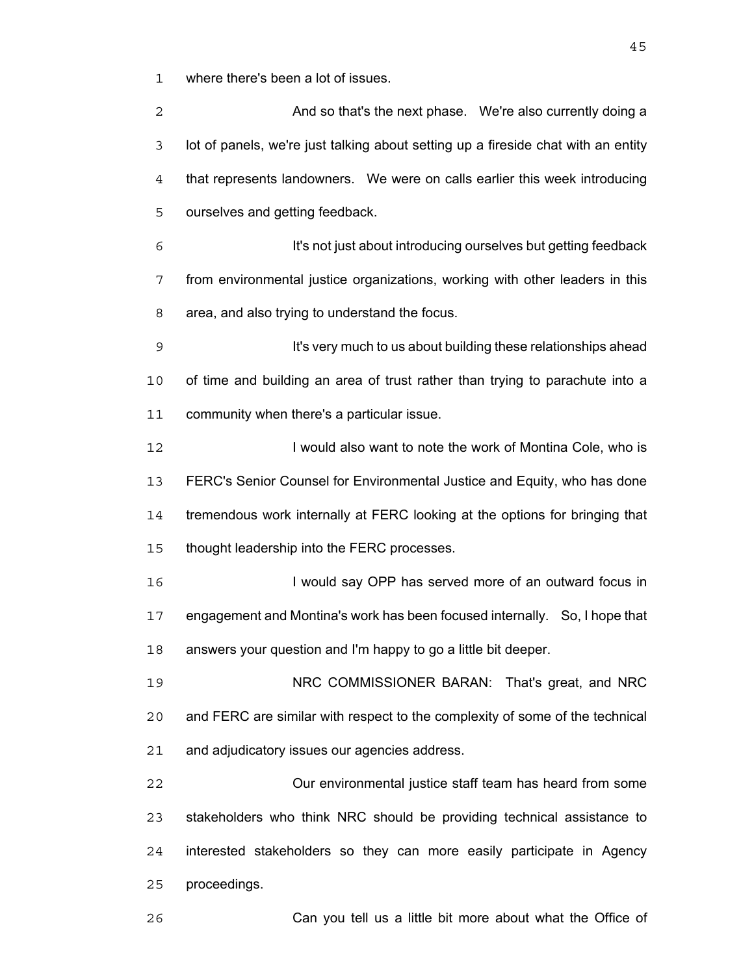where there's been a lot of issues.

**And so that's the next phase.** We're also currently doing a lot of panels, we're just talking about setting up a fireside chat with an entity that represents landowners. We were on calls earlier this week introducing ourselves and getting feedback. It's not just about introducing ourselves but getting feedback from environmental justice organizations, working with other leaders in this area, and also trying to understand the focus. **It's very much to us about building these relationships ahead** of time and building an area of trust rather than trying to parachute into a community when there's a particular issue. 12 I would also want to note the work of Montina Cole, who is FERC's Senior Counsel for Environmental Justice and Equity, who has done tremendous work internally at FERC looking at the options for bringing that thought leadership into the FERC processes. 16 I would say OPP has served more of an outward focus in engagement and Montina's work has been focused internally. So, I hope that answers your question and I'm happy to go a little bit deeper. NRC COMMISSIONER BARAN: That's great, and NRC and FERC are similar with respect to the complexity of some of the technical and adjudicatory issues our agencies address. Our environmental justice staff team has heard from some stakeholders who think NRC should be providing technical assistance to interested stakeholders so they can more easily participate in Agency proceedings. Can you tell us a little bit more about what the Office of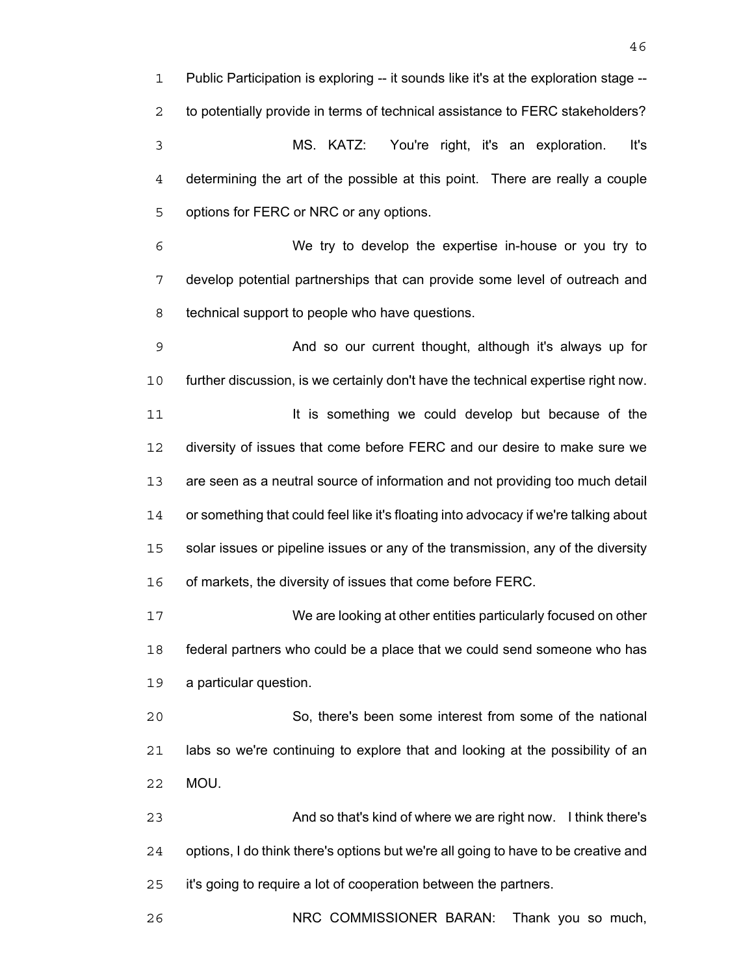Public Participation is exploring -- it sounds like it's at the exploration stage -- to potentially provide in terms of technical assistance to FERC stakeholders? MS. KATZ: You're right, it's an exploration. It's determining the art of the possible at this point. There are really a couple options for FERC or NRC or any options. We try to develop the expertise in-house or you try to develop potential partnerships that can provide some level of outreach and technical support to people who have questions. And so our current thought, although it's always up for further discussion, is we certainly don't have the technical expertise right now. **It is something we could develop but because of the** 

diversity of issues that come before FERC and our desire to make sure we are seen as a neutral source of information and not providing too much detail or something that could feel like it's floating into advocacy if we're talking about solar issues or pipeline issues or any of the transmission, any of the diversity of markets, the diversity of issues that come before FERC.

We are looking at other entities particularly focused on other federal partners who could be a place that we could send someone who has a particular question.

So, there's been some interest from some of the national labs so we're continuing to explore that and looking at the possibility of an MOU.

And so that's kind of where we are right now. I think there's options, I do think there's options but we're all going to have to be creative and it's going to require a lot of cooperation between the partners.

NRC COMMISSIONER BARAN: Thank you so much,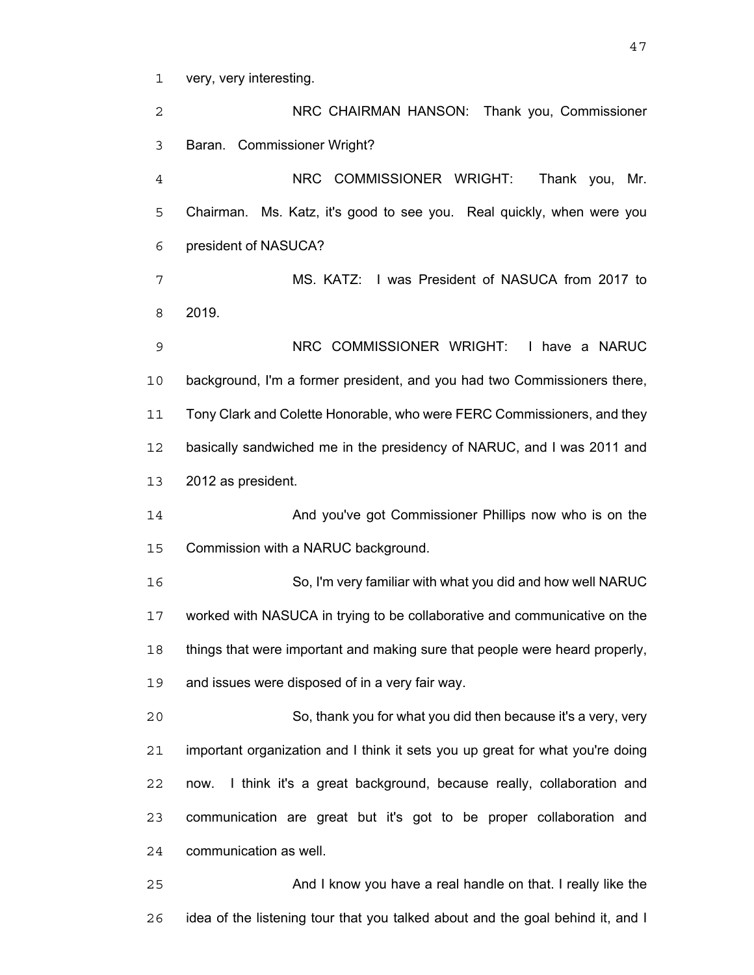very, very interesting.

NRC CHAIRMAN HANSON: Thank you, Commissioner Baran. Commissioner Wright? NRC COMMISSIONER WRIGHT: Thank you, Mr. Chairman. Ms. Katz, it's good to see you. Real quickly, when were you president of NASUCA? MS. KATZ: I was President of NASUCA from 2017 to 2019. NRC COMMISSIONER WRIGHT: I have a NARUC background, I'm a former president, and you had two Commissioners there, 11 Tony Clark and Colette Honorable, who were FERC Commissioners, and they basically sandwiched me in the presidency of NARUC, and I was 2011 and 2012 as president. And you've got Commissioner Phillips now who is on the Commission with a NARUC background. So, I'm very familiar with what you did and how well NARUC worked with NASUCA in trying to be collaborative and communicative on the things that were important and making sure that people were heard properly, and issues were disposed of in a very fair way. So, thank you for what you did then because it's a very, very important organization and I think it sets you up great for what you're doing now. I think it's a great background, because really, collaboration and communication are great but it's got to be proper collaboration and communication as well. And I know you have a real handle on that. I really like the

idea of the listening tour that you talked about and the goal behind it, and I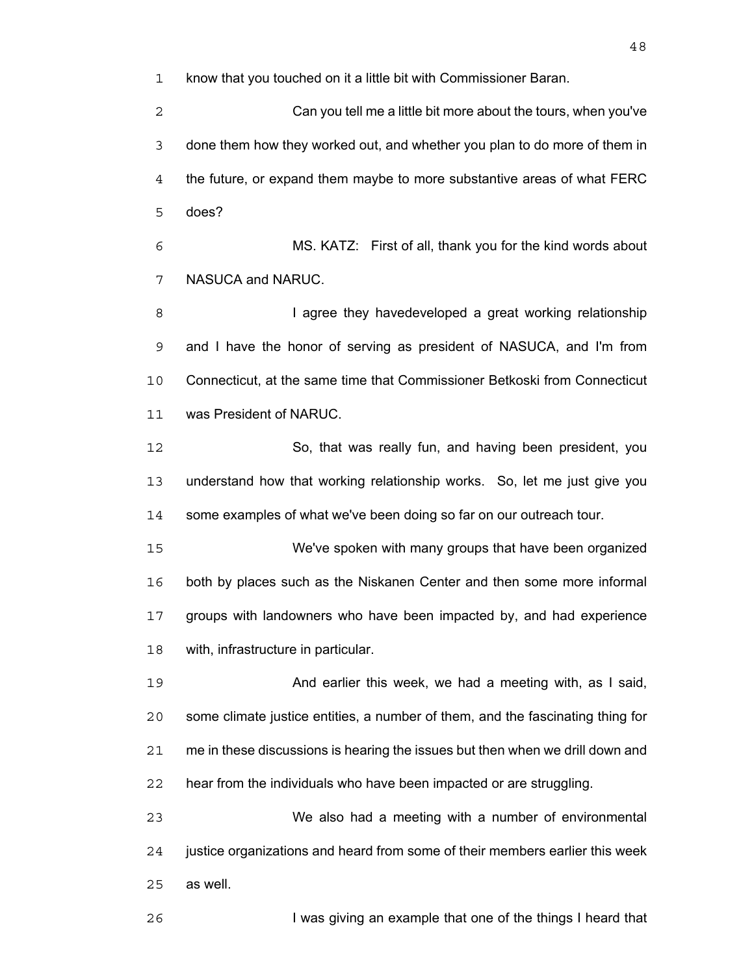know that you touched on it a little bit with Commissioner Baran.

Can you tell me a little bit more about the tours, when you've done them how they worked out, and whether you plan to do more of them in the future, or expand them maybe to more substantive areas of what FERC does?

MS. KATZ: First of all, thank you for the kind words about NASUCA and NARUC.

**I agree they havedeveloped a great working relationship** and I have the honor of serving as president of NASUCA, and I'm from Connecticut, at the same time that Commissioner Betkoski from Connecticut was President of NARUC.

So, that was really fun, and having been president, you understand how that working relationship works. So, let me just give you some examples of what we've been doing so far on our outreach tour.

We've spoken with many groups that have been organized both by places such as the Niskanen Center and then some more informal groups with landowners who have been impacted by, and had experience with, infrastructure in particular.

And earlier this week, we had a meeting with, as I said, some climate justice entities, a number of them, and the fascinating thing for me in these discussions is hearing the issues but then when we drill down and hear from the individuals who have been impacted or are struggling.

We also had a meeting with a number of environmental justice organizations and heard from some of their members earlier this week as well.

I was giving an example that one of the things I heard that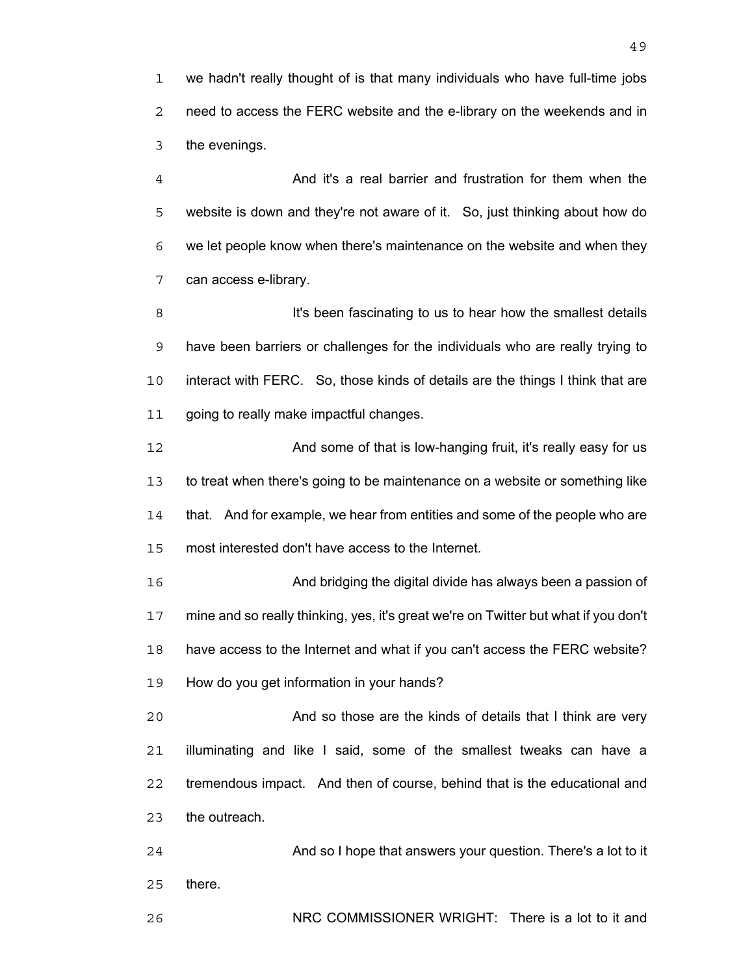we hadn't really thought of is that many individuals who have full-time jobs need to access the FERC website and the e-library on the weekends and in the evenings.

And it's a real barrier and frustration for them when the website is down and they're not aware of it. So, just thinking about how do we let people know when there's maintenance on the website and when they can access e-library.

**It's been fascinating to us to hear how the smallest details** have been barriers or challenges for the individuals who are really trying to interact with FERC. So, those kinds of details are the things I think that are 11 going to really make impactful changes.

**And some of that is low-hanging fruit, it's really easy for us** to treat when there's going to be maintenance on a website or something like that. And for example, we hear from entities and some of the people who are most interested don't have access to the Internet.

And bridging the digital divide has always been a passion of mine and so really thinking, yes, it's great we're on Twitter but what if you don't have access to the Internet and what if you can't access the FERC website? How do you get information in your hands?

And so those are the kinds of details that I think are very illuminating and like I said, some of the smallest tweaks can have a tremendous impact. And then of course, behind that is the educational and the outreach.

And so I hope that answers your question. There's a lot to it there.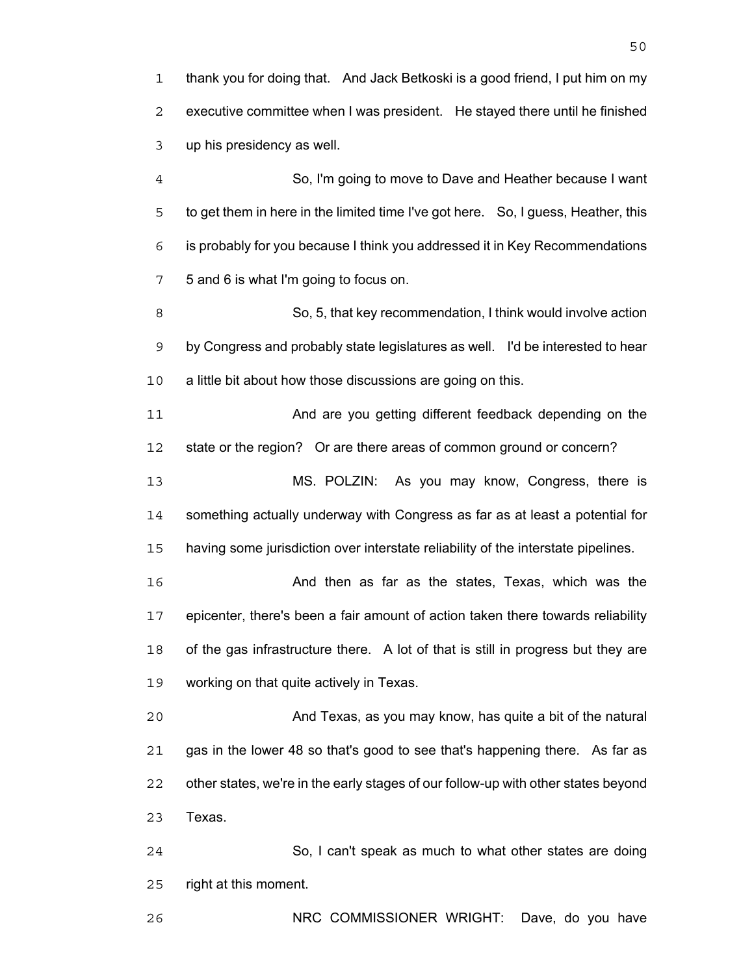thank you for doing that. And Jack Betkoski is a good friend, I put him on my executive committee when I was president. He stayed there until he finished up his presidency as well.

So, I'm going to move to Dave and Heather because I want to get them in here in the limited time I've got here. So, I guess, Heather, this is probably for you because I think you addressed it in Key Recommendations 5 and 6 is what I'm going to focus on.

So, 5, that key recommendation, I think would involve action by Congress and probably state legislatures as well. I'd be interested to hear 10 a little bit about how those discussions are going on this.

And are you getting different feedback depending on the state or the region? Or are there areas of common ground or concern?

MS. POLZIN: As you may know, Congress, there is something actually underway with Congress as far as at least a potential for having some jurisdiction over interstate reliability of the interstate pipelines.

And then as far as the states, Texas, which was the epicenter, there's been a fair amount of action taken there towards reliability of the gas infrastructure there. A lot of that is still in progress but they are working on that quite actively in Texas.

And Texas, as you may know, has quite a bit of the natural gas in the lower 48 so that's good to see that's happening there. As far as other states, we're in the early stages of our follow-up with other states beyond Texas.

So, I can't speak as much to what other states are doing right at this moment.

NRC COMMISSIONER WRIGHT: Dave, do you have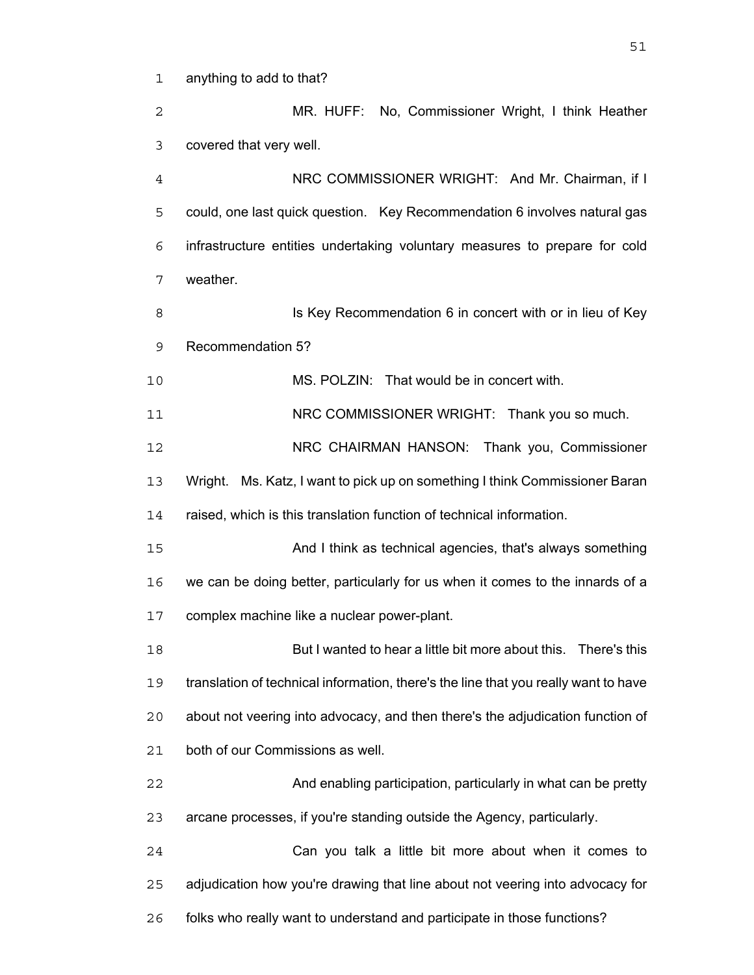anything to add to that?

MR. HUFF: No, Commissioner Wright, I think Heather covered that very well. NRC COMMISSIONER WRIGHT: And Mr. Chairman, if I could, one last quick question. Key Recommendation 6 involves natural gas infrastructure entities undertaking voluntary measures to prepare for cold weather. **IS Key Recommendation 6 in concert with or in lieu of Key** Recommendation 5? MS. POLZIN: That would be in concert with. 11 NRC COMMISSIONER WRIGHT: Thank you so much. NRC CHAIRMAN HANSON: Thank you, Commissioner Wright. Ms. Katz, I want to pick up on something I think Commissioner Baran raised, which is this translation function of technical information. And I think as technical agencies, that's always something we can be doing better, particularly for us when it comes to the innards of a complex machine like a nuclear power-plant. But I wanted to hear a little bit more about this. There's this translation of technical information, there's the line that you really want to have about not veering into advocacy, and then there's the adjudication function of both of our Commissions as well. And enabling participation, particularly in what can be pretty arcane processes, if you're standing outside the Agency, particularly. Can you talk a little bit more about when it comes to adjudication how you're drawing that line about not veering into advocacy for folks who really want to understand and participate in those functions?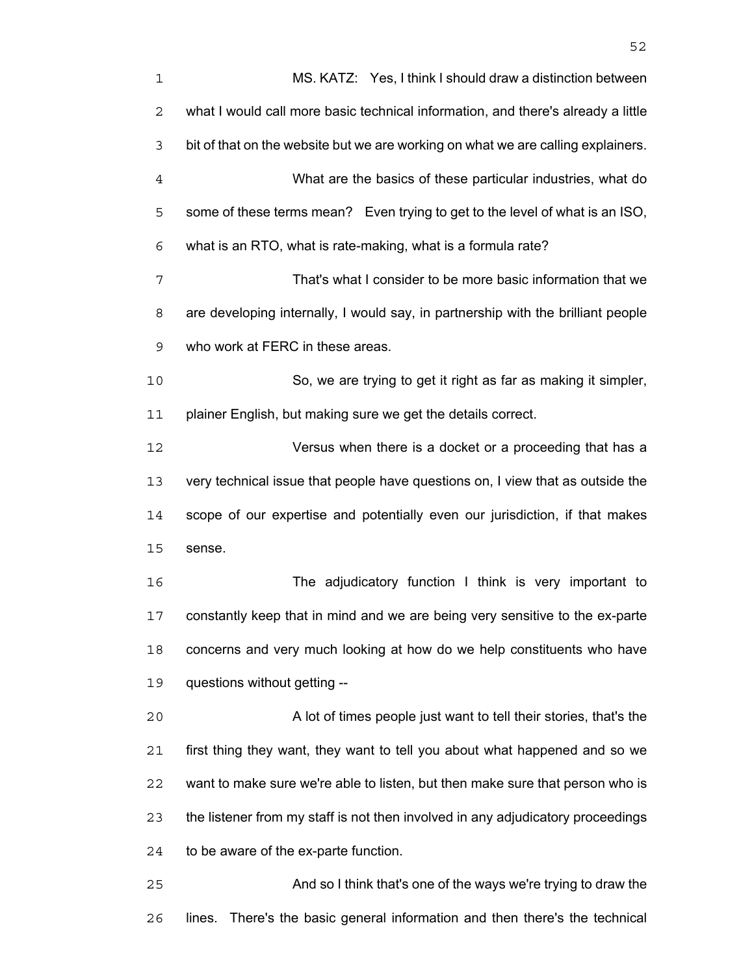| $\mathbf 1$    | MS. KATZ: Yes, I think I should draw a distinction between                       |
|----------------|----------------------------------------------------------------------------------|
| 2              | what I would call more basic technical information, and there's already a little |
| 3              | bit of that on the website but we are working on what we are calling explainers. |
| $\overline{4}$ | What are the basics of these particular industries, what do                      |
| 5              | some of these terms mean? Even trying to get to the level of what is an ISO,     |
| 6              | what is an RTO, what is rate-making, what is a formula rate?                     |
| 7              | That's what I consider to be more basic information that we                      |
| 8              | are developing internally, I would say, in partnership with the brilliant people |
| 9              | who work at FERC in these areas.                                                 |
| 10             | So, we are trying to get it right as far as making it simpler,                   |
| 11             | plainer English, but making sure we get the details correct.                     |
| 12             | Versus when there is a docket or a proceeding that has a                         |
| 13             | very technical issue that people have questions on, I view that as outside the   |
| 14             | scope of our expertise and potentially even our jurisdiction, if that makes      |
| 15             | sense.                                                                           |
| 16             | The adjudicatory function I think is very important to                           |
| 17             | constantly keep that in mind and we are being very sensitive to the ex-parte     |
| 18             | concerns and very much looking at how do we help constituents who have           |
| 19             | questions without getting --                                                     |
| 20             | A lot of times people just want to tell their stories, that's the                |
| 21             | first thing they want, they want to tell you about what happened and so we       |
| 22             | want to make sure we're able to listen, but then make sure that person who is    |
| 23             | the listener from my staff is not then involved in any adjudicatory proceedings  |
| 24             | to be aware of the ex-parte function.                                            |
| 25             | And so I think that's one of the ways we're trying to draw the                   |
|                |                                                                                  |

lines. There's the basic general information and then there's the technical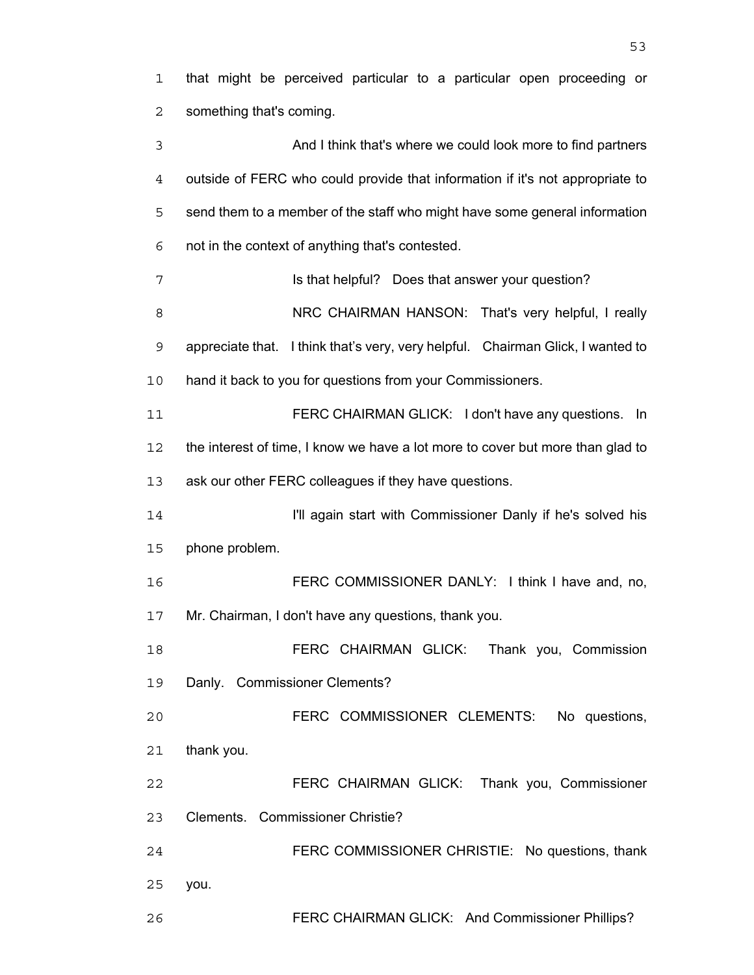that might be perceived particular to a particular open proceeding or something that's coming.

And I think that's where we could look more to find partners outside of FERC who could provide that information if it's not appropriate to send them to a member of the staff who might have some general information not in the context of anything that's contested.

**Is that helpful?** Does that answer your question? 8 NRC CHAIRMAN HANSON: That's very helpful, I really appreciate that. I think that's very, very helpful. Chairman Glick, I wanted to hand it back to you for questions from your Commissioners. FERC CHAIRMAN GLICK: I don't have any questions. In

the interest of time, I know we have a lot more to cover but more than glad to ask our other FERC colleagues if they have questions.

I'll again start with Commissioner Danly if he's solved his phone problem.

FERC COMMISSIONER DANLY: I think I have and, no, Mr. Chairman, I don't have any questions, thank you.

FERC CHAIRMAN GLICK: Thank you, Commission Danly. Commissioner Clements?

FERC COMMISSIONER CLEMENTS: No questions, thank you.

FERC CHAIRMAN GLICK: Thank you, Commissioner Clements. Commissioner Christie?

FERC COMMISSIONER CHRISTIE: No questions, thank you.

FERC CHAIRMAN GLICK: And Commissioner Phillips?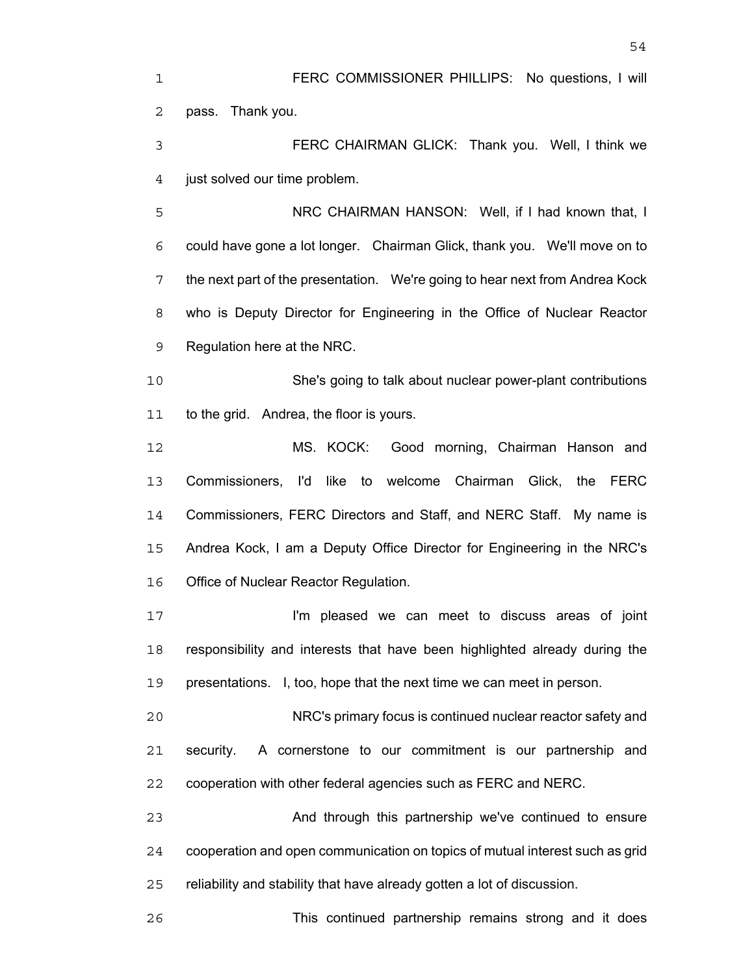FERC COMMISSIONER PHILLIPS: No questions, I will pass. Thank you. FERC CHAIRMAN GLICK: Thank you. Well, I think we just solved our time problem. NRC CHAIRMAN HANSON: Well, if I had known that, I could have gone a lot longer. Chairman Glick, thank you. We'll move on to the next part of the presentation. We're going to hear next from Andrea Kock who is Deputy Director for Engineering in the Office of Nuclear Reactor Regulation here at the NRC. She's going to talk about nuclear power-plant contributions to the grid. Andrea, the floor is yours. MS. KOCK: Good morning, Chairman Hanson and Commissioners, I'd like to welcome Chairman Glick, the FERC 14 Commissioners, FERC Directors and Staff, and NERC Staff. My name is Andrea Kock, I am a Deputy Office Director for Engineering in the NRC's Office of Nuclear Reactor Regulation. **I'm pleased we can meet to discuss areas of joint** responsibility and interests that have been highlighted already during the presentations. I, too, hope that the next time we can meet in person. NRC's primary focus is continued nuclear reactor safety and security. A cornerstone to our commitment is our partnership and cooperation with other federal agencies such as FERC and NERC. And through this partnership we've continued to ensure cooperation and open communication on topics of mutual interest such as grid

reliability and stability that have already gotten a lot of discussion.

This continued partnership remains strong and it does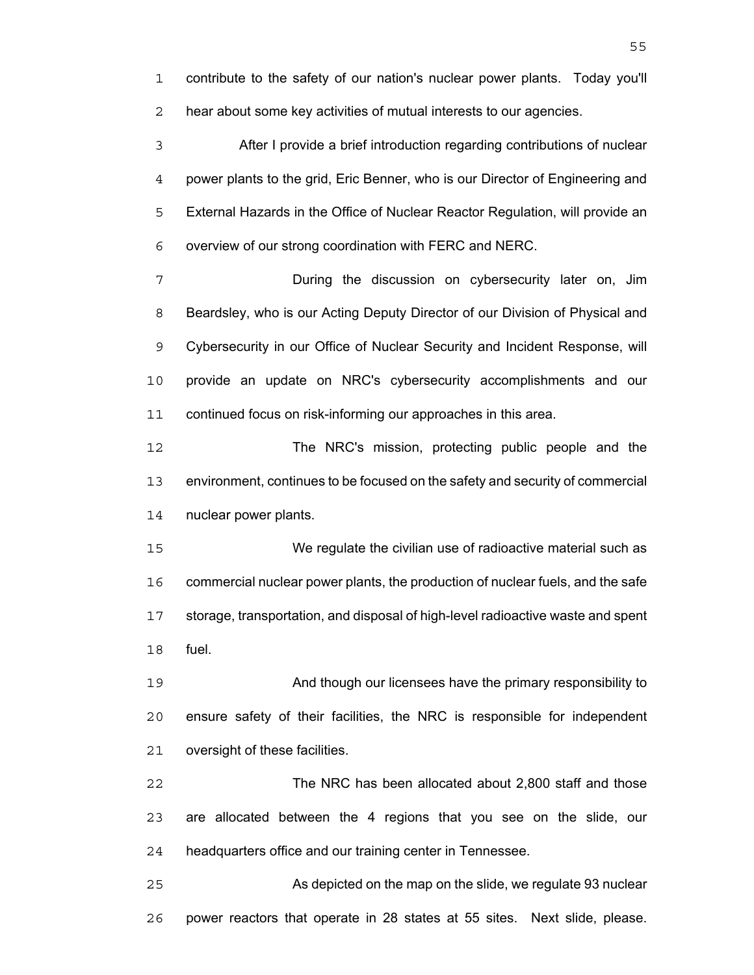contribute to the safety of our nation's nuclear power plants. Today you'll hear about some key activities of mutual interests to our agencies.

After I provide a brief introduction regarding contributions of nuclear power plants to the grid, Eric Benner, who is our Director of Engineering and External Hazards in the Office of Nuclear Reactor Regulation, will provide an overview of our strong coordination with FERC and NERC.

During the discussion on cybersecurity later on, Jim Beardsley, who is our Acting Deputy Director of our Division of Physical and Cybersecurity in our Office of Nuclear Security and Incident Response, will provide an update on NRC's cybersecurity accomplishments and our continued focus on risk-informing our approaches in this area.

The NRC's mission, protecting public people and the environment, continues to be focused on the safety and security of commercial nuclear power plants.

We regulate the civilian use of radioactive material such as commercial nuclear power plants, the production of nuclear fuels, and the safe storage, transportation, and disposal of high-level radioactive waste and spent fuel.

And though our licensees have the primary responsibility to ensure safety of their facilities, the NRC is responsible for independent oversight of these facilities.

The NRC has been allocated about 2,800 staff and those are allocated between the 4 regions that you see on the slide, our headquarters office and our training center in Tennessee.

As depicted on the map on the slide, we regulate 93 nuclear power reactors that operate in 28 states at 55 sites. Next slide, please.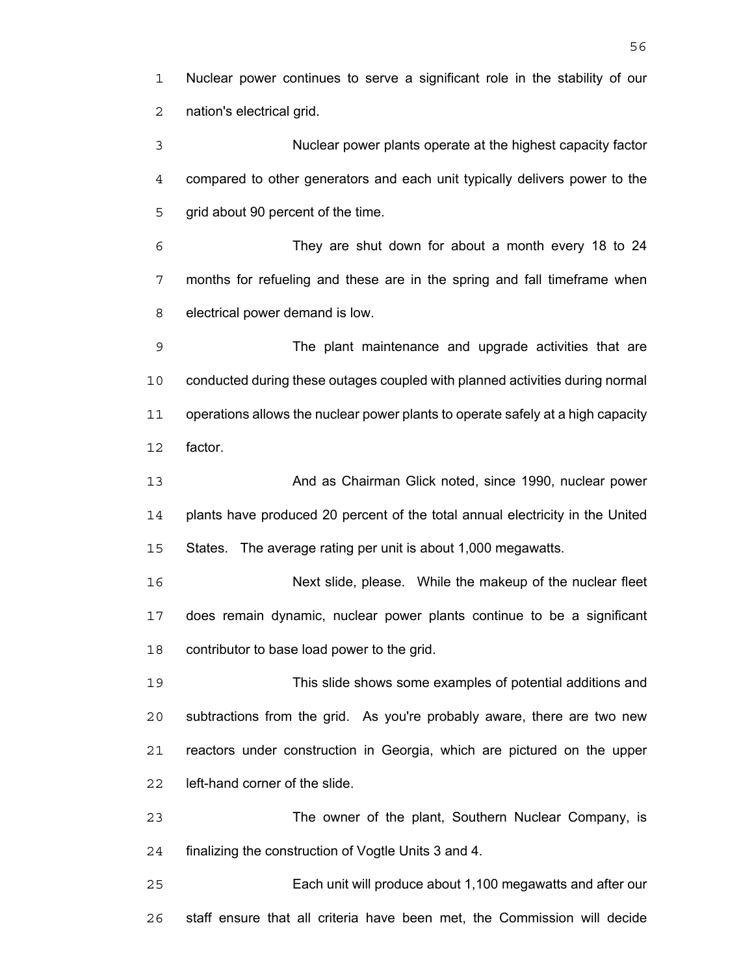Nuclear power continues to serve a significant role in the stability of our nation's electrical grid.

Nuclear power plants operate at the highest capacity factor compared to other generators and each unit typically delivers power to the 5 grid about 90 percent of the time.

They are shut down for about a month every 18 to 24 months for refueling and these are in the spring and fall timeframe when electrical power demand is low.

The plant maintenance and upgrade activities that are conducted during these outages coupled with planned activities during normal operations allows the nuclear power plants to operate safely at a high capacity factor.

**And as Chairman Glick noted, since 1990, nuclear power** plants have produced 20 percent of the total annual electricity in the United States. The average rating per unit is about 1,000 megawatts.

Next slide, please. While the makeup of the nuclear fleet does remain dynamic, nuclear power plants continue to be a significant contributor to base load power to the grid.

This slide shows some examples of potential additions and subtractions from the grid. As you're probably aware, there are two new reactors under construction in Georgia, which are pictured on the upper left-hand corner of the slide.

The owner of the plant, Southern Nuclear Company, is finalizing the construction of Vogtle Units 3 and 4.

Each unit will produce about 1,100 megawatts and after our staff ensure that all criteria have been met, the Commission will decide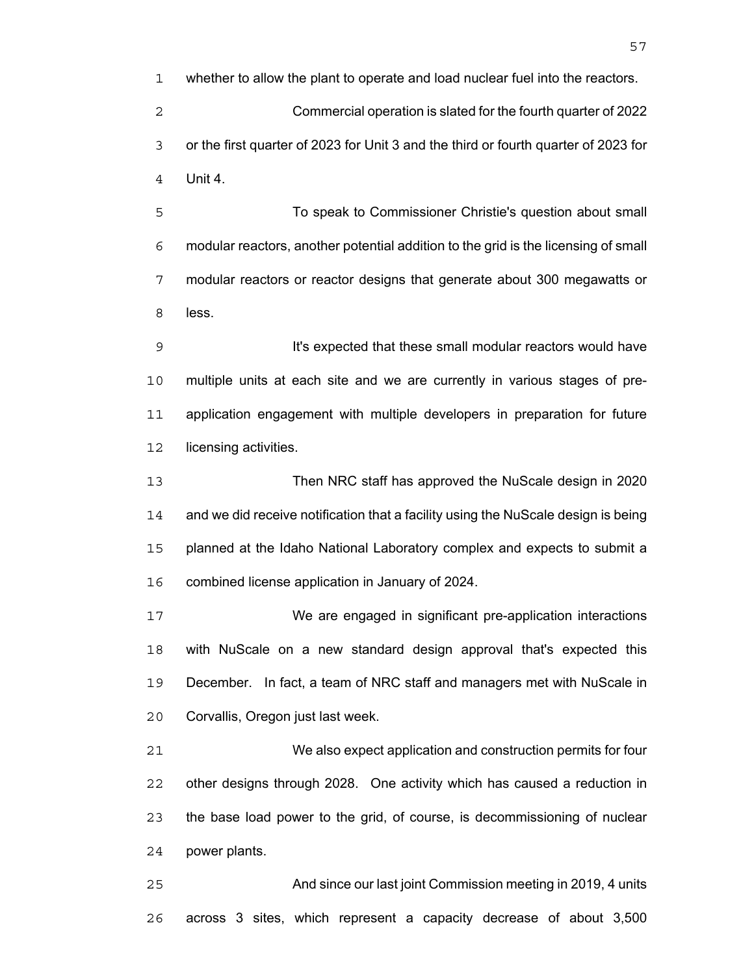whether to allow the plant to operate and load nuclear fuel into the reactors. Commercial operation is slated for the fourth quarter of 2022 or the first quarter of 2023 for Unit 3 and the third or fourth quarter of 2023 for Unit 4.

To speak to Commissioner Christie's question about small modular reactors, another potential addition to the grid is the licensing of small modular reactors or reactor designs that generate about 300 megawatts or less.

**It's expected that these small modular reactors would have** multiple units at each site and we are currently in various stages of pre-application engagement with multiple developers in preparation for future 12 licensing activities.

Then NRC staff has approved the NuScale design in 2020 and we did receive notification that a facility using the NuScale design is being planned at the Idaho National Laboratory complex and expects to submit a combined license application in January of 2024.

We are engaged in significant pre-application interactions with NuScale on a new standard design approval that's expected this December. In fact, a team of NRC staff and managers met with NuScale in Corvallis, Oregon just last week.

We also expect application and construction permits for four other designs through 2028. One activity which has caused a reduction in the base load power to the grid, of course, is decommissioning of nuclear power plants.

And since our last joint Commission meeting in 2019, 4 units across 3 sites, which represent a capacity decrease of about 3,500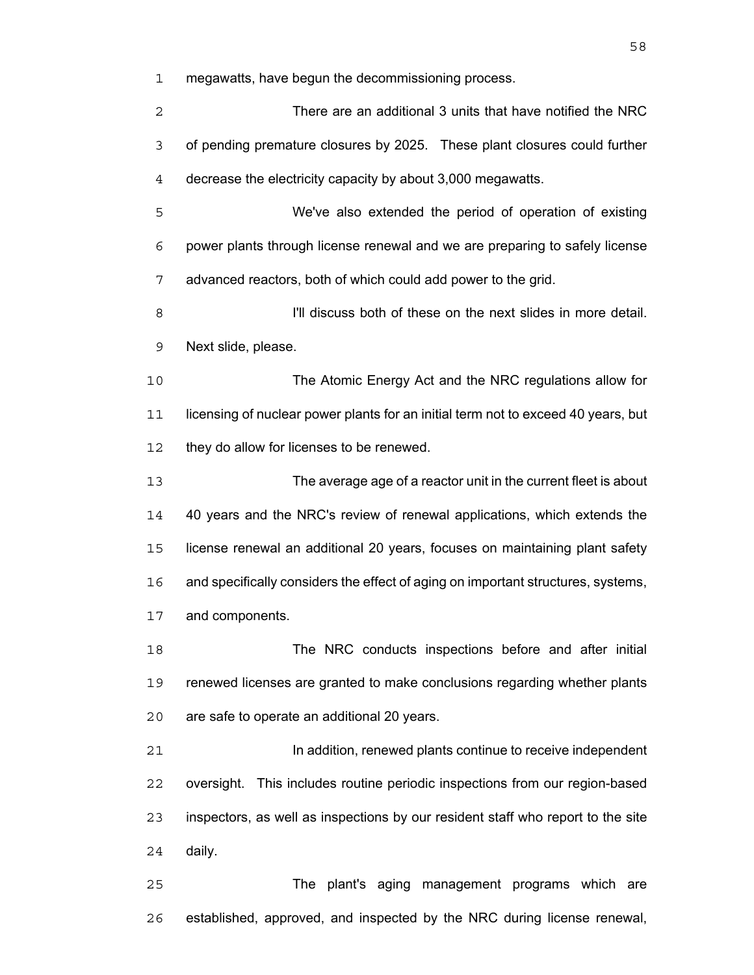megawatts, have begun the decommissioning process.

There are an additional 3 units that have notified the NRC of pending premature closures by 2025. These plant closures could further decrease the electricity capacity by about 3,000 megawatts. We've also extended the period of operation of existing power plants through license renewal and we are preparing to safely license advanced reactors, both of which could add power to the grid. **I'll discuss both of these on the next slides in more detail.** Next slide, please. The Atomic Energy Act and the NRC regulations allow for licensing of nuclear power plants for an initial term not to exceed 40 years, but 12 they do allow for licenses to be renewed. The average age of a reactor unit in the current fleet is about 40 years and the NRC's review of renewal applications, which extends the license renewal an additional 20 years, focuses on maintaining plant safety and specifically considers the effect of aging on important structures, systems, and components. The NRC conducts inspections before and after initial renewed licenses are granted to make conclusions regarding whether plants are safe to operate an additional 20 years. **In addition, renewed plants continue to receive independent** oversight. This includes routine periodic inspections from our region-based inspectors, as well as inspections by our resident staff who report to the site daily.

The plant's aging management programs which are established, approved, and inspected by the NRC during license renewal,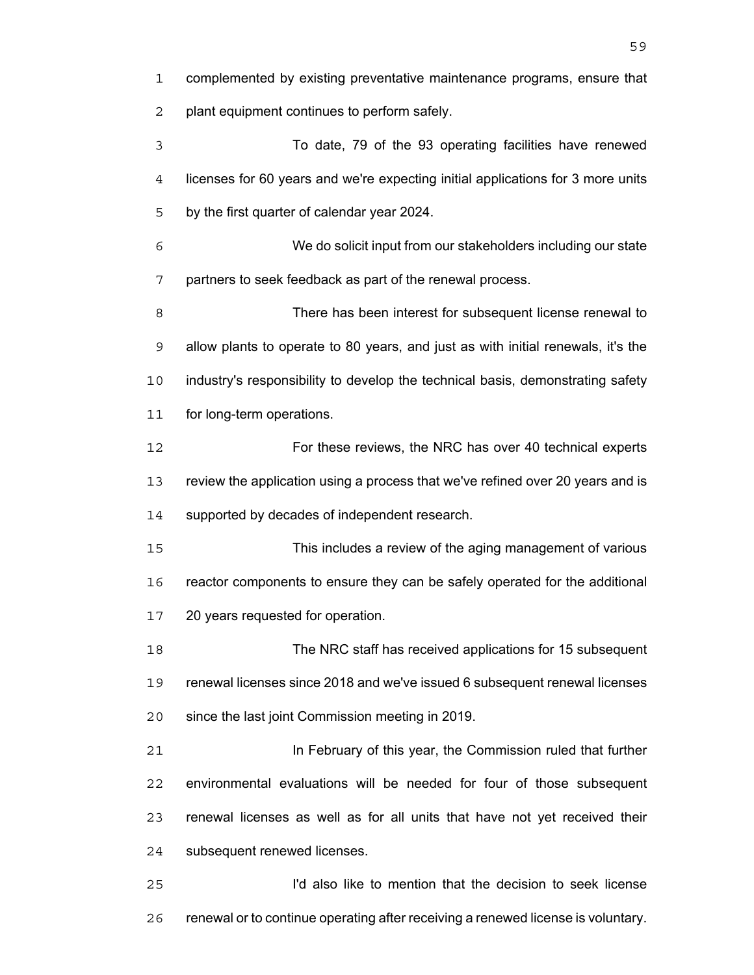complemented by existing preventative maintenance programs, ensure that plant equipment continues to perform safely.

To date, 79 of the 93 operating facilities have renewed licenses for 60 years and we're expecting initial applications for 3 more units by the first quarter of calendar year 2024.

We do solicit input from our stakeholders including our state partners to seek feedback as part of the renewal process.

There has been interest for subsequent license renewal to allow plants to operate to 80 years, and just as with initial renewals, it's the industry's responsibility to develop the technical basis, demonstrating safety for long-term operations.

For these reviews, the NRC has over 40 technical experts review the application using a process that we've refined over 20 years and is supported by decades of independent research.

This includes a review of the aging management of various reactor components to ensure they can be safely operated for the additional 20 years requested for operation.

The NRC staff has received applications for 15 subsequent renewal licenses since 2018 and we've issued 6 subsequent renewal licenses since the last joint Commission meeting in 2019.

In February of this year, the Commission ruled that further environmental evaluations will be needed for four of those subsequent renewal licenses as well as for all units that have not yet received their subsequent renewed licenses.

I'd also like to mention that the decision to seek license renewal or to continue operating after receiving a renewed license is voluntary.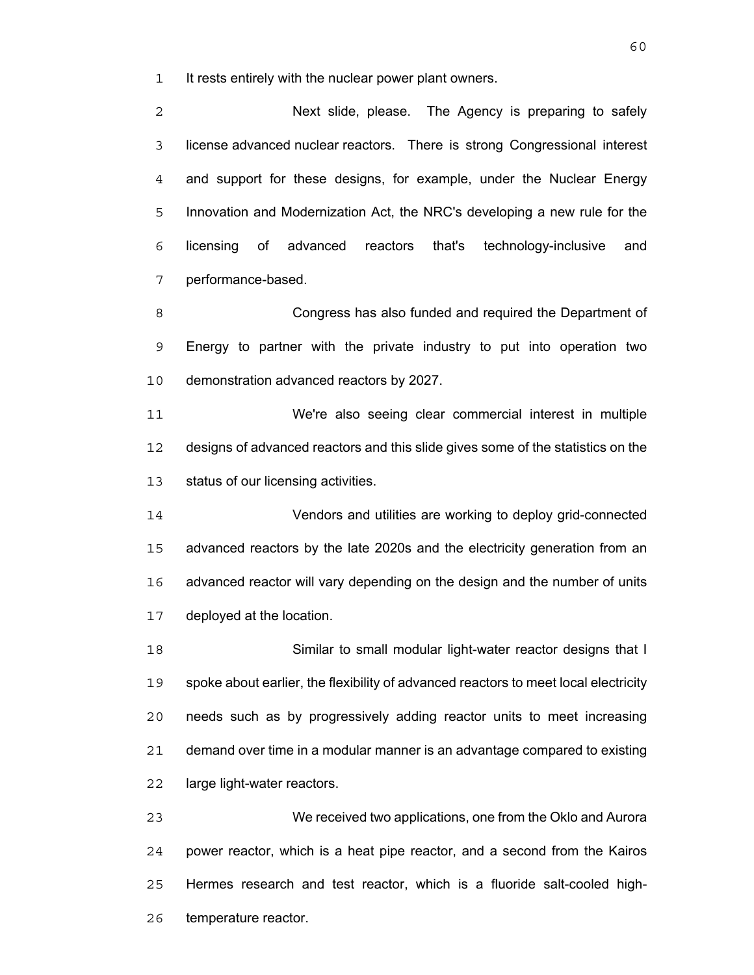It rests entirely with the nuclear power plant owners.

Next slide, please. The Agency is preparing to safely license advanced nuclear reactors. There is strong Congressional interest and support for these designs, for example, under the Nuclear Energy Innovation and Modernization Act, the NRC's developing a new rule for the licensing of advanced reactors that's technology-inclusive and performance-based.

Congress has also funded and required the Department of Energy to partner with the private industry to put into operation two demonstration advanced reactors by 2027.

We're also seeing clear commercial interest in multiple designs of advanced reactors and this slide gives some of the statistics on the status of our licensing activities.

Vendors and utilities are working to deploy grid-connected advanced reactors by the late 2020s and the electricity generation from an advanced reactor will vary depending on the design and the number of units deployed at the location.

Similar to small modular light-water reactor designs that I spoke about earlier, the flexibility of advanced reactors to meet local electricity needs such as by progressively adding reactor units to meet increasing demand over time in a modular manner is an advantage compared to existing large light-water reactors.

We received two applications, one from the Oklo and Aurora power reactor, which is a heat pipe reactor, and a second from the Kairos Hermes research and test reactor, which is a fluoride salt-cooled high-temperature reactor.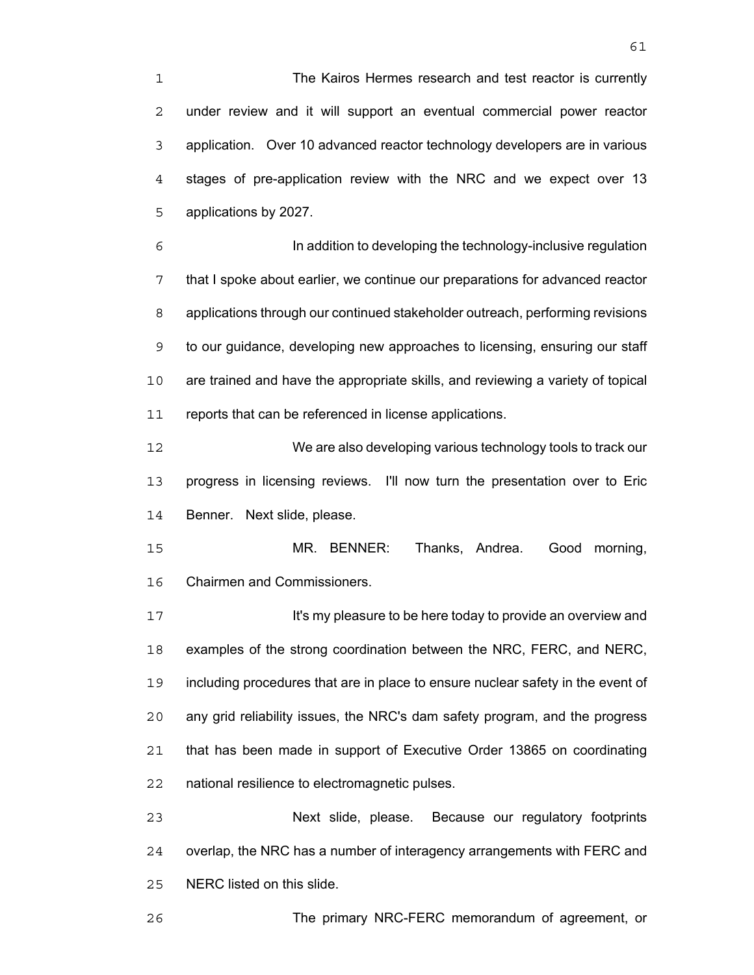The Kairos Hermes research and test reactor is currently under review and it will support an eventual commercial power reactor application. Over 10 advanced reactor technology developers are in various stages of pre-application review with the NRC and we expect over 13 applications by 2027.

In addition to developing the technology-inclusive regulation that I spoke about earlier, we continue our preparations for advanced reactor applications through our continued stakeholder outreach, performing revisions to our guidance, developing new approaches to licensing, ensuring our staff are trained and have the appropriate skills, and reviewing a variety of topical reports that can be referenced in license applications.

We are also developing various technology tools to track our progress in licensing reviews. I'll now turn the presentation over to Eric Benner. Next slide, please.

MR. BENNER: Thanks, Andrea. Good morning, Chairmen and Commissioners.

**It's my pleasure to be here today to provide an overview and** examples of the strong coordination between the NRC, FERC, and NERC, including procedures that are in place to ensure nuclear safety in the event of any grid reliability issues, the NRC's dam safety program, and the progress that has been made in support of Executive Order 13865 on coordinating national resilience to electromagnetic pulses.

Next slide, please. Because our regulatory footprints overlap, the NRC has a number of interagency arrangements with FERC and NERC listed on this slide.

The primary NRC-FERC memorandum of agreement, or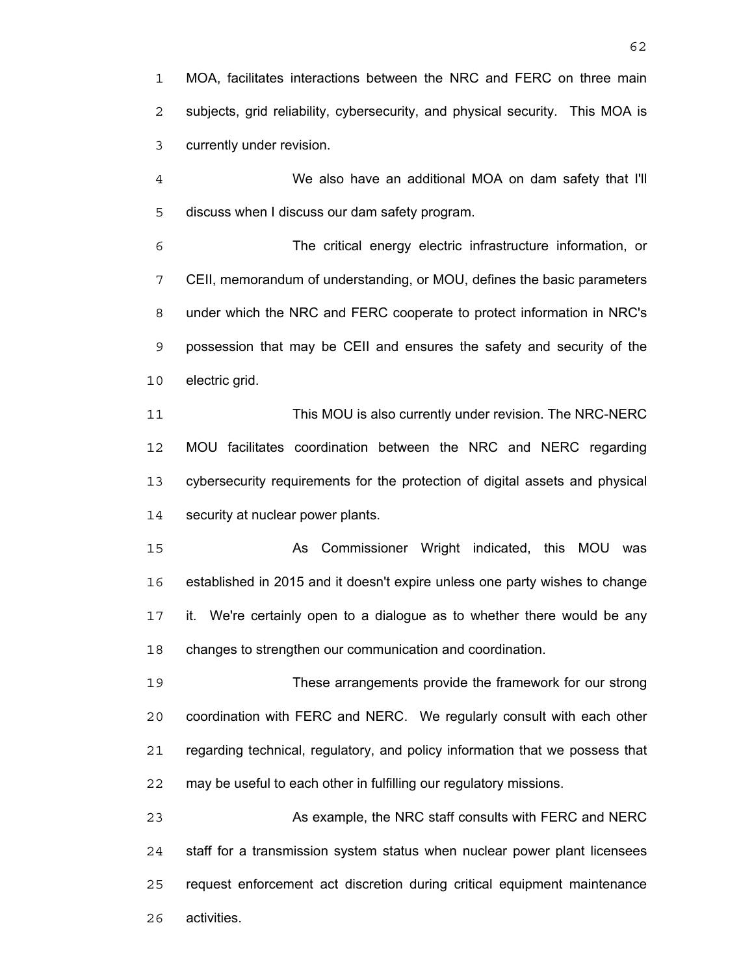MOA, facilitates interactions between the NRC and FERC on three main subjects, grid reliability, cybersecurity, and physical security. This MOA is currently under revision.

We also have an additional MOA on dam safety that I'll discuss when I discuss our dam safety program.

The critical energy electric infrastructure information, or CEII, memorandum of understanding, or MOU, defines the basic parameters under which the NRC and FERC cooperate to protect information in NRC's possession that may be CEII and ensures the safety and security of the electric grid.

This MOU is also currently under revision. The NRC-NERC MOU facilitates coordination between the NRC and NERC regarding cybersecurity requirements for the protection of digital assets and physical 14 security at nuclear power plants.

15 As Commissioner Wright indicated, this MOU was established in 2015 and it doesn't expire unless one party wishes to change it. We're certainly open to a dialogue as to whether there would be any changes to strengthen our communication and coordination.

These arrangements provide the framework for our strong coordination with FERC and NERC. We regularly consult with each other regarding technical, regulatory, and policy information that we possess that may be useful to each other in fulfilling our regulatory missions.

As example, the NRC staff consults with FERC and NERC staff for a transmission system status when nuclear power plant licensees request enforcement act discretion during critical equipment maintenance activities.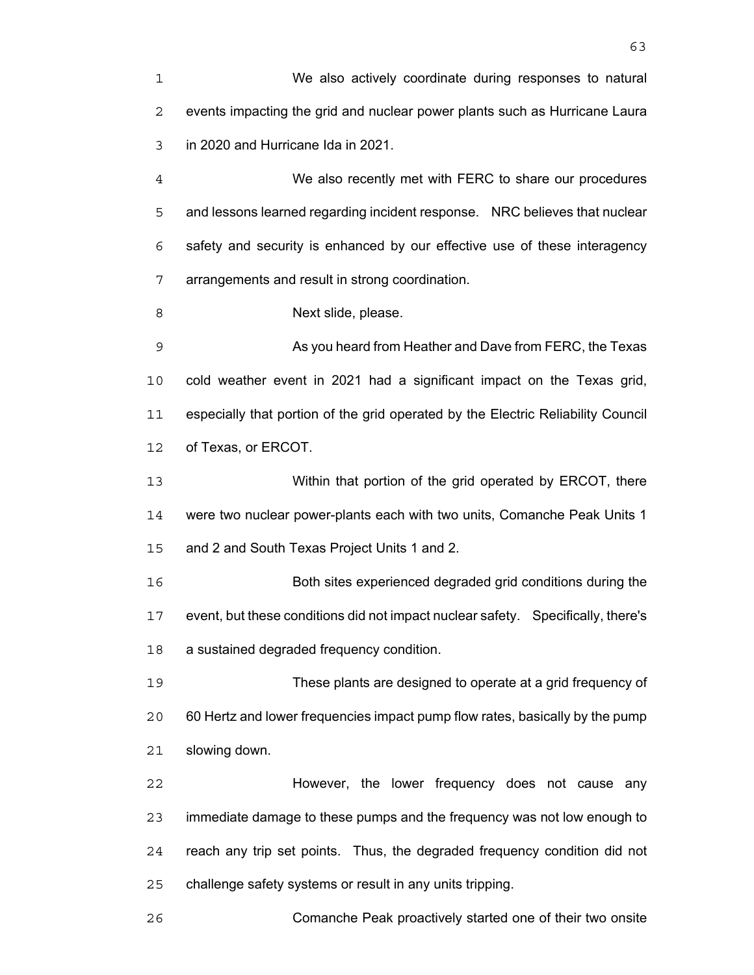We also actively coordinate during responses to natural events impacting the grid and nuclear power plants such as Hurricane Laura in 2020 and Hurricane Ida in 2021.

We also recently met with FERC to share our procedures and lessons learned regarding incident response. NRC believes that nuclear safety and security is enhanced by our effective use of these interagency arrangements and result in strong coordination.

8 Next slide, please.

As you heard from Heather and Dave from FERC, the Texas cold weather event in 2021 had a significant impact on the Texas grid, especially that portion of the grid operated by the Electric Reliability Council of Texas, or ERCOT.

Within that portion of the grid operated by ERCOT, there were two nuclear power-plants each with two units, Comanche Peak Units 1 and 2 and South Texas Project Units 1 and 2.

Both sites experienced degraded grid conditions during the event, but these conditions did not impact nuclear safety. Specifically, there's a sustained degraded frequency condition.

These plants are designed to operate at a grid frequency of 60 Hertz and lower frequencies impact pump flow rates, basically by the pump slowing down.

However, the lower frequency does not cause any immediate damage to these pumps and the frequency was not low enough to reach any trip set points. Thus, the degraded frequency condition did not challenge safety systems or result in any units tripping.

Comanche Peak proactively started one of their two onsite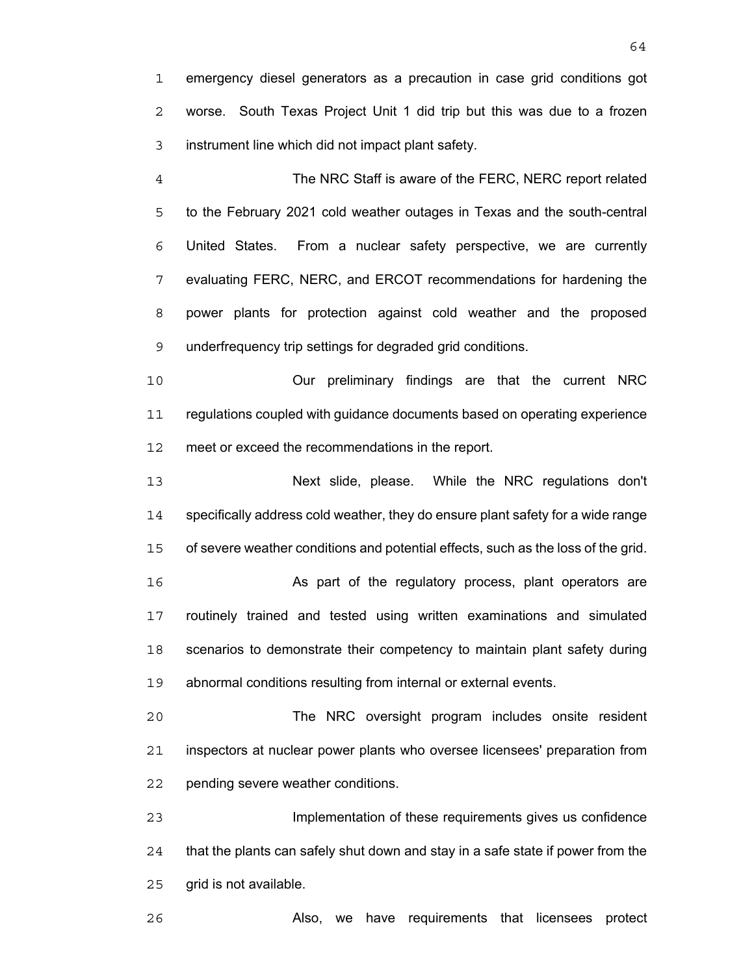emergency diesel generators as a precaution in case grid conditions got worse. South Texas Project Unit 1 did trip but this was due to a frozen instrument line which did not impact plant safety.

The NRC Staff is aware of the FERC, NERC report related to the February 2021 cold weather outages in Texas and the south-central United States. From a nuclear safety perspective, we are currently evaluating FERC, NERC, and ERCOT recommendations for hardening the power plants for protection against cold weather and the proposed underfrequency trip settings for degraded grid conditions.

Our preliminary findings are that the current NRC regulations coupled with guidance documents based on operating experience meet or exceed the recommendations in the report.

Next slide, please. While the NRC regulations don't specifically address cold weather, they do ensure plant safety for a wide range of severe weather conditions and potential effects, such as the loss of the grid. **As part of the regulatory process, plant operators are** routinely trained and tested using written examinations and simulated 18 scenarios to demonstrate their competency to maintain plant safety during

abnormal conditions resulting from internal or external events.

The NRC oversight program includes onsite resident inspectors at nuclear power plants who oversee licensees' preparation from pending severe weather conditions.

Implementation of these requirements gives us confidence that the plants can safely shut down and stay in a safe state if power from the grid is not available.

Also, we have requirements that licensees protect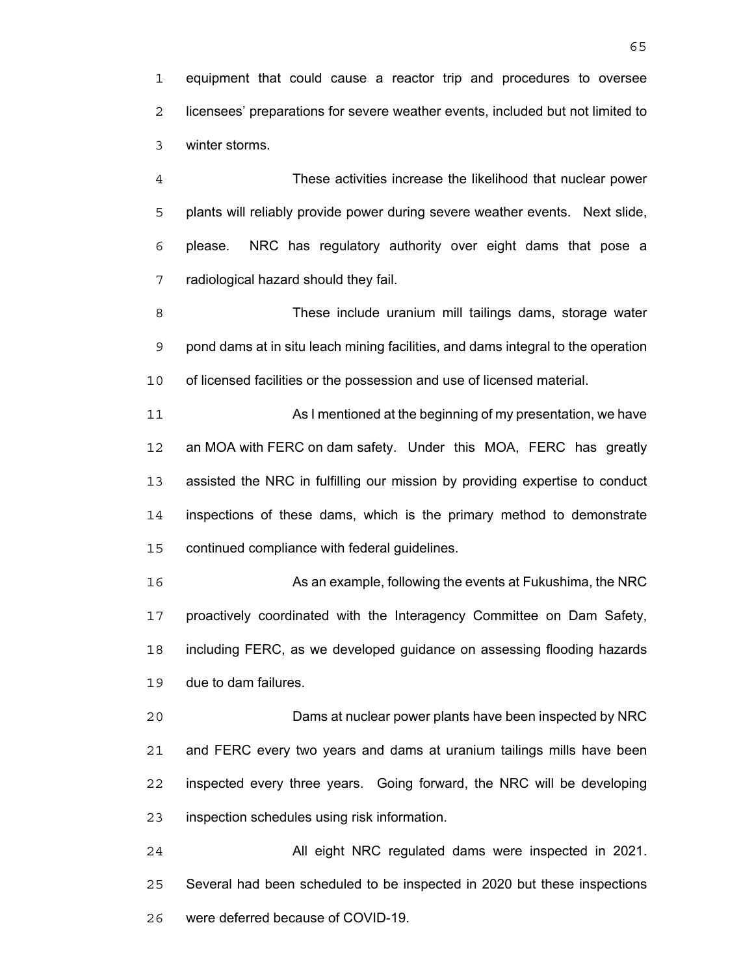equipment that could cause a reactor trip and procedures to oversee licensees' preparations for severe weather events, included but not limited to winter storms.

These activities increase the likelihood that nuclear power plants will reliably provide power during severe weather events. Next slide, please. NRC has regulatory authority over eight dams that pose a radiological hazard should they fail.

These include uranium mill tailings dams, storage water pond dams at in situ leach mining facilities, and dams integral to the operation of licensed facilities or the possession and use of licensed material.

As I mentioned at the beginning of my presentation, we have an MOA with FERC on dam safety. Under this MOA, FERC has greatly assisted the NRC in fulfilling our mission by providing expertise to conduct inspections of these dams, which is the primary method to demonstrate continued compliance with federal guidelines.

As an example, following the events at Fukushima, the NRC proactively coordinated with the Interagency Committee on Dam Safety, including FERC, as we developed guidance on assessing flooding hazards due to dam failures.

Dams at nuclear power plants have been inspected by NRC and FERC every two years and dams at uranium tailings mills have been inspected every three years. Going forward, the NRC will be developing inspection schedules using risk information.

All eight NRC regulated dams were inspected in 2021. Several had been scheduled to be inspected in 2020 but these inspections were deferred because of COVID-19.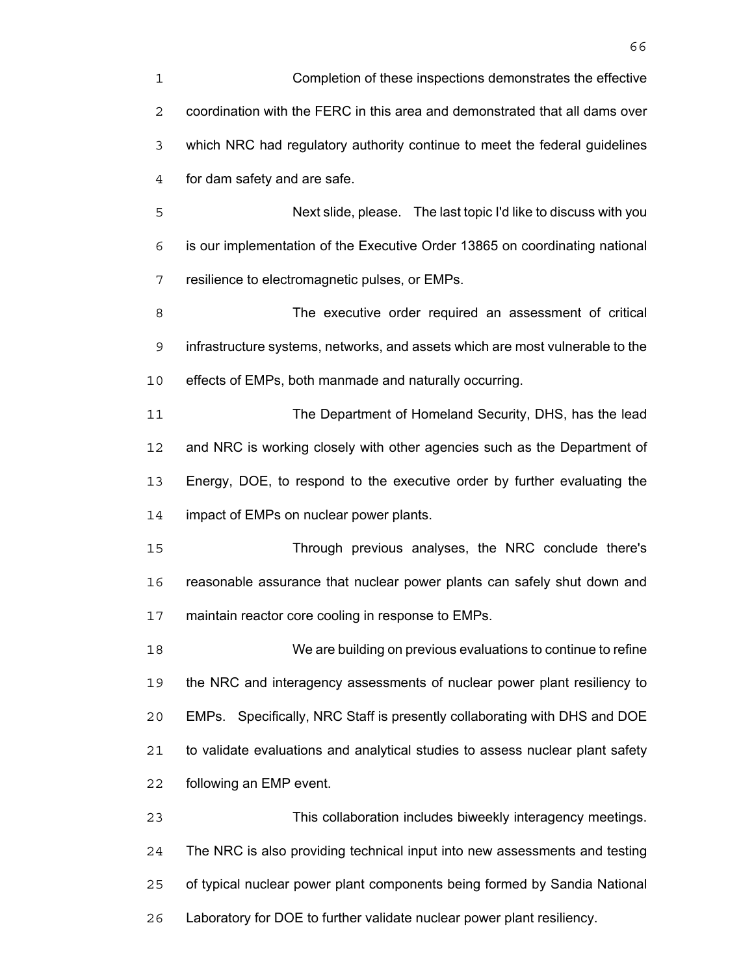Completion of these inspections demonstrates the effective coordination with the FERC in this area and demonstrated that all dams over which NRC had regulatory authority continue to meet the federal guidelines for dam safety and are safe.

Next slide, please. The last topic I'd like to discuss with you is our implementation of the Executive Order 13865 on coordinating national resilience to electromagnetic pulses, or EMPs.

The executive order required an assessment of critical infrastructure systems, networks, and assets which are most vulnerable to the effects of EMPs, both manmade and naturally occurring.

The Department of Homeland Security, DHS, has the lead 12 and NRC is working closely with other agencies such as the Department of Energy, DOE, to respond to the executive order by further evaluating the impact of EMPs on nuclear power plants.

Through previous analyses, the NRC conclude there's reasonable assurance that nuclear power plants can safely shut down and maintain reactor core cooling in response to EMPs.

We are building on previous evaluations to continue to refine the NRC and interagency assessments of nuclear power plant resiliency to EMPs. Specifically, NRC Staff is presently collaborating with DHS and DOE to validate evaluations and analytical studies to assess nuclear plant safety following an EMP event.

This collaboration includes biweekly interagency meetings. The NRC is also providing technical input into new assessments and testing of typical nuclear power plant components being formed by Sandia National Laboratory for DOE to further validate nuclear power plant resiliency.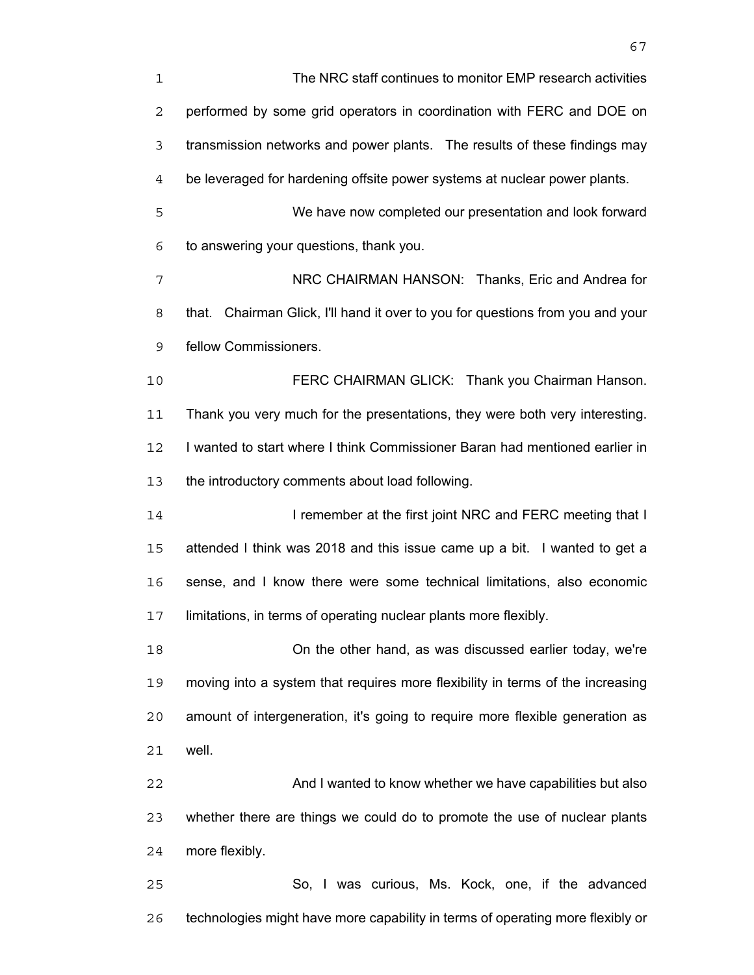| $\mathbf 1$ | The NRC staff continues to monitor EMP research activities                     |
|-------------|--------------------------------------------------------------------------------|
| 2           | performed by some grid operators in coordination with FERC and DOE on          |
| 3           | transmission networks and power plants. The results of these findings may      |
| 4           | be leveraged for hardening offsite power systems at nuclear power plants.      |
| 5           | We have now completed our presentation and look forward                        |
| 6           | to answering your questions, thank you.                                        |
| 7           | NRC CHAIRMAN HANSON: Thanks, Eric and Andrea for                               |
| 8           | that. Chairman Glick, I'll hand it over to you for questions from you and your |
| 9           | fellow Commissioners.                                                          |
| 10          | FERC CHAIRMAN GLICK: Thank you Chairman Hanson.                                |
| 11          | Thank you very much for the presentations, they were both very interesting.    |
| 12          | I wanted to start where I think Commissioner Baran had mentioned earlier in    |
| 13          | the introductory comments about load following.                                |
| 14          | I remember at the first joint NRC and FERC meeting that I                      |
| 15          | attended I think was 2018 and this issue came up a bit. I wanted to get a      |
| 16          | sense, and I know there were some technical limitations, also economic         |
| 17          | limitations, in terms of operating nuclear plants more flexibly.               |
| 18          | On the other hand, as was discussed earlier today, we're                       |
| 19          | moving into a system that requires more flexibility in terms of the increasing |
| 20          | amount of intergeneration, it's going to require more flexible generation as   |
| 21          | well.                                                                          |
| 22          | And I wanted to know whether we have capabilities but also                     |
| 23          | whether there are things we could do to promote the use of nuclear plants      |
| 24          | more flexibly.                                                                 |
| 25          | So, I was curious, Ms. Kock, one, if the advanced                              |
|             |                                                                                |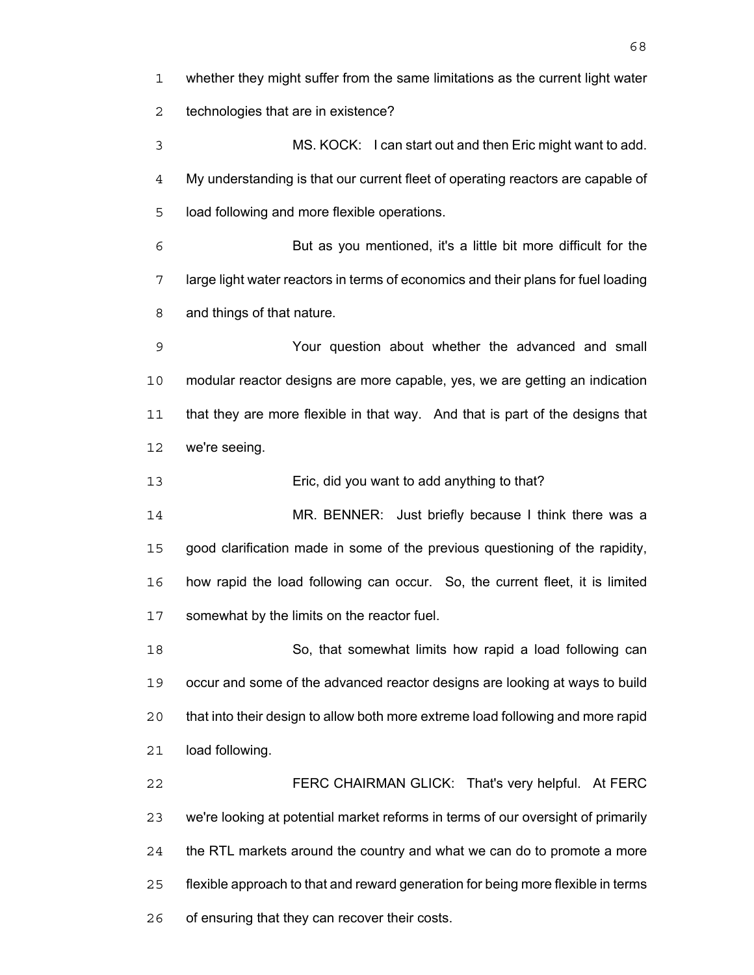whether they might suffer from the same limitations as the current light water technologies that are in existence? MS. KOCK: I can start out and then Eric might want to add. My understanding is that our current fleet of operating reactors are capable of load following and more flexible operations. But as you mentioned, it's a little bit more difficult for the large light water reactors in terms of economics and their plans for fuel loading and things of that nature. Your question about whether the advanced and small modular reactor designs are more capable, yes, we are getting an indication that they are more flexible in that way. And that is part of the designs that we're seeing. Eric, did you want to add anything to that? MR. BENNER: Just briefly because I think there was a good clarification made in some of the previous questioning of the rapidity, how rapid the load following can occur. So, the current fleet, it is limited somewhat by the limits on the reactor fuel. So, that somewhat limits how rapid a load following can occur and some of the advanced reactor designs are looking at ways to build that into their design to allow both more extreme load following and more rapid load following. FERC CHAIRMAN GLICK: That's very helpful. At FERC we're looking at potential market reforms in terms of our oversight of primarily the RTL markets around the country and what we can do to promote a more flexible approach to that and reward generation for being more flexible in terms

of ensuring that they can recover their costs.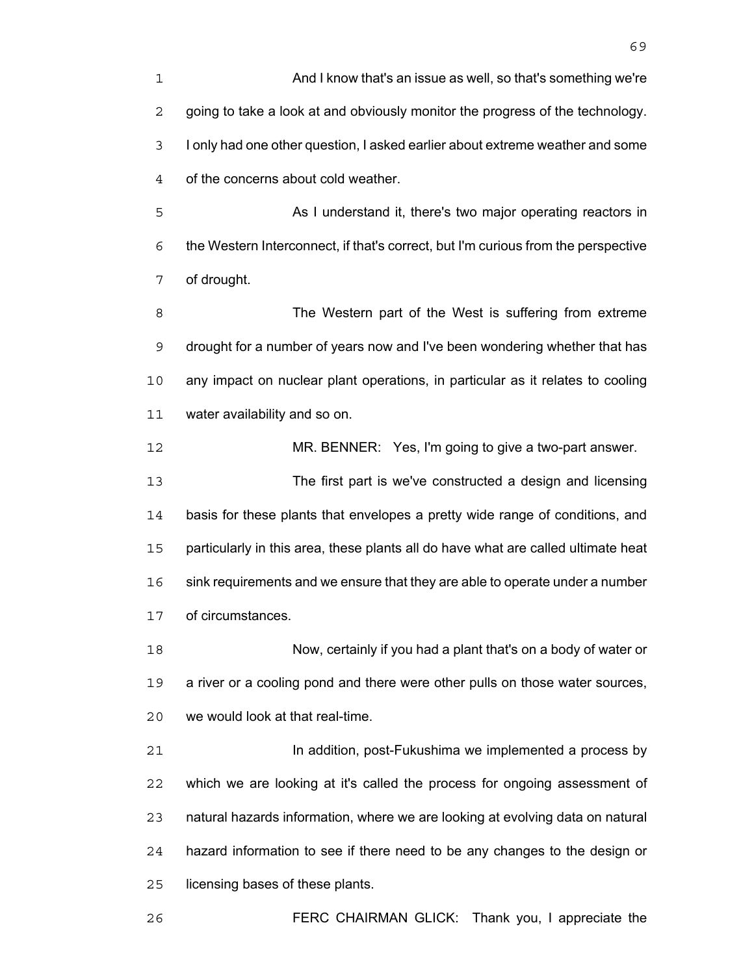And I know that's an issue as well, so that's something we're going to take a look at and obviously monitor the progress of the technology. I only had one other question, I asked earlier about extreme weather and some of the concerns about cold weather.

As I understand it, there's two major operating reactors in the Western Interconnect, if that's correct, but I'm curious from the perspective of drought.

8 The Western part of the West is suffering from extreme drought for a number of years now and I've been wondering whether that has any impact on nuclear plant operations, in particular as it relates to cooling water availability and so on.

MR. BENNER: Yes, I'm going to give a two-part answer. The first part is we've constructed a design and licensing basis for these plants that envelopes a pretty wide range of conditions, and particularly in this area, these plants all do have what are called ultimate heat sink requirements and we ensure that they are able to operate under a number of circumstances.

Now, certainly if you had a plant that's on a body of water or a river or a cooling pond and there were other pulls on those water sources, we would look at that real-time.

**In addition, post-Fukushima we implemented a process by** which we are looking at it's called the process for ongoing assessment of natural hazards information, where we are looking at evolving data on natural hazard information to see if there need to be any changes to the design or licensing bases of these plants.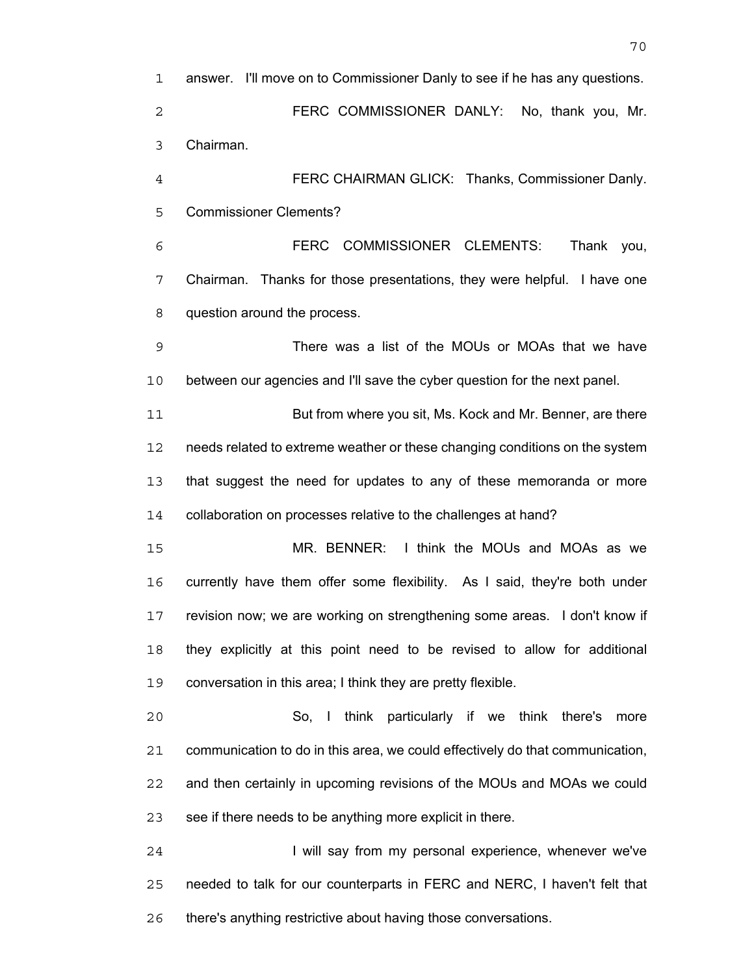answer. I'll move on to Commissioner Danly to see if he has any questions. FERC COMMISSIONER DANLY: No, thank you, Mr. Chairman. FERC CHAIRMAN GLICK: Thanks, Commissioner Danly. Commissioner Clements? FERC COMMISSIONER CLEMENTS: Thank you, Chairman. Thanks for those presentations, they were helpful. I have one question around the process. There was a list of the MOUs or MOAs that we have between our agencies and I'll save the cyber question for the next panel. But from where you sit, Ms. Kock and Mr. Benner, are there needs related to extreme weather or these changing conditions on the system that suggest the need for updates to any of these memoranda or more collaboration on processes relative to the challenges at hand? MR. BENNER: I think the MOUs and MOAs as we currently have them offer some flexibility. As I said, they're both under revision now; we are working on strengthening some areas. I don't know if they explicitly at this point need to be revised to allow for additional conversation in this area; I think they are pretty flexible. So, I think particularly if we think there's more communication to do in this area, we could effectively do that communication, and then certainly in upcoming revisions of the MOUs and MOAs we could see if there needs to be anything more explicit in there. 24 I will say from my personal experience, whenever we've needed to talk for our counterparts in FERC and NERC, I haven't felt that

there's anything restrictive about having those conversations.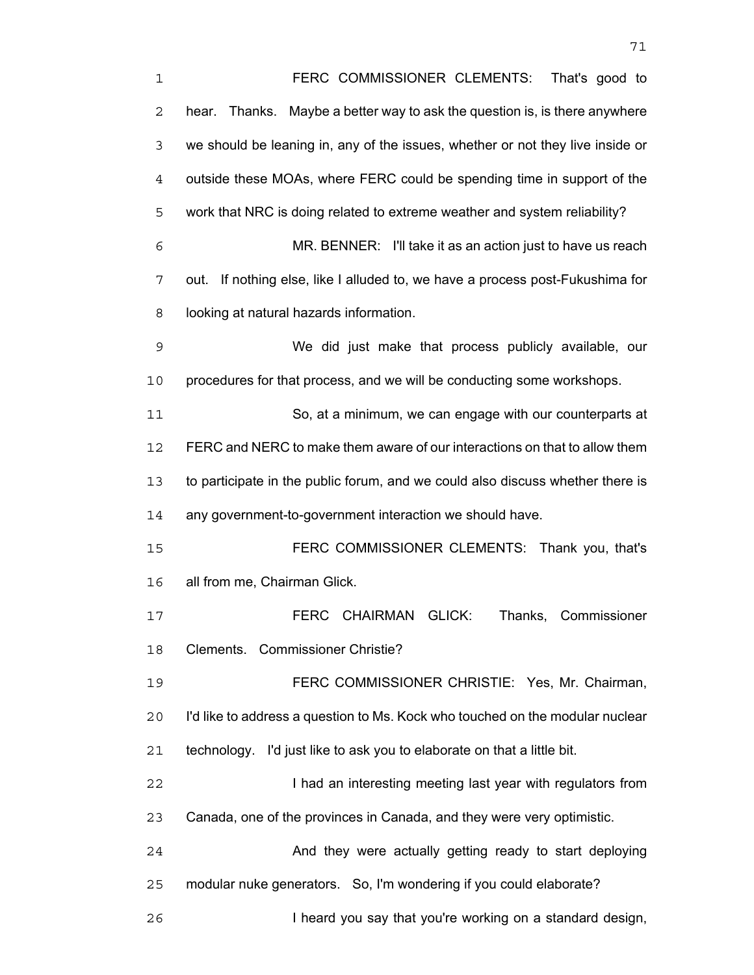FERC COMMISSIONER CLEMENTS: That's good to hear. Thanks. Maybe a better way to ask the question is, is there anywhere we should be leaning in, any of the issues, whether or not they live inside or outside these MOAs, where FERC could be spending time in support of the work that NRC is doing related to extreme weather and system reliability? MR. BENNER: I'll take it as an action just to have us reach out. If nothing else, like I alluded to, we have a process post-Fukushima for looking at natural hazards information. We did just make that process publicly available, our procedures for that process, and we will be conducting some workshops. So, at a minimum, we can engage with our counterparts at FERC and NERC to make them aware of our interactions on that to allow them to participate in the public forum, and we could also discuss whether there is any government-to-government interaction we should have. FERC COMMISSIONER CLEMENTS: Thank you, that's all from me, Chairman Glick. FERC CHAIRMAN GLICK: Thanks, Commissioner Clements. Commissioner Christie? FERC COMMISSIONER CHRISTIE: Yes, Mr. Chairman, I'd like to address a question to Ms. Kock who touched on the modular nuclear technology. I'd just like to ask you to elaborate on that a little bit. **I had an interesting meeting last year with regulators from** Canada, one of the provinces in Canada, and they were very optimistic. And they were actually getting ready to start deploying modular nuke generators. So, I'm wondering if you could elaborate? **I heard you say that you're working on a standard design,**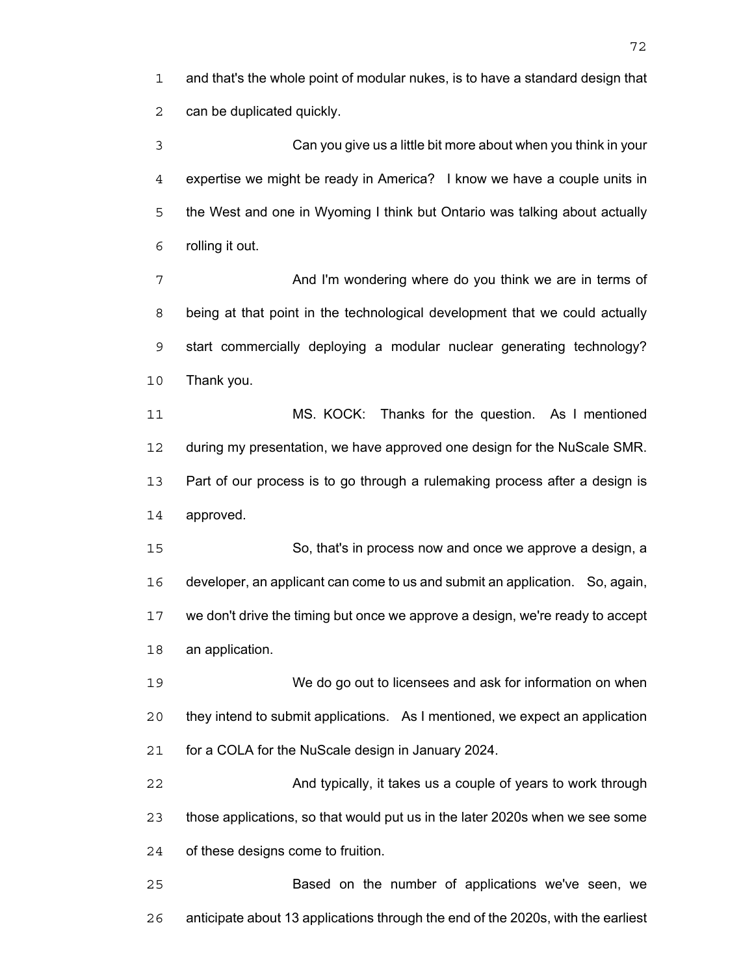and that's the whole point of modular nukes, is to have a standard design that can be duplicated quickly.

Can you give us a little bit more about when you think in your expertise we might be ready in America? I know we have a couple units in the West and one in Wyoming I think but Ontario was talking about actually rolling it out.

And I'm wondering where do you think we are in terms of being at that point in the technological development that we could actually start commercially deploying a modular nuclear generating technology? Thank you.

MS. KOCK: Thanks for the question. As I mentioned during my presentation, we have approved one design for the NuScale SMR. Part of our process is to go through a rulemaking process after a design is approved.

So, that's in process now and once we approve a design, a developer, an applicant can come to us and submit an application. So, again, we don't drive the timing but once we approve a design, we're ready to accept an application.

We do go out to licensees and ask for information on when they intend to submit applications. As I mentioned, we expect an application for a COLA for the NuScale design in January 2024.

And typically, it takes us a couple of years to work through those applications, so that would put us in the later 2020s when we see some of these designs come to fruition.

Based on the number of applications we've seen, we anticipate about 13 applications through the end of the 2020s, with the earliest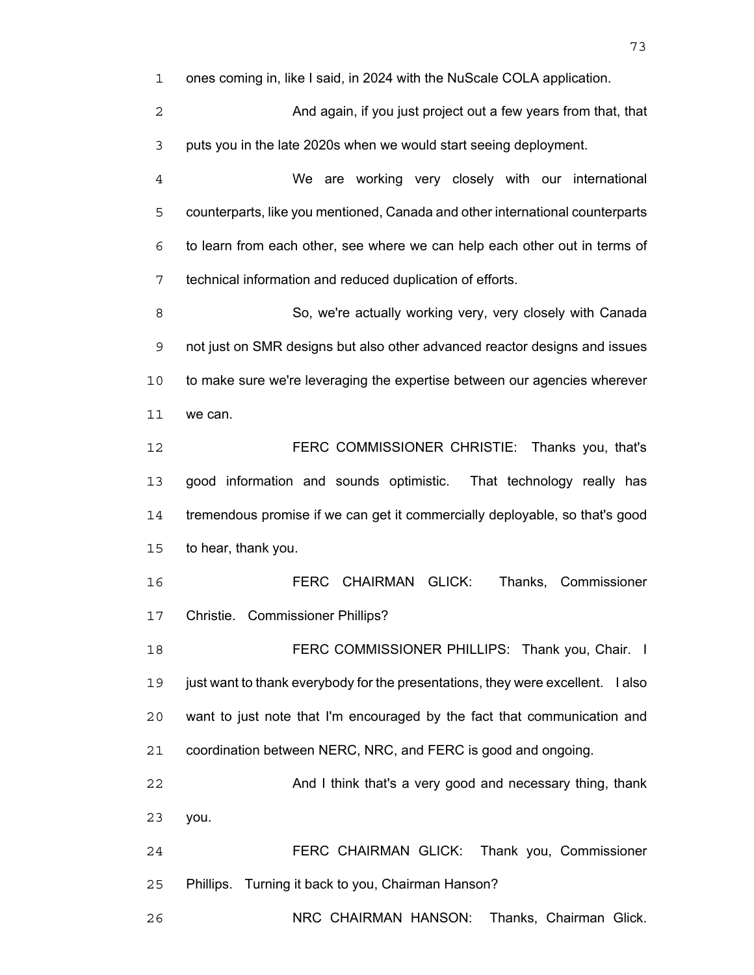ones coming in, like I said, in 2024 with the NuScale COLA application.

And again, if you just project out a few years from that, that puts you in the late 2020s when we would start seeing deployment.

We are working very closely with our international counterparts, like you mentioned, Canada and other international counterparts to learn from each other, see where we can help each other out in terms of technical information and reduced duplication of efforts.

So, we're actually working very, very closely with Canada not just on SMR designs but also other advanced reactor designs and issues to make sure we're leveraging the expertise between our agencies wherever we can.

FERC COMMISSIONER CHRISTIE: Thanks you, that's good information and sounds optimistic. That technology really has tremendous promise if we can get it commercially deployable, so that's good to hear, thank you.

FERC CHAIRMAN GLICK: Thanks, Commissioner Christie. Commissioner Phillips?

**FERC COMMISSIONER PHILLIPS: Thank you, Chair.** I just want to thank everybody for the presentations, they were excellent. I also want to just note that I'm encouraged by the fact that communication and coordination between NERC, NRC, and FERC is good and ongoing.

And I think that's a very good and necessary thing, thank you.

FERC CHAIRMAN GLICK: Thank you, Commissioner Phillips. Turning it back to you, Chairman Hanson?

NRC CHAIRMAN HANSON: Thanks, Chairman Glick.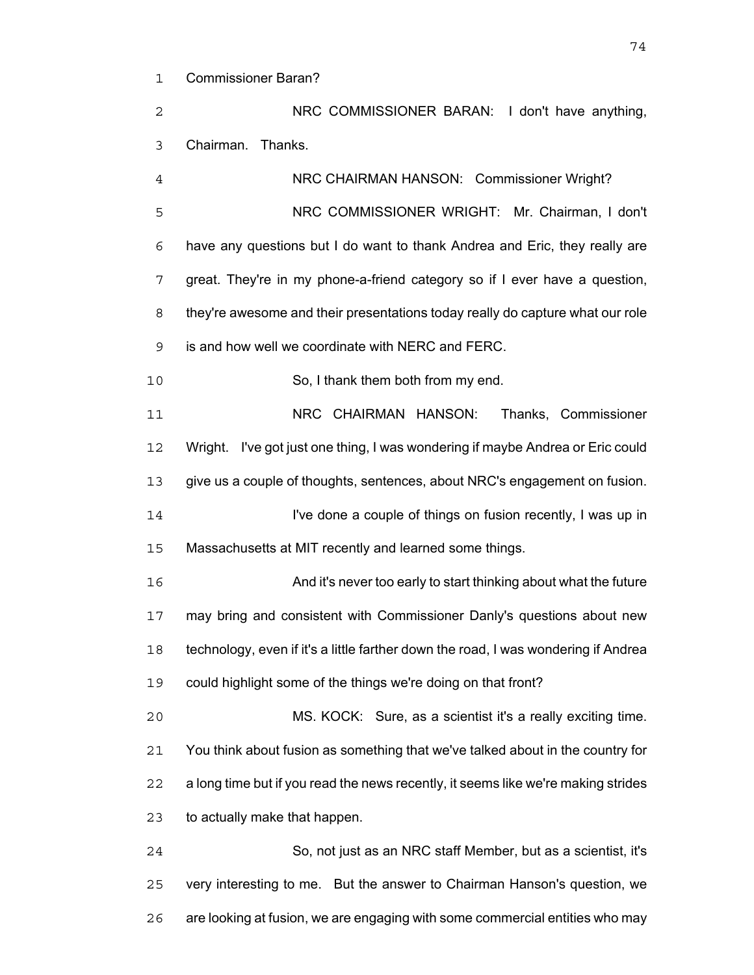Commissioner Baran?

NRC COMMISSIONER BARAN: I don't have anything, Chairman. Thanks.

NRC CHAIRMAN HANSON: Commissioner Wright? NRC COMMISSIONER WRIGHT: Mr. Chairman, I don't have any questions but I do want to thank Andrea and Eric, they really are great. They're in my phone-a-friend category so if I ever have a question, they're awesome and their presentations today really do capture what our role is and how well we coordinate with NERC and FERC. So, I thank them both from my end. NRC CHAIRMAN HANSON: Thanks, Commissioner Wright. I've got just one thing, I was wondering if maybe Andrea or Eric could give us a couple of thoughts, sentences, about NRC's engagement on fusion. I've done a couple of things on fusion recently, I was up in Massachusetts at MIT recently and learned some things. And it's never too early to start thinking about what the future may bring and consistent with Commissioner Danly's questions about new technology, even if it's a little farther down the road, I was wondering if Andrea could highlight some of the things we're doing on that front? MS. KOCK: Sure, as a scientist it's a really exciting time. You think about fusion as something that we've talked about in the country for a long time but if you read the news recently, it seems like we're making strides to actually make that happen. So, not just as an NRC staff Member, but as a scientist, it's

very interesting to me. But the answer to Chairman Hanson's question, we are looking at fusion, we are engaging with some commercial entities who may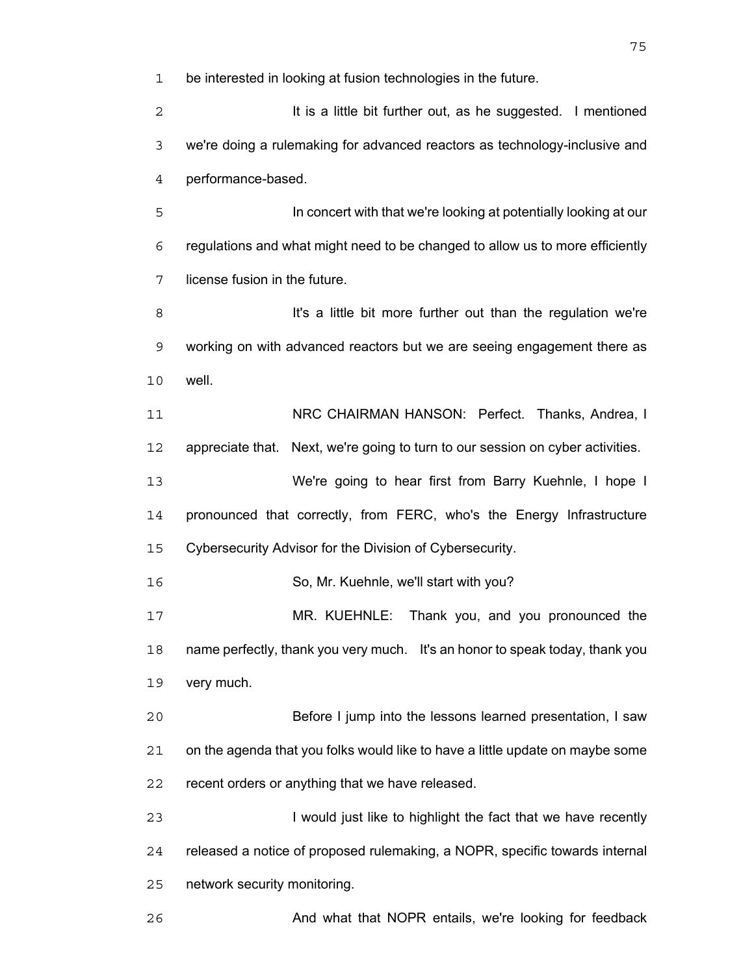be interested in looking at fusion technologies in the future.

2 It is a little bit further out, as he suggested. I mentioned we're doing a rulemaking for advanced reactors as technology-inclusive and performance-based.

In concert with that we're looking at potentially looking at our regulations and what might need to be changed to allow us to more efficiently license fusion in the future.

**It's a little bit more further out than the regulation we're** working on with advanced reactors but we are seeing engagement there as well.

NRC CHAIRMAN HANSON: Perfect. Thanks, Andrea, I appreciate that. Next, we're going to turn to our session on cyber activities. We're going to hear first from Barry Kuehnle, I hope I

pronounced that correctly, from FERC, who's the Energy Infrastructure Cybersecurity Advisor for the Division of Cybersecurity.

So, Mr. Kuehnle, we'll start with you?

MR. KUEHNLE: Thank you, and you pronounced the name perfectly, thank you very much. It's an honor to speak today, thank you very much.

Before I jump into the lessons learned presentation, I saw on the agenda that you folks would like to have a little update on maybe some recent orders or anything that we have released.

I would just like to highlight the fact that we have recently released a notice of proposed rulemaking, a NOPR, specific towards internal network security monitoring.

**And what that NOPR entails, we're looking for feedback**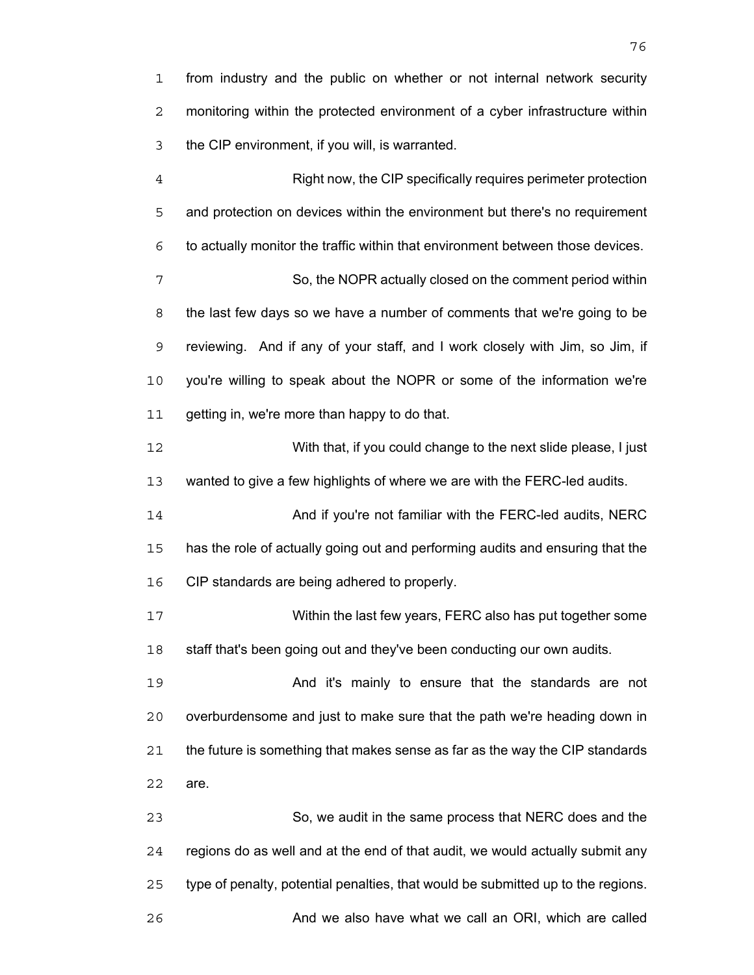from industry and the public on whether or not internal network security monitoring within the protected environment of a cyber infrastructure within the CIP environment, if you will, is warranted.

Right now, the CIP specifically requires perimeter protection and protection on devices within the environment but there's no requirement to actually monitor the traffic within that environment between those devices. So, the NOPR actually closed on the comment period within the last few days so we have a number of comments that we're going to be reviewing. And if any of your staff, and I work closely with Jim, so Jim, if you're willing to speak about the NOPR or some of the information we're 11 getting in, we're more than happy to do that. With that, if you could change to the next slide please, I just wanted to give a few highlights of where we are with the FERC-led audits. And if you're not familiar with the FERC-led audits, NERC has the role of actually going out and performing audits and ensuring that the CIP standards are being adhered to properly. Within the last few years, FERC also has put together some 18 staff that's been going out and they've been conducting our own audits. And it's mainly to ensure that the standards are not overburdensome and just to make sure that the path we're heading down in the future is something that makes sense as far as the way the CIP standards are. So, we audit in the same process that NERC does and the regions do as well and at the end of that audit, we would actually submit any

type of penalty, potential penalties, that would be submitted up to the regions.

**And we also have what we call an ORI, which are called**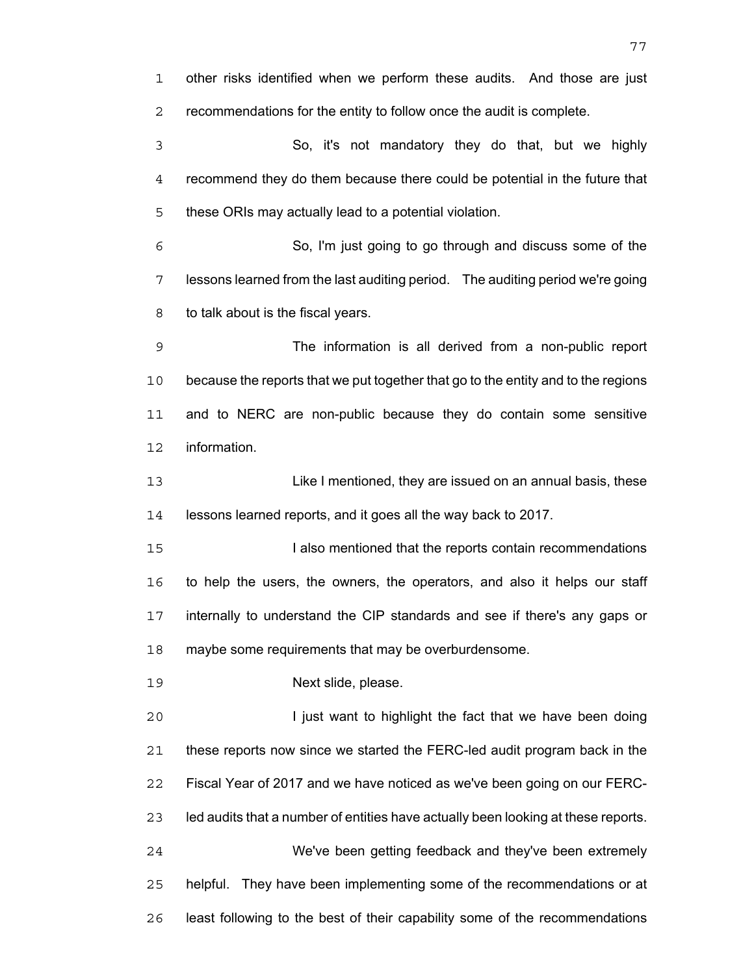other risks identified when we perform these audits. And those are just recommendations for the entity to follow once the audit is complete. So, it's not mandatory they do that, but we highly recommend they do them because there could be potential in the future that these ORIs may actually lead to a potential violation. So, I'm just going to go through and discuss some of the lessons learned from the last auditing period. The auditing period we're going to talk about is the fiscal years. The information is all derived from a non-public report because the reports that we put together that go to the entity and to the regions and to NERC are non-public because they do contain some sensitive information. Like I mentioned, they are issued on an annual basis, these lessons learned reports, and it goes all the way back to 2017. **I also mentioned that the reports contain recommendations** to help the users, the owners, the operators, and also it helps our staff internally to understand the CIP standards and see if there's any gaps or maybe some requirements that may be overburdensome. Next slide, please. I just want to highlight the fact that we have been doing these reports now since we started the FERC-led audit program back in the Fiscal Year of 2017 and we have noticed as we've been going on our FERC-led audits that a number of entities have actually been looking at these reports. We've been getting feedback and they've been extremely helpful. They have been implementing some of the recommendations or at

least following to the best of their capability some of the recommendations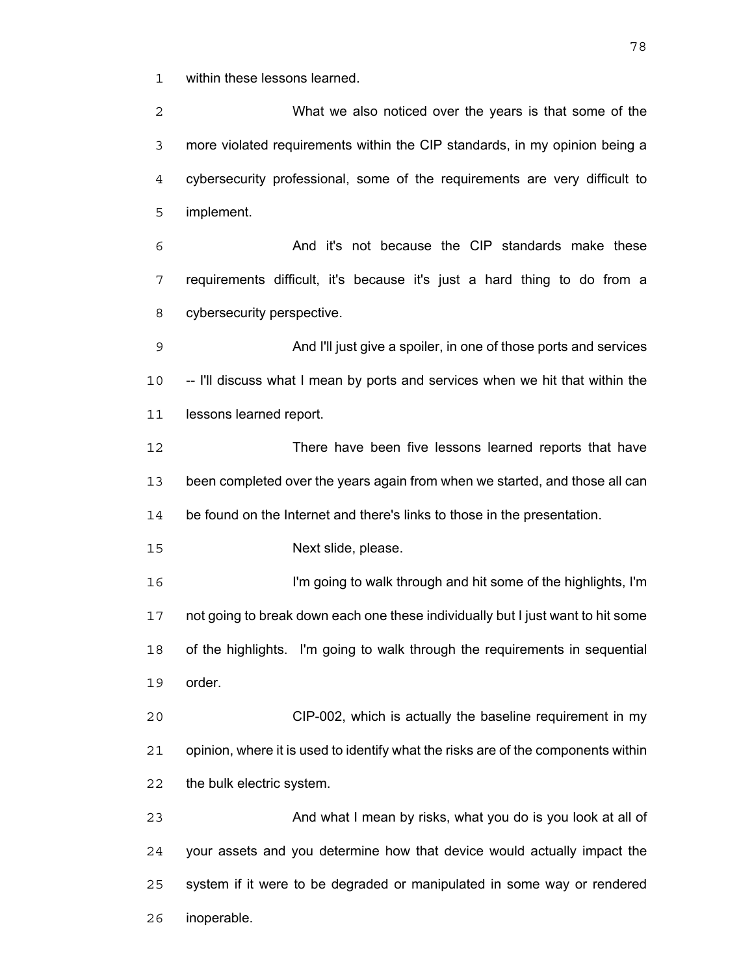within these lessons learned.

What we also noticed over the years is that some of the more violated requirements within the CIP standards, in my opinion being a cybersecurity professional, some of the requirements are very difficult to implement. And it's not because the CIP standards make these requirements difficult, it's because it's just a hard thing to do from a cybersecurity perspective. And I'll just give a spoiler, in one of those ports and services -- I'll discuss what I mean by ports and services when we hit that within the 11 lessons learned report. There have been five lessons learned reports that have been completed over the years again from when we started, and those all can 14 be found on the Internet and there's links to those in the presentation. Next slide, please. I'm going to walk through and hit some of the highlights, I'm not going to break down each one these individually but I just want to hit some of the highlights. I'm going to walk through the requirements in sequential order. CIP-002, which is actually the baseline requirement in my opinion, where it is used to identify what the risks are of the components within the bulk electric system. And what I mean by risks, what you do is you look at all of your assets and you determine how that device would actually impact the system if it were to be degraded or manipulated in some way or rendered inoperable.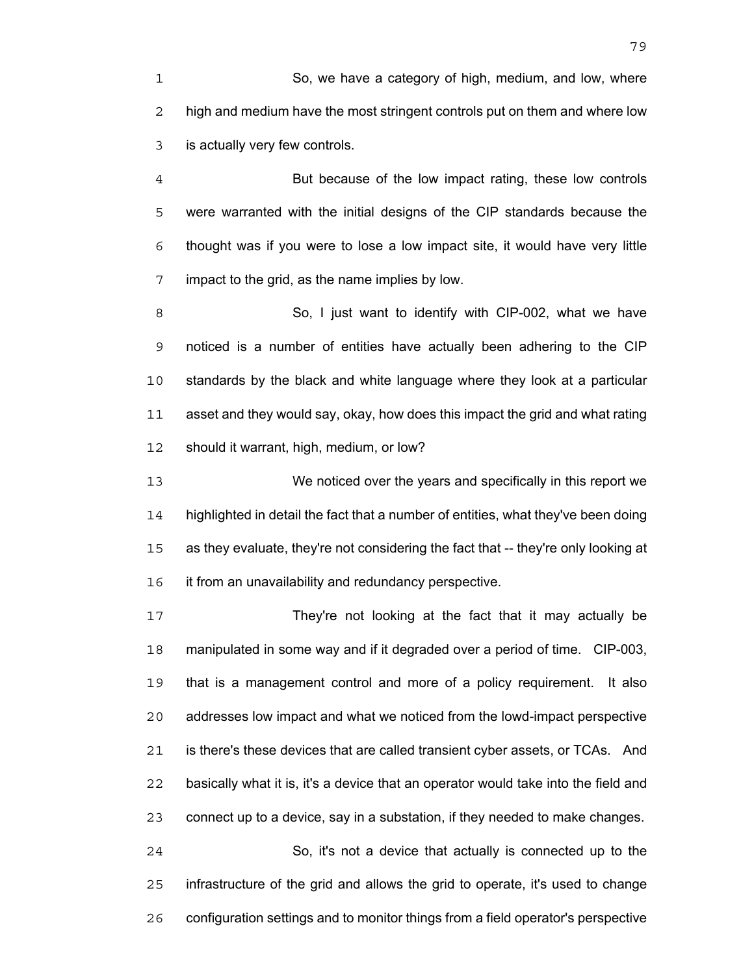So, we have a category of high, medium, and low, where 2 high and medium have the most stringent controls put on them and where low is actually very few controls.

But because of the low impact rating, these low controls were warranted with the initial designs of the CIP standards because the thought was if you were to lose a low impact site, it would have very little impact to the grid, as the name implies by low.

So, I just want to identify with CIP-002, what we have noticed is a number of entities have actually been adhering to the CIP standards by the black and white language where they look at a particular asset and they would say, okay, how does this impact the grid and what rating should it warrant, high, medium, or low?

We noticed over the years and specifically in this report we highlighted in detail the fact that a number of entities, what they've been doing as they evaluate, they're not considering the fact that -- they're only looking at it from an unavailability and redundancy perspective.

They're not looking at the fact that it may actually be manipulated in some way and if it degraded over a period of time. CIP-003, that is a management control and more of a policy requirement. It also addresses low impact and what we noticed from the lowd-impact perspective is there's these devices that are called transient cyber assets, or TCAs. And basically what it is, it's a device that an operator would take into the field and connect up to a device, say in a substation, if they needed to make changes.

So, it's not a device that actually is connected up to the infrastructure of the grid and allows the grid to operate, it's used to change configuration settings and to monitor things from a field operator's perspective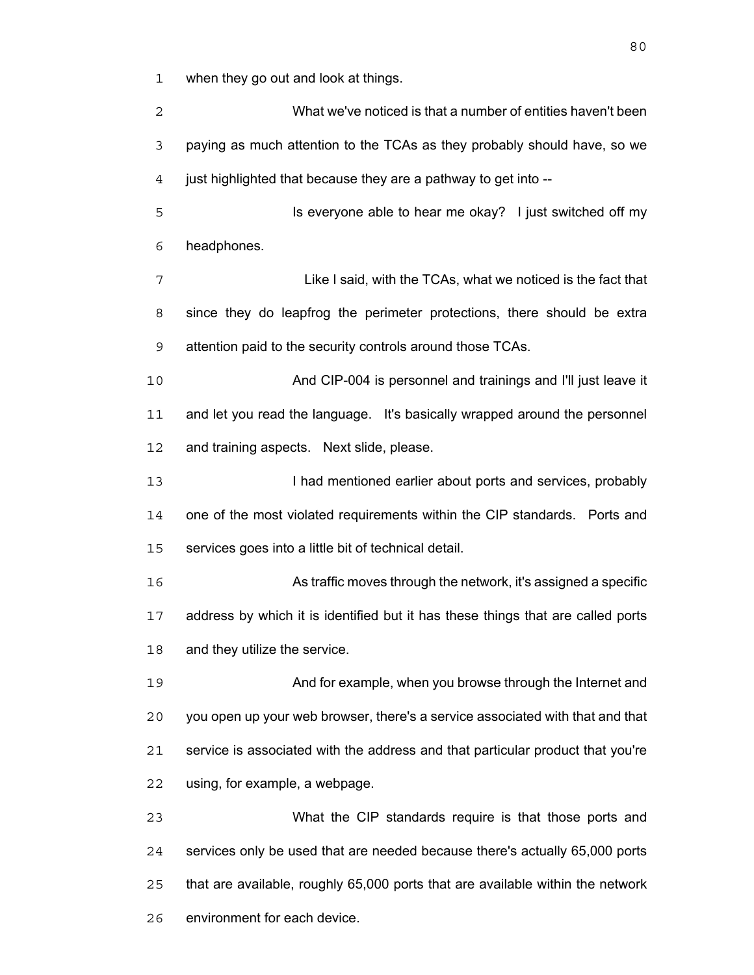when they go out and look at things.

What we've noticed is that a number of entities haven't been paying as much attention to the TCAs as they probably should have, so we just highlighted that because they are a pathway to get into -- Is everyone able to hear me okay? I just switched off my headphones. Like I said, with the TCAs, what we noticed is the fact that since they do leapfrog the perimeter protections, there should be extra attention paid to the security controls around those TCAs. And CIP-004 is personnel and trainings and I'll just leave it and let you read the language. It's basically wrapped around the personnel and training aspects. Next slide, please. **I had mentioned earlier about ports and services, probably** one of the most violated requirements within the CIP standards. Ports and services goes into a little bit of technical detail. As traffic moves through the network, it's assigned a specific address by which it is identified but it has these things that are called ports 18 and they utilize the service. And for example, when you browse through the Internet and you open up your web browser, there's a service associated with that and that service is associated with the address and that particular product that you're using, for example, a webpage. What the CIP standards require is that those ports and services only be used that are needed because there's actually 65,000 ports that are available, roughly 65,000 ports that are available within the network environment for each device.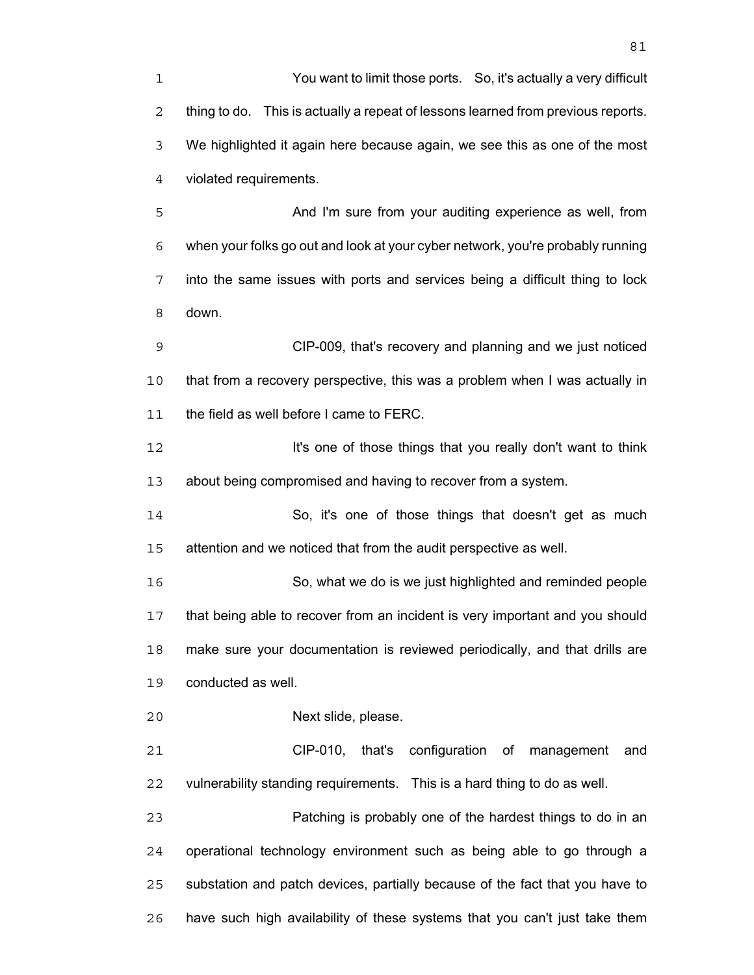You want to limit those ports. So, it's actually a very difficult thing to do. This is actually a repeat of lessons learned from previous reports. We highlighted it again here because again, we see this as one of the most violated requirements.

And I'm sure from your auditing experience as well, from when your folks go out and look at your cyber network, you're probably running into the same issues with ports and services being a difficult thing to lock down.

CIP-009, that's recovery and planning and we just noticed that from a recovery perspective, this was a problem when I was actually in 11 the field as well before I came to FERC.

**It's one of those things that you really don't want to think** about being compromised and having to recover from a system.

So, it's one of those things that doesn't get as much attention and we noticed that from the audit perspective as well.

So, what we do is we just highlighted and reminded people that being able to recover from an incident is very important and you should make sure your documentation is reviewed periodically, and that drills are conducted as well.

Next slide, please.

CIP-010, that's configuration of management and vulnerability standing requirements. This is a hard thing to do as well.

Patching is probably one of the hardest things to do in an operational technology environment such as being able to go through a substation and patch devices, partially because of the fact that you have to have such high availability of these systems that you can't just take them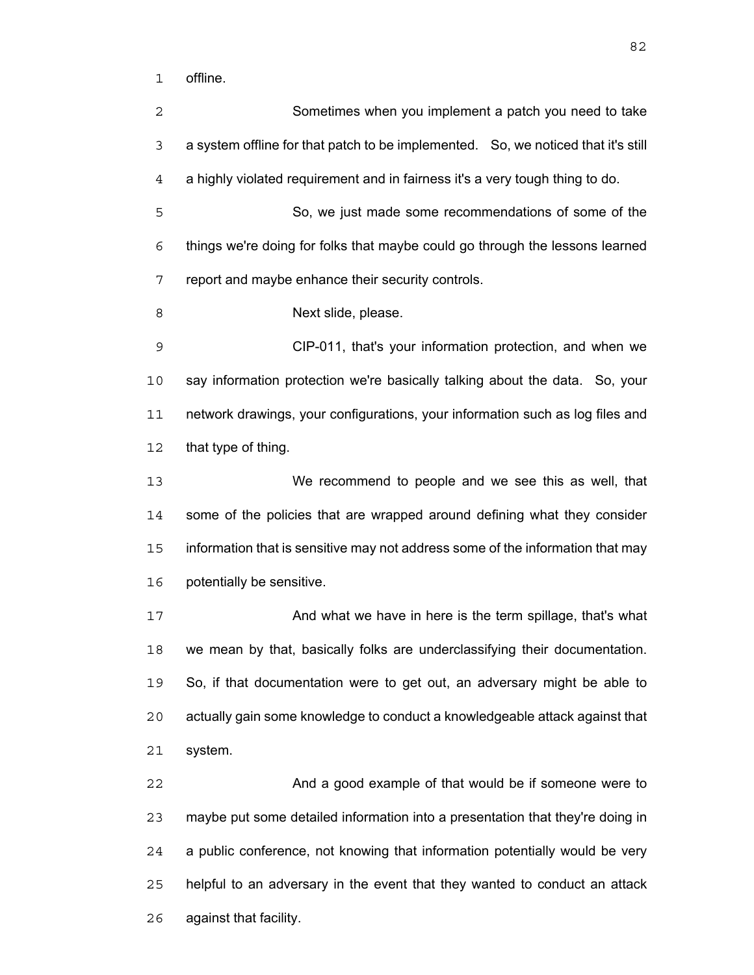offline.

Sometimes when you implement a patch you need to take a system offline for that patch to be implemented. So, we noticed that it's still a highly violated requirement and in fairness it's a very tough thing to do. So, we just made some recommendations of some of the things we're doing for folks that maybe could go through the lessons learned report and maybe enhance their security controls. 8 Next slide, please. CIP-011, that's your information protection, and when we say information protection we're basically talking about the data. So, your network drawings, your configurations, your information such as log files and that type of thing. We recommend to people and we see this as well, that some of the policies that are wrapped around defining what they consider information that is sensitive may not address some of the information that may potentially be sensitive. 17 And what we have in here is the term spillage, that's what we mean by that, basically folks are underclassifying their documentation. So, if that documentation were to get out, an adversary might be able to actually gain some knowledge to conduct a knowledgeable attack against that system. And a good example of that would be if someone were to maybe put some detailed information into a presentation that they're doing in a public conference, not knowing that information potentially would be very helpful to an adversary in the event that they wanted to conduct an attack against that facility.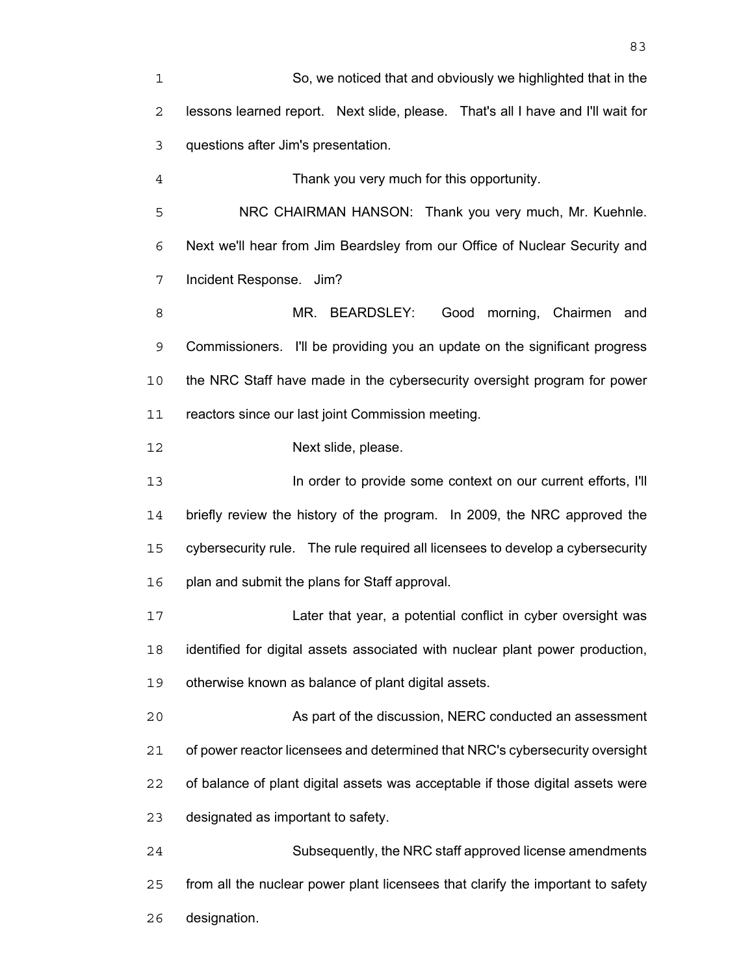So, we noticed that and obviously we highlighted that in the lessons learned report. Next slide, please. That's all I have and I'll wait for questions after Jim's presentation.

Thank you very much for this opportunity.

NRC CHAIRMAN HANSON: Thank you very much, Mr. Kuehnle. Next we'll hear from Jim Beardsley from our Office of Nuclear Security and Incident Response. Jim?

MR. BEARDSLEY: Good morning, Chairmen and Commissioners. I'll be providing you an update on the significant progress the NRC Staff have made in the cybersecurity oversight program for power reactors since our last joint Commission meeting.

Next slide, please.

In order to provide some context on our current efforts, I'll briefly review the history of the program. In 2009, the NRC approved the cybersecurity rule. The rule required all licensees to develop a cybersecurity plan and submit the plans for Staff approval.

Later that year, a potential conflict in cyber oversight was identified for digital assets associated with nuclear plant power production, otherwise known as balance of plant digital assets.

As part of the discussion, NERC conducted an assessment of power reactor licensees and determined that NRC's cybersecurity oversight of balance of plant digital assets was acceptable if those digital assets were designated as important to safety.

Subsequently, the NRC staff approved license amendments from all the nuclear power plant licensees that clarify the important to safety designation.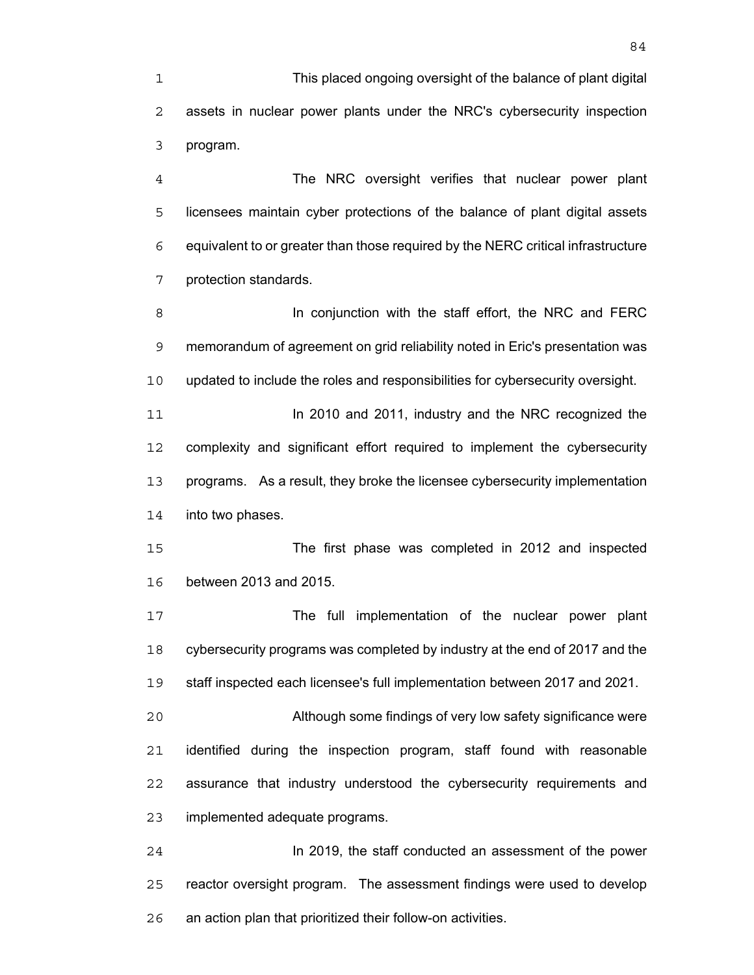This placed ongoing oversight of the balance of plant digital assets in nuclear power plants under the NRC's cybersecurity inspection program.

The NRC oversight verifies that nuclear power plant licensees maintain cyber protections of the balance of plant digital assets equivalent to or greater than those required by the NERC critical infrastructure protection standards.

**In conjunction with the staff effort, the NRC and FERC** memorandum of agreement on grid reliability noted in Eric's presentation was updated to include the roles and responsibilities for cybersecurity oversight.

**In 2010 and 2011, industry and the NRC recognized the** complexity and significant effort required to implement the cybersecurity programs. As a result, they broke the licensee cybersecurity implementation into two phases.

The first phase was completed in 2012 and inspected between 2013 and 2015.

The full implementation of the nuclear power plant cybersecurity programs was completed by industry at the end of 2017 and the staff inspected each licensee's full implementation between 2017 and 2021.

Although some findings of very low safety significance were identified during the inspection program, staff found with reasonable assurance that industry understood the cybersecurity requirements and implemented adequate programs.

In 2019, the staff conducted an assessment of the power reactor oversight program. The assessment findings were used to develop an action plan that prioritized their follow-on activities.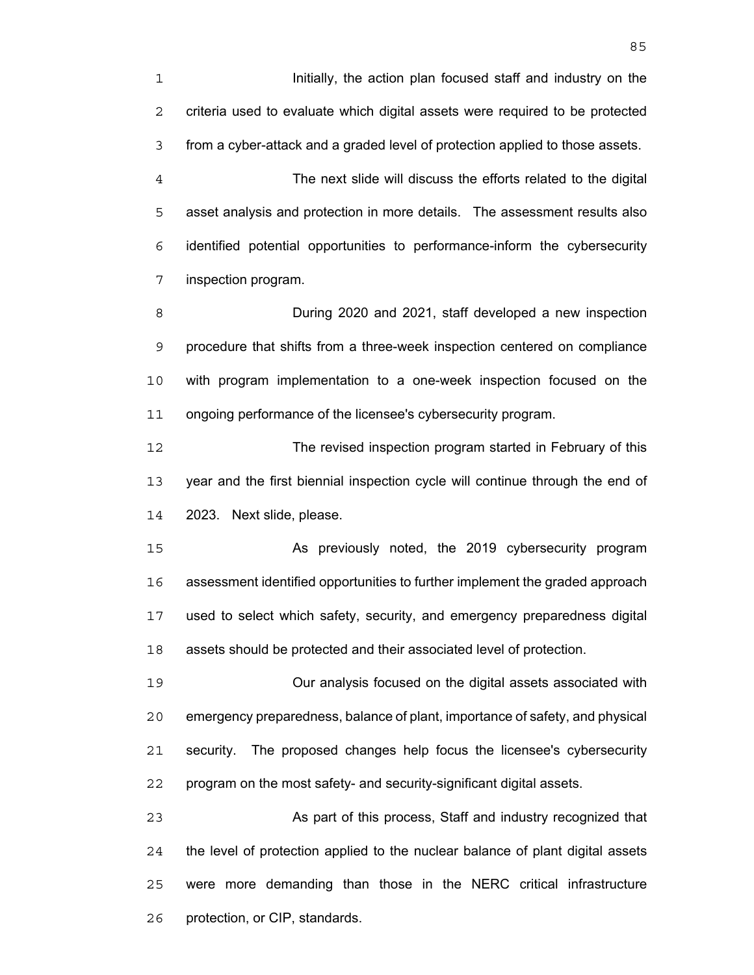Initially, the action plan focused staff and industry on the criteria used to evaluate which digital assets were required to be protected from a cyber-attack and a graded level of protection applied to those assets.

The next slide will discuss the efforts related to the digital asset analysis and protection in more details. The assessment results also identified potential opportunities to performance-inform the cybersecurity inspection program.

During 2020 and 2021, staff developed a new inspection procedure that shifts from a three-week inspection centered on compliance with program implementation to a one-week inspection focused on the ongoing performance of the licensee's cybersecurity program.

The revised inspection program started in February of this year and the first biennial inspection cycle will continue through the end of 2023. Next slide, please.

As previously noted, the 2019 cybersecurity program assessment identified opportunities to further implement the graded approach used to select which safety, security, and emergency preparedness digital assets should be protected and their associated level of protection.

Our analysis focused on the digital assets associated with emergency preparedness, balance of plant, importance of safety, and physical security. The proposed changes help focus the licensee's cybersecurity program on the most safety- and security-significant digital assets.

As part of this process, Staff and industry recognized that the level of protection applied to the nuclear balance of plant digital assets were more demanding than those in the NERC critical infrastructure protection, or CIP, standards.

<u>85 and 2001 and 2001 and 2001 and 2001 and 2001 and 2001 and 2001 and 2001 and 2001 and 2001 and 2001 and 200</u>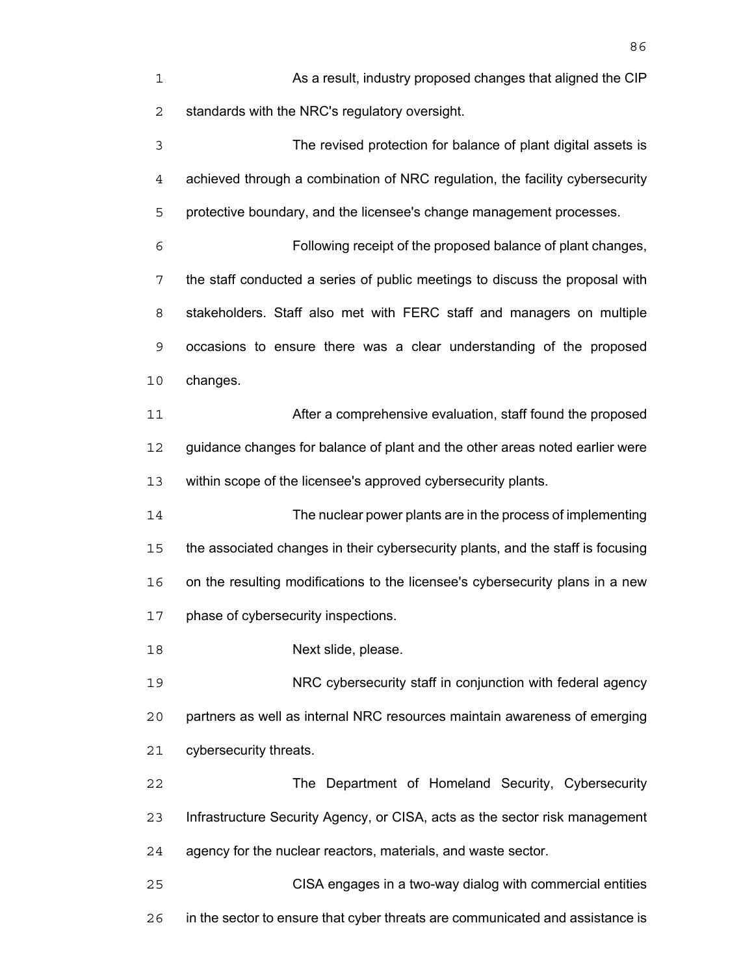| 1              | As a result, industry proposed changes that aligned the CIP                     |
|----------------|---------------------------------------------------------------------------------|
| $\overline{2}$ | standards with the NRC's regulatory oversight.                                  |
| 3              | The revised protection for balance of plant digital assets is                   |
| 4              | achieved through a combination of NRC regulation, the facility cybersecurity    |
| 5              | protective boundary, and the licensee's change management processes.            |
| 6              | Following receipt of the proposed balance of plant changes,                     |
| 7              | the staff conducted a series of public meetings to discuss the proposal with    |
| 8              | stakeholders. Staff also met with FERC staff and managers on multiple           |
| 9              | occasions to ensure there was a clear understanding of the proposed             |
| 10             | changes.                                                                        |
| 11             | After a comprehensive evaluation, staff found the proposed                      |
| 12             | guidance changes for balance of plant and the other areas noted earlier were    |
| 13             | within scope of the licensee's approved cybersecurity plants.                   |
| 14             | The nuclear power plants are in the process of implementing                     |
| 15             | the associated changes in their cybersecurity plants, and the staff is focusing |
| 16             | on the resulting modifications to the licensee's cybersecurity plans in a new   |
| 17             | phase of cybersecurity inspections.                                             |
| 18             | Next slide, please.                                                             |
| 19             | NRC cybersecurity staff in conjunction with federal agency                      |
| 20             | partners as well as internal NRC resources maintain awareness of emerging       |
| 21             | cybersecurity threats.                                                          |
| 22             | The Department of Homeland Security, Cybersecurity                              |
| 23             | Infrastructure Security Agency, or CISA, acts as the sector risk management     |
| 24             | agency for the nuclear reactors, materials, and waste sector.                   |
| 25             | CISA engages in a two-way dialog with commercial entities                       |
| 26             | in the sector to ensure that cyber threats are communicated and assistance is   |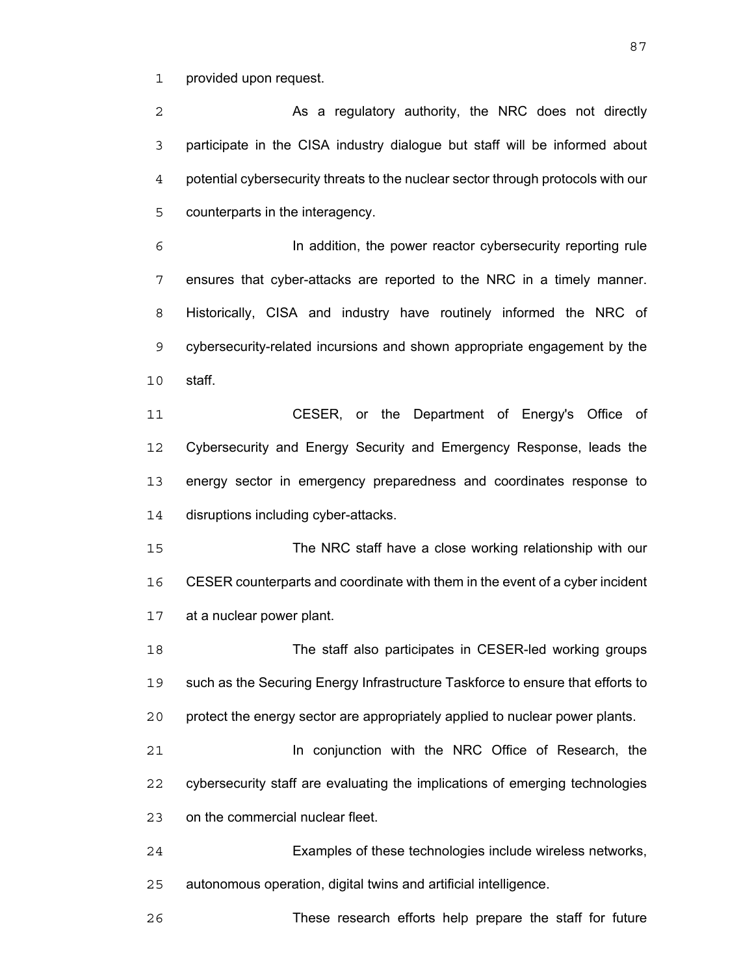provided upon request.

2 As a regulatory authority, the NRC does not directly participate in the CISA industry dialogue but staff will be informed about potential cybersecurity threats to the nuclear sector through protocols with our counterparts in the interagency.

In addition, the power reactor cybersecurity reporting rule ensures that cyber-attacks are reported to the NRC in a timely manner. Historically, CISA and industry have routinely informed the NRC of cybersecurity-related incursions and shown appropriate engagement by the staff.

CESER, or the Department of Energy's Office of Cybersecurity and Energy Security and Emergency Response, leads the energy sector in emergency preparedness and coordinates response to disruptions including cyber-attacks.

The NRC staff have a close working relationship with our CESER counterparts and coordinate with them in the event of a cyber incident at a nuclear power plant.

The staff also participates in CESER-led working groups such as the Securing Energy Infrastructure Taskforce to ensure that efforts to protect the energy sector are appropriately applied to nuclear power plants.

**In conjunction with the NRC Office of Research, the** cybersecurity staff are evaluating the implications of emerging technologies on the commercial nuclear fleet.

Examples of these technologies include wireless networks, autonomous operation, digital twins and artificial intelligence.

These research efforts help prepare the staff for future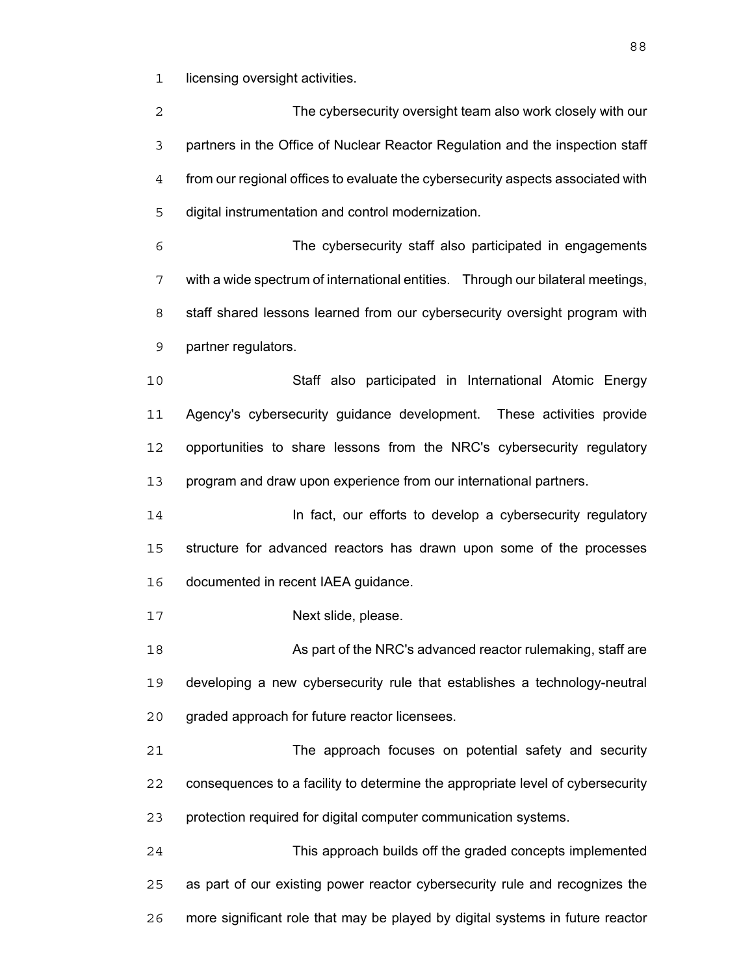1 licensing oversight activities.

The cybersecurity oversight team also work closely with our partners in the Office of Nuclear Reactor Regulation and the inspection staff from our regional offices to evaluate the cybersecurity aspects associated with digital instrumentation and control modernization.

The cybersecurity staff also participated in engagements with a wide spectrum of international entities. Through our bilateral meetings, staff shared lessons learned from our cybersecurity oversight program with partner regulators.

Staff also participated in International Atomic Energy Agency's cybersecurity guidance development. These activities provide opportunities to share lessons from the NRC's cybersecurity regulatory program and draw upon experience from our international partners.

**In fact, our efforts to develop a cybersecurity regulatory** structure for advanced reactors has drawn upon some of the processes documented in recent IAEA guidance.

17 Next slide, please.

18 As part of the NRC's advanced reactor rulemaking, staff are developing a new cybersecurity rule that establishes a technology-neutral graded approach for future reactor licensees.

The approach focuses on potential safety and security consequences to a facility to determine the appropriate level of cybersecurity protection required for digital computer communication systems.

This approach builds off the graded concepts implemented as part of our existing power reactor cybersecurity rule and recognizes the more significant role that may be played by digital systems in future reactor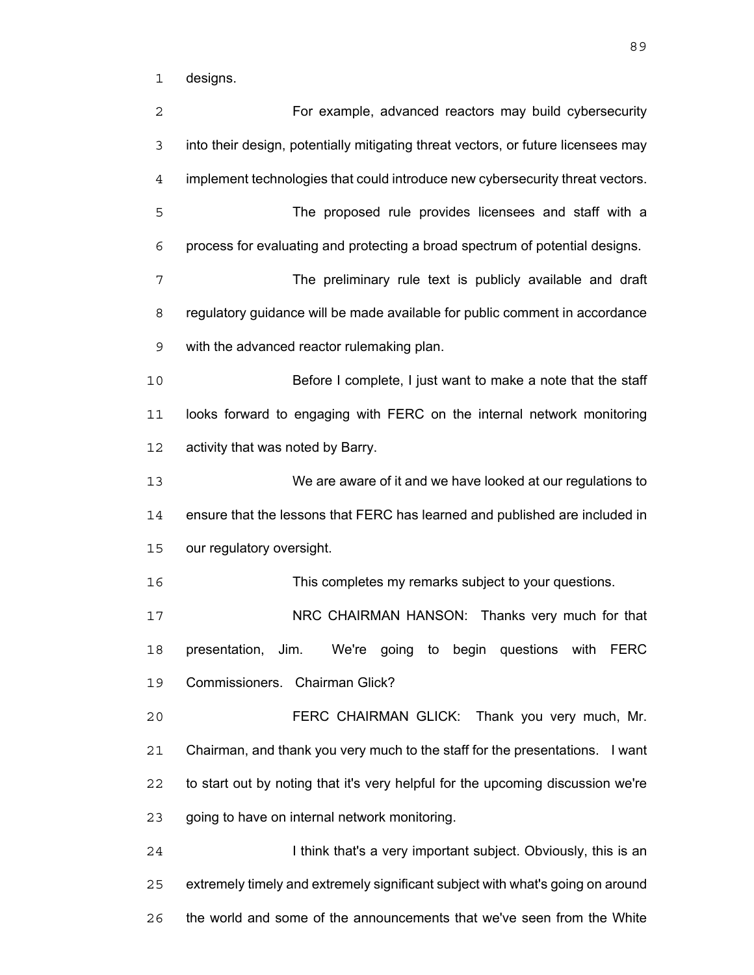designs.

| 2  | For example, advanced reactors may build cybersecurity                               |
|----|--------------------------------------------------------------------------------------|
| 3  | into their design, potentially mitigating threat vectors, or future licensees may    |
| 4  | implement technologies that could introduce new cybersecurity threat vectors.        |
| 5  | The proposed rule provides licensees and staff with a                                |
| 6  | process for evaluating and protecting a broad spectrum of potential designs.         |
| 7  | The preliminary rule text is publicly available and draft                            |
| 8  | regulatory guidance will be made available for public comment in accordance          |
| 9  | with the advanced reactor rulemaking plan.                                           |
| 10 | Before I complete, I just want to make a note that the staff                         |
| 11 | looks forward to engaging with FERC on the internal network monitoring               |
| 12 | activity that was noted by Barry.                                                    |
| 13 | We are aware of it and we have looked at our regulations to                          |
| 14 | ensure that the lessons that FERC has learned and published are included in          |
| 15 | our regulatory oversight.                                                            |
| 16 | This completes my remarks subject to your questions.                                 |
| 17 | NRC CHAIRMAN HANSON: Thanks very much for that                                       |
| 18 | presentation,<br>Jim.<br>We're<br>begin questions with<br><b>FERC</b><br>going<br>to |
| 19 | Commissioners. Chairman Glick?                                                       |
| 20 | FERC CHAIRMAN GLICK: Thank you very much, Mr.                                        |
| 21 | Chairman, and thank you very much to the staff for the presentations. I want         |
| 22 | to start out by noting that it's very helpful for the upcoming discussion we're      |
| 23 | going to have on internal network monitoring.                                        |
| 24 | I think that's a very important subject. Obviously, this is an                       |
| 25 | extremely timely and extremely significant subject with what's going on around       |
| 26 | the world and some of the announcements that we've seen from the White               |
|    |                                                                                      |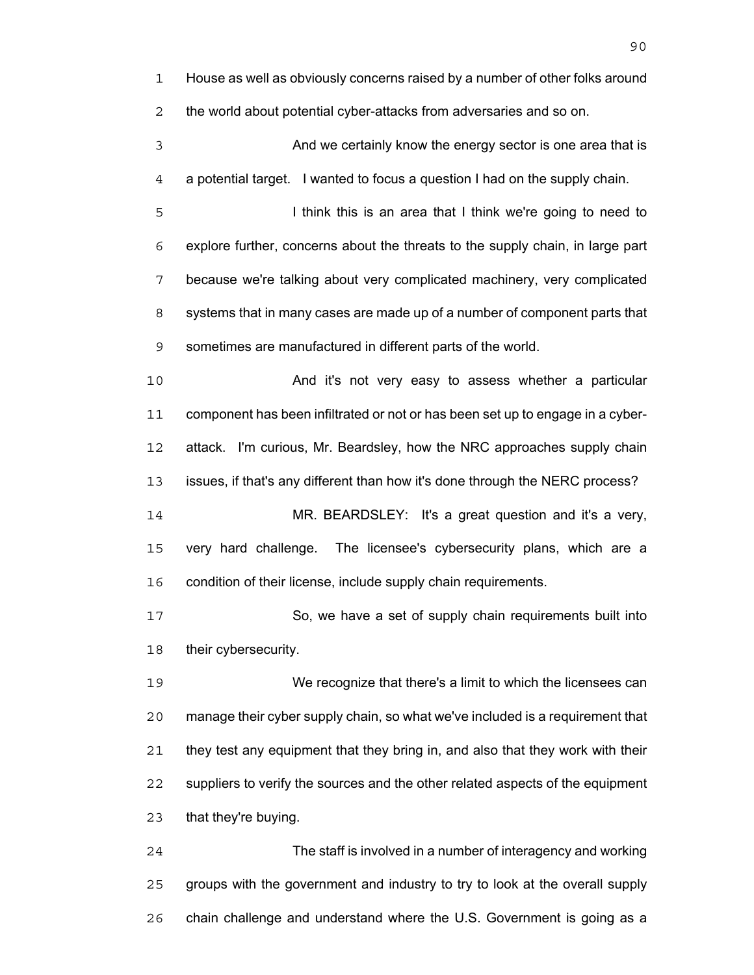House as well as obviously concerns raised by a number of other folks around the world about potential cyber-attacks from adversaries and so on. And we certainly know the energy sector is one area that is a potential target. I wanted to focus a question I had on the supply chain. I think this is an area that I think we're going to need to explore further, concerns about the threats to the supply chain, in large part because we're talking about very complicated machinery, very complicated systems that in many cases are made up of a number of component parts that sometimes are manufactured in different parts of the world. And it's not very easy to assess whether a particular component has been infiltrated or not or has been set up to engage in a cyber-attack. I'm curious, Mr. Beardsley, how the NRC approaches supply chain issues, if that's any different than how it's done through the NERC process? MR. BEARDSLEY: It's a great question and it's a very, very hard challenge. The licensee's cybersecurity plans, which are a condition of their license, include supply chain requirements. So, we have a set of supply chain requirements built into 18 their cybersecurity. We recognize that there's a limit to which the licensees can manage their cyber supply chain, so what we've included is a requirement that they test any equipment that they bring in, and also that they work with their suppliers to verify the sources and the other related aspects of the equipment that they're buying. The staff is involved in a number of interagency and working groups with the government and industry to try to look at the overall supply

chain challenge and understand where the U.S. Government is going as a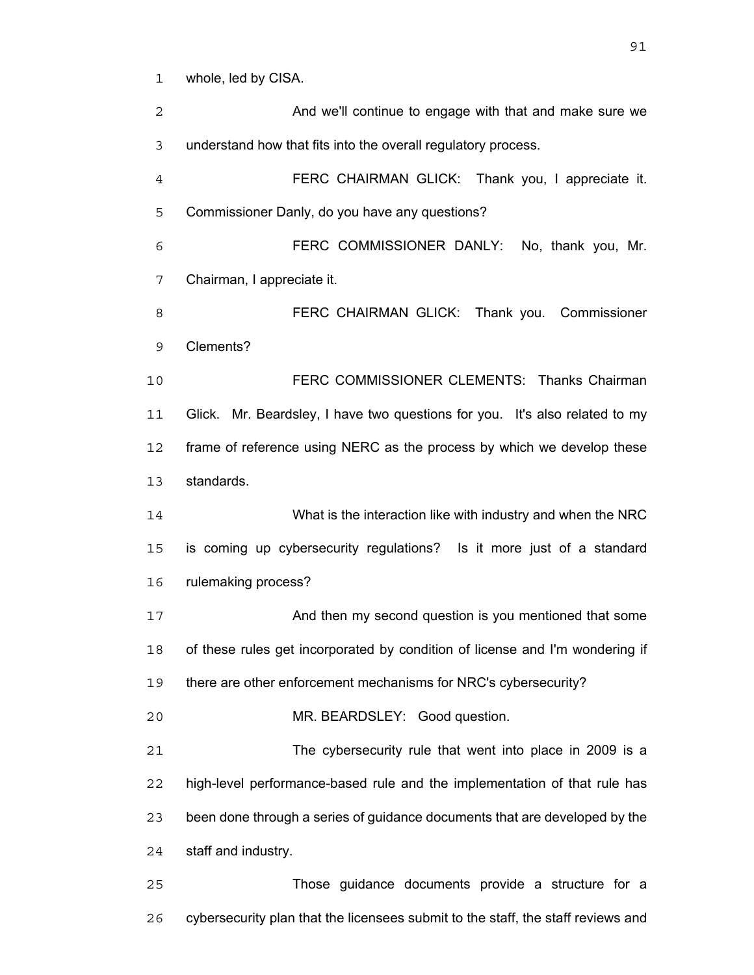whole, led by CISA.

And we'll continue to engage with that and make sure we understand how that fits into the overall regulatory process. FERC CHAIRMAN GLICK: Thank you, I appreciate it. Commissioner Danly, do you have any questions? FERC COMMISSIONER DANLY: No, thank you, Mr. Chairman, I appreciate it. FERC CHAIRMAN GLICK: Thank you. Commissioner Clements? FERC COMMISSIONER CLEMENTS: Thanks Chairman Glick. Mr. Beardsley, I have two questions for you. It's also related to my 12 frame of reference using NERC as the process by which we develop these standards. What is the interaction like with industry and when the NRC is coming up cybersecurity regulations? Is it more just of a standard rulemaking process? 17 And then my second question is you mentioned that some of these rules get incorporated by condition of license and I'm wondering if there are other enforcement mechanisms for NRC's cybersecurity? MR. BEARDSLEY: Good question. The cybersecurity rule that went into place in 2009 is a high-level performance-based rule and the implementation of that rule has been done through a series of guidance documents that are developed by the staff and industry. Those guidance documents provide a structure for a

cybersecurity plan that the licensees submit to the staff, the staff reviews and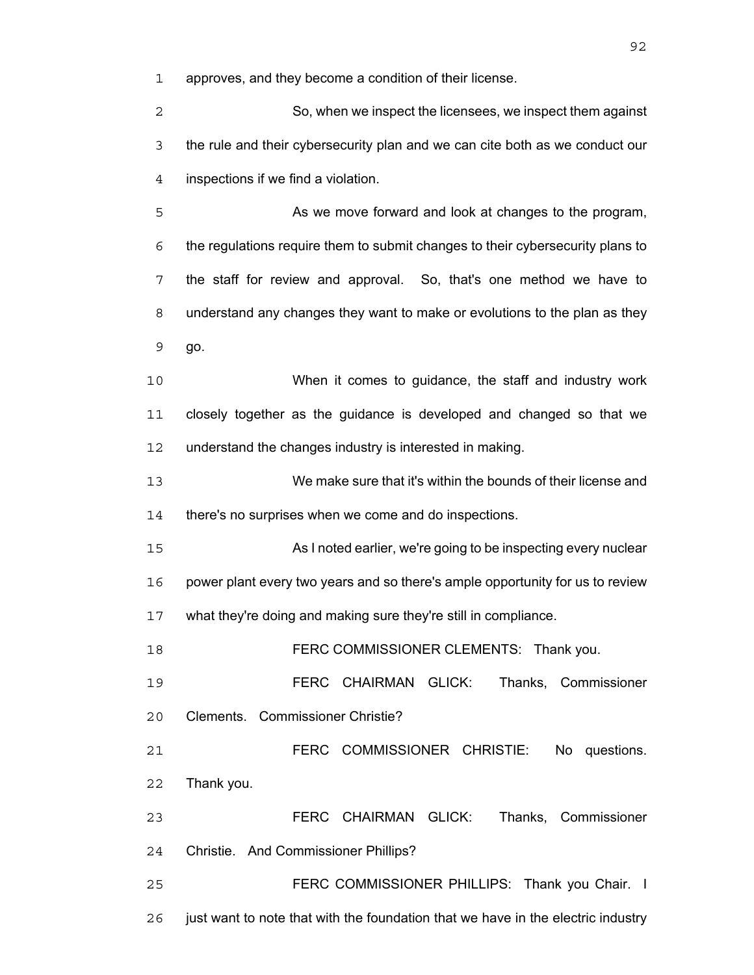approves, and they become a condition of their license.

So, when we inspect the licensees, we inspect them against the rule and their cybersecurity plan and we can cite both as we conduct our inspections if we find a violation.

5 As we move forward and look at changes to the program, the regulations require them to submit changes to their cybersecurity plans to the staff for review and approval. So, that's one method we have to understand any changes they want to make or evolutions to the plan as they go.

When it comes to guidance, the staff and industry work closely together as the guidance is developed and changed so that we understand the changes industry is interested in making.

We make sure that it's within the bounds of their license and 14 there's no surprises when we come and do inspections.

As I noted earlier, we're going to be inspecting every nuclear power plant every two years and so there's ample opportunity for us to review what they're doing and making sure they're still in compliance.

**FERC COMMISSIONER CLEMENTS: Thank you.** 

FERC CHAIRMAN GLICK: Thanks, Commissioner Clements. Commissioner Christie?

FERC COMMISSIONER CHRISTIE: No questions. Thank you.

FERC CHAIRMAN GLICK: Thanks, Commissioner Christie. And Commissioner Phillips?

FERC COMMISSIONER PHILLIPS: Thank you Chair. I just want to note that with the foundation that we have in the electric industry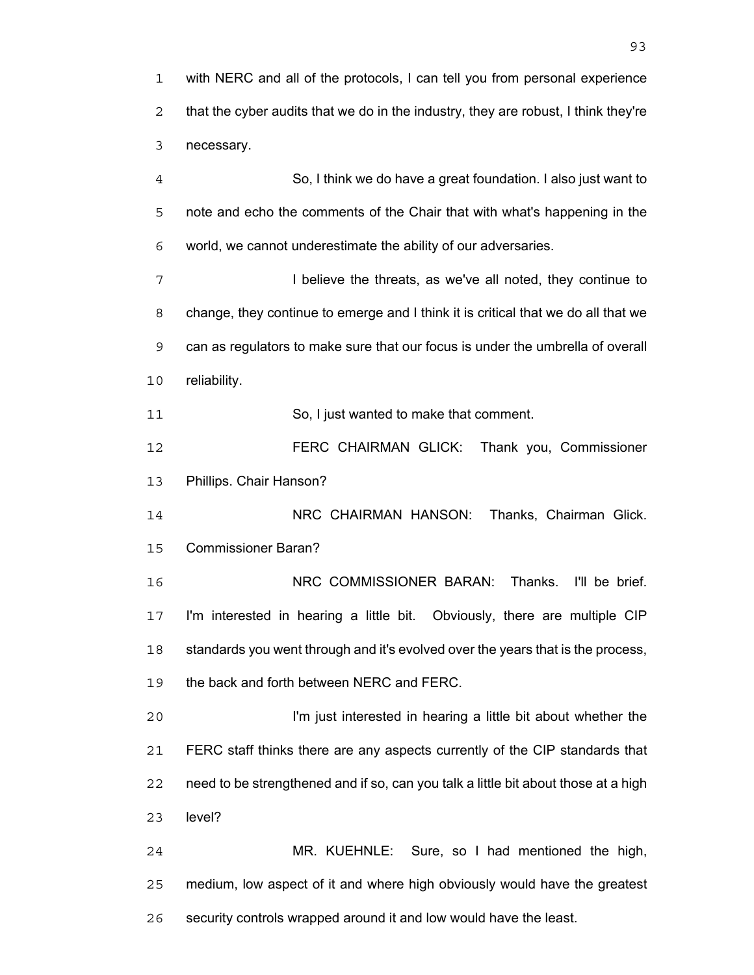So, I think we do have a great foundation. I also just want to note and echo the comments of the Chair that with what's happening in the world, we cannot underestimate the ability of our adversaries.

I believe the threats, as we've all noted, they continue to change, they continue to emerge and I think it is critical that we do all that we can as regulators to make sure that our focus is under the umbrella of overall reliability.

So, I just wanted to make that comment.

FERC CHAIRMAN GLICK: Thank you, Commissioner Phillips. Chair Hanson?

NRC CHAIRMAN HANSON: Thanks, Chairman Glick. Commissioner Baran?

NRC COMMISSIONER BARAN: Thanks. I'll be brief. I'm interested in hearing a little bit. Obviously, there are multiple CIP 18 standards you went through and it's evolved over the years that is the process, the back and forth between NERC and FERC.

I'm just interested in hearing a little bit about whether the FERC staff thinks there are any aspects currently of the CIP standards that need to be strengthened and if so, can you talk a little bit about those at a high level?

MR. KUEHNLE: Sure, so I had mentioned the high, medium, low aspect of it and where high obviously would have the greatest security controls wrapped around it and low would have the least.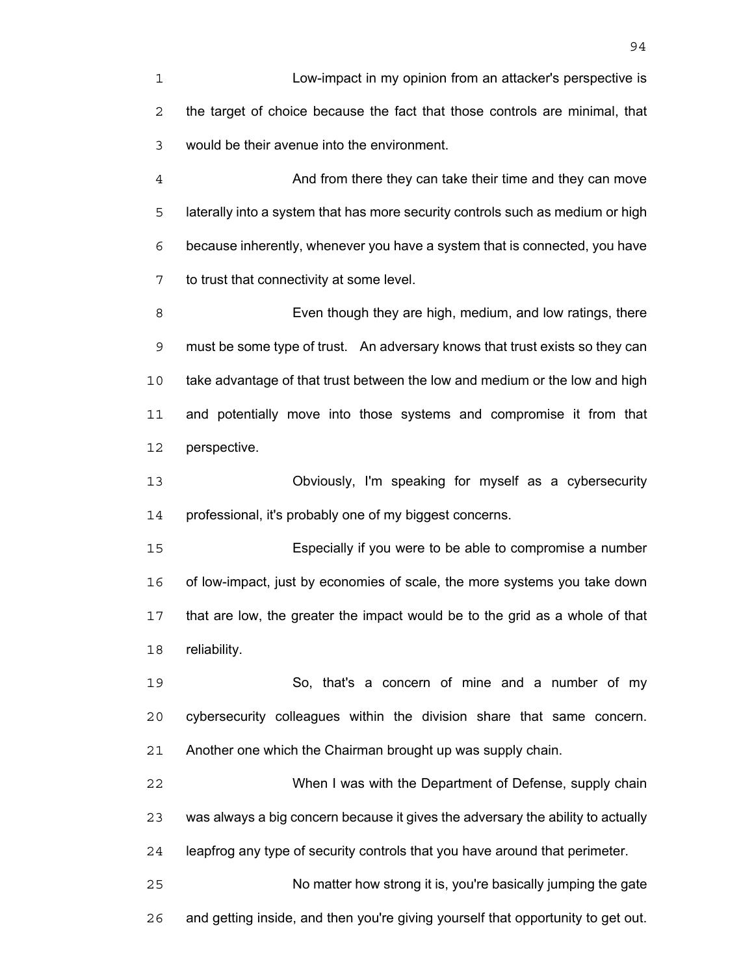Low-impact in my opinion from an attacker's perspective is the target of choice because the fact that those controls are minimal, that would be their avenue into the environment.

And from there they can take their time and they can move laterally into a system that has more security controls such as medium or high because inherently, whenever you have a system that is connected, you have to trust that connectivity at some level.

Even though they are high, medium, and low ratings, there must be some type of trust. An adversary knows that trust exists so they can take advantage of that trust between the low and medium or the low and high and potentially move into those systems and compromise it from that perspective.

Obviously, I'm speaking for myself as a cybersecurity professional, it's probably one of my biggest concerns.

Especially if you were to be able to compromise a number of low-impact, just by economies of scale, the more systems you take down that are low, the greater the impact would be to the grid as a whole of that reliability.

So, that's a concern of mine and a number of my cybersecurity colleagues within the division share that same concern. Another one which the Chairman brought up was supply chain.

When I was with the Department of Defense, supply chain was always a big concern because it gives the adversary the ability to actually leapfrog any type of security controls that you have around that perimeter. No matter how strong it is, you're basically jumping the gate

and getting inside, and then you're giving yourself that opportunity to get out.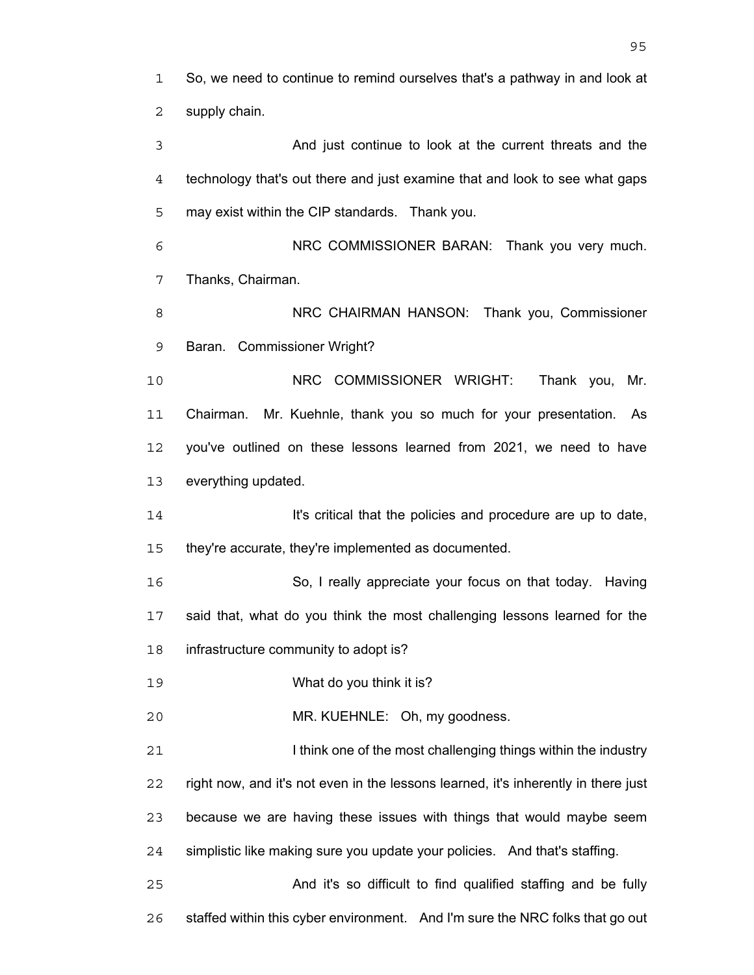So, we need to continue to remind ourselves that's a pathway in and look at supply chain.

And just continue to look at the current threats and the technology that's out there and just examine that and look to see what gaps may exist within the CIP standards. Thank you. NRC COMMISSIONER BARAN: Thank you very much. Thanks, Chairman. NRC CHAIRMAN HANSON: Thank you, Commissioner Baran. Commissioner Wright? NRC COMMISSIONER WRIGHT: Thank you, Mr. Chairman. Mr. Kuehnle, thank you so much for your presentation. As you've outlined on these lessons learned from 2021, we need to have everything updated. **It's critical that the policies and procedure are up to date,** they're accurate, they're implemented as documented. So, I really appreciate your focus on that today. Having said that, what do you think the most challenging lessons learned for the infrastructure community to adopt is? What do you think it is? MR. KUEHNLE: Oh, my goodness. **I challenging think one of the most challenging things within the industry** right now, and it's not even in the lessons learned, it's inherently in there just because we are having these issues with things that would maybe seem simplistic like making sure you update your policies. And that's staffing.

And it's so difficult to find qualified staffing and be fully 26 staffed within this cyber environment. And I'm sure the NRC folks that go out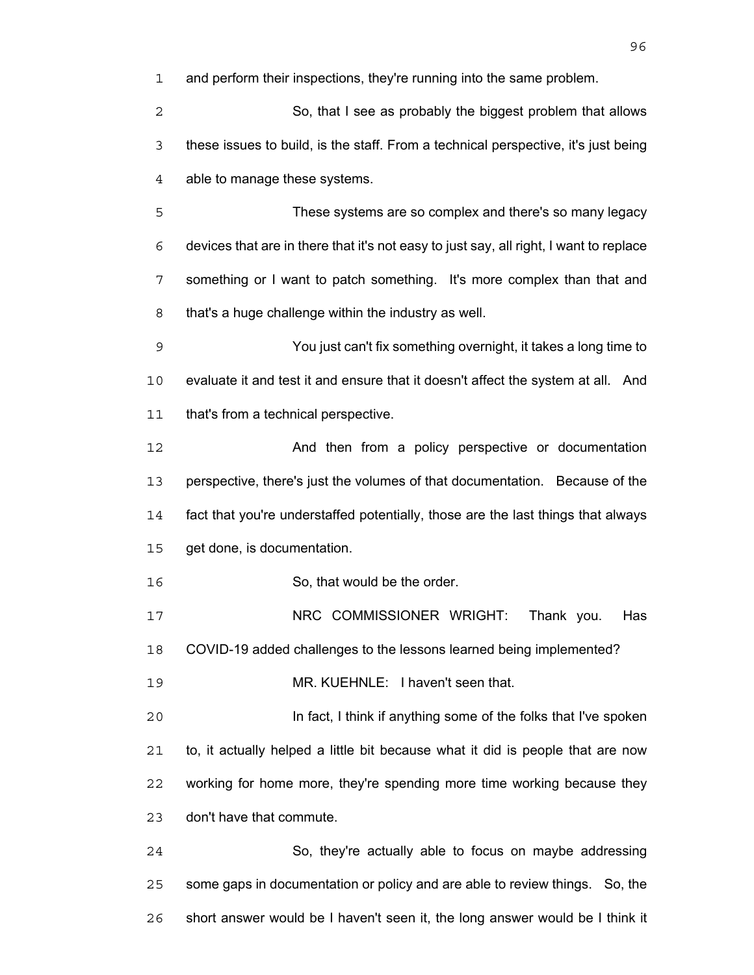and perform their inspections, they're running into the same problem.

So, that I see as probably the biggest problem that allows these issues to build, is the staff. From a technical perspective, it's just being able to manage these systems.

These systems are so complex and there's so many legacy devices that are in there that it's not easy to just say, all right, I want to replace something or I want to patch something. It's more complex than that and that's a huge challenge within the industry as well.

You just can't fix something overnight, it takes a long time to evaluate it and test it and ensure that it doesn't affect the system at all. And that's from a technical perspective.

And then from a policy perspective or documentation perspective, there's just the volumes of that documentation. Because of the fact that you're understaffed potentially, those are the last things that always get done, is documentation.

16 So, that would be the order.

17 NRC COMMISSIONER WRIGHT: Thank you. Has

COVID-19 added challenges to the lessons learned being implemented?

MR. KUEHNLE: I haven't seen that.

In fact, I think if anything some of the folks that I've spoken to, it actually helped a little bit because what it did is people that are now working for home more, they're spending more time working because they don't have that commute.

So, they're actually able to focus on maybe addressing some gaps in documentation or policy and are able to review things. So, the short answer would be I haven't seen it, the long answer would be I think it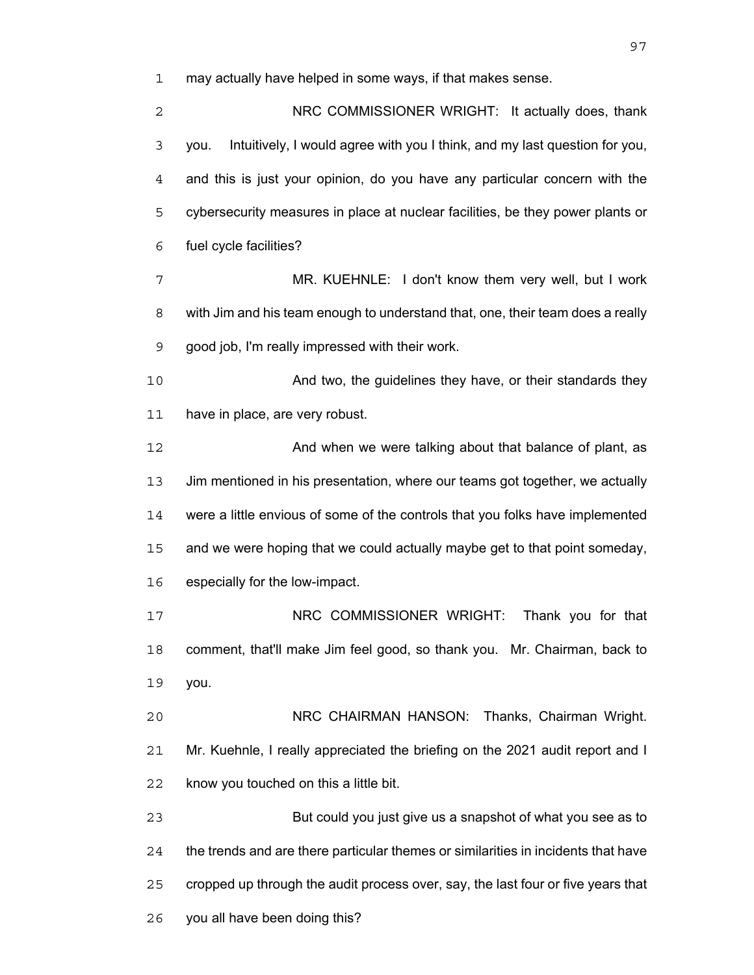may actually have helped in some ways, if that makes sense.

| 2  | NRC COMMISSIONER WRIGHT: It actually does, thank                                   |
|----|------------------------------------------------------------------------------------|
| 3  | Intuitively, I would agree with you I think, and my last question for you,<br>you. |
| 4  | and this is just your opinion, do you have any particular concern with the         |
| 5  | cybersecurity measures in place at nuclear facilities, be they power plants or     |
| 6  | fuel cycle facilities?                                                             |
| 7  | MR. KUEHNLE: I don't know them very well, but I work                               |
| 8  | with Jim and his team enough to understand that, one, their team does a really     |
| 9  | good job, I'm really impressed with their work.                                    |
| 10 | And two, the guidelines they have, or their standards they                         |
| 11 | have in place, are very robust.                                                    |
| 12 | And when we were talking about that balance of plant, as                           |
| 13 | Jim mentioned in his presentation, where our teams got together, we actually       |
| 14 | were a little envious of some of the controls that you folks have implemented      |
| 15 | and we were hoping that we could actually maybe get to that point someday,         |
| 16 | especially for the low-impact.                                                     |
| 17 | NRC COMMISSIONER WRIGHT:<br>Thank you for that                                     |
| 18 | comment, that'll make Jim feel good, so thank you. Mr. Chairman, back to           |
| 19 | you.                                                                               |
| 20 | NRC CHAIRMAN HANSON: Thanks, Chairman Wright.                                      |
| 21 | Mr. Kuehnle, I really appreciated the briefing on the 2021 audit report and I      |
| 22 | know you touched on this a little bit.                                             |
| 23 | But could you just give us a snapshot of what you see as to                        |
| 24 | the trends and are there particular themes or similarities in incidents that have  |
| 25 | cropped up through the audit process over, say, the last four or five years that   |
| 26 | you all have been doing this?                                                      |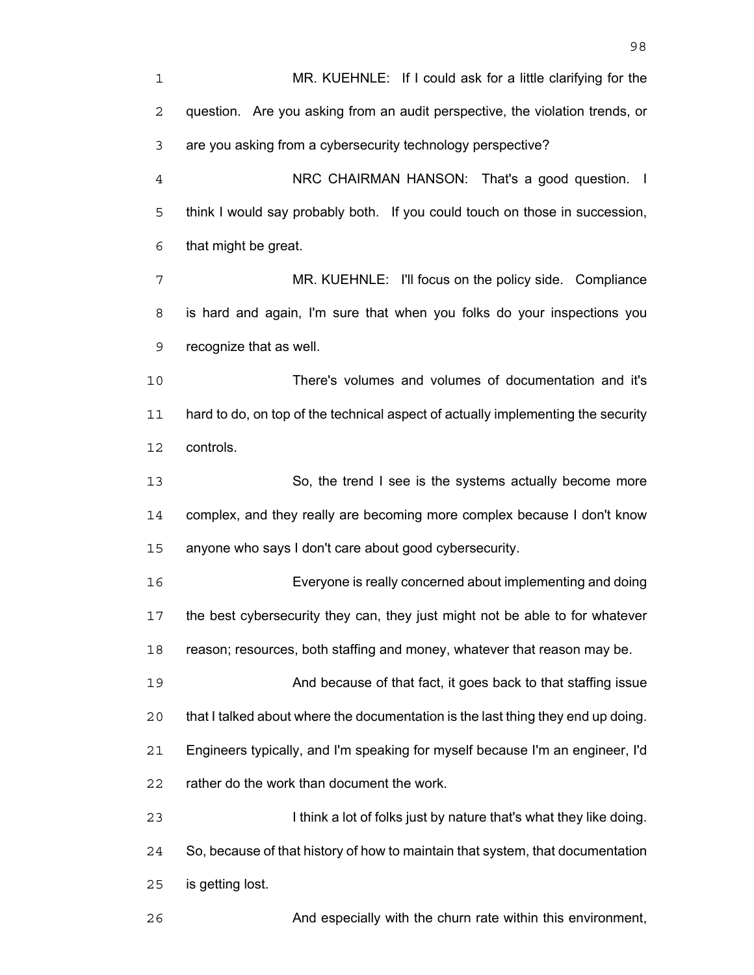MR. KUEHNLE: If I could ask for a little clarifying for the question. Are you asking from an audit perspective, the violation trends, or are you asking from a cybersecurity technology perspective? NRC CHAIRMAN HANSON: That's a good question. I think I would say probably both. If you could touch on those in succession, that might be great. MR. KUEHNLE: I'll focus on the policy side. Compliance is hard and again, I'm sure that when you folks do your inspections you recognize that as well. There's volumes and volumes of documentation and it's hard to do, on top of the technical aspect of actually implementing the security controls. So, the trend I see is the systems actually become more complex, and they really are becoming more complex because I don't know anyone who says I don't care about good cybersecurity. Everyone is really concerned about implementing and doing the best cybersecurity they can, they just might not be able to for whatever reason; resources, both staffing and money, whatever that reason may be. And because of that fact, it goes back to that staffing issue that I talked about where the documentation is the last thing they end up doing. Engineers typically, and I'm speaking for myself because I'm an engineer, I'd rather do the work than document the work. I think a lot of folks just by nature that's what they like doing. So, because of that history of how to maintain that system, that documentation is getting lost. And especially with the churn rate within this environment,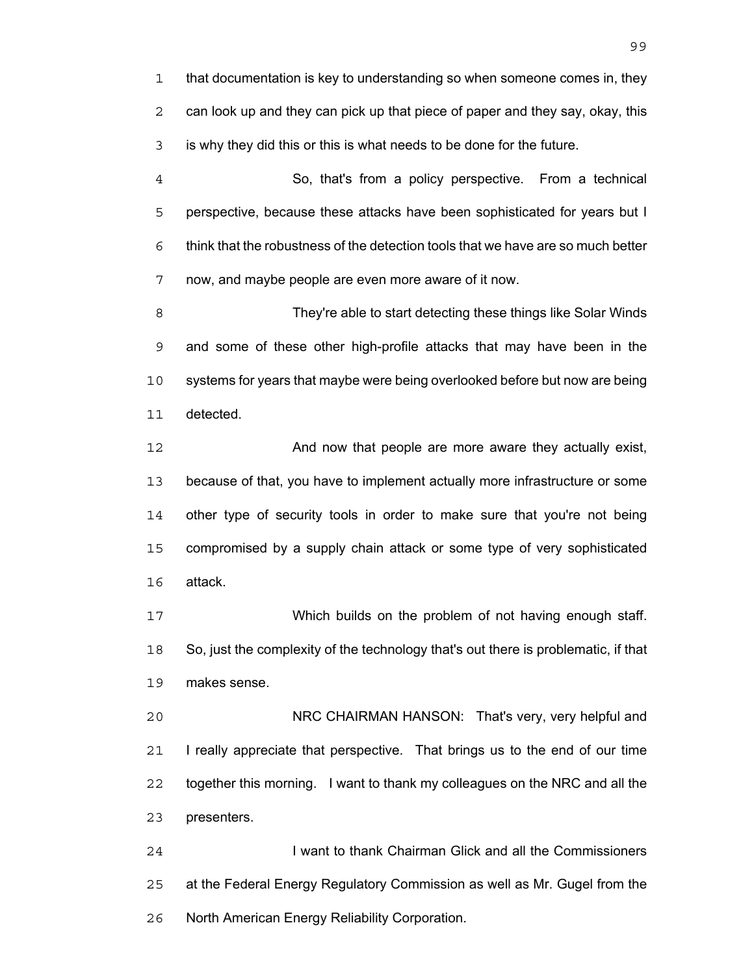that documentation is key to understanding so when someone comes in, they can look up and they can pick up that piece of paper and they say, okay, this is why they did this or this is what needs to be done for the future.

So, that's from a policy perspective. From a technical perspective, because these attacks have been sophisticated for years but I think that the robustness of the detection tools that we have are so much better now, and maybe people are even more aware of it now.

They're able to start detecting these things like Solar Winds and some of these other high-profile attacks that may have been in the systems for years that maybe were being overlooked before but now are being detected.

**And now that people are more aware they actually exist,** because of that, you have to implement actually more infrastructure or some 14 other type of security tools in order to make sure that you're not being compromised by a supply chain attack or some type of very sophisticated attack.

Which builds on the problem of not having enough staff. So, just the complexity of the technology that's out there is problematic, if that makes sense.

NRC CHAIRMAN HANSON: That's very, very helpful and I really appreciate that perspective. That brings us to the end of our time together this morning. I want to thank my colleagues on the NRC and all the presenters.

I want to thank Chairman Glick and all the Commissioners at the Federal Energy Regulatory Commission as well as Mr. Gugel from the North American Energy Reliability Corporation.